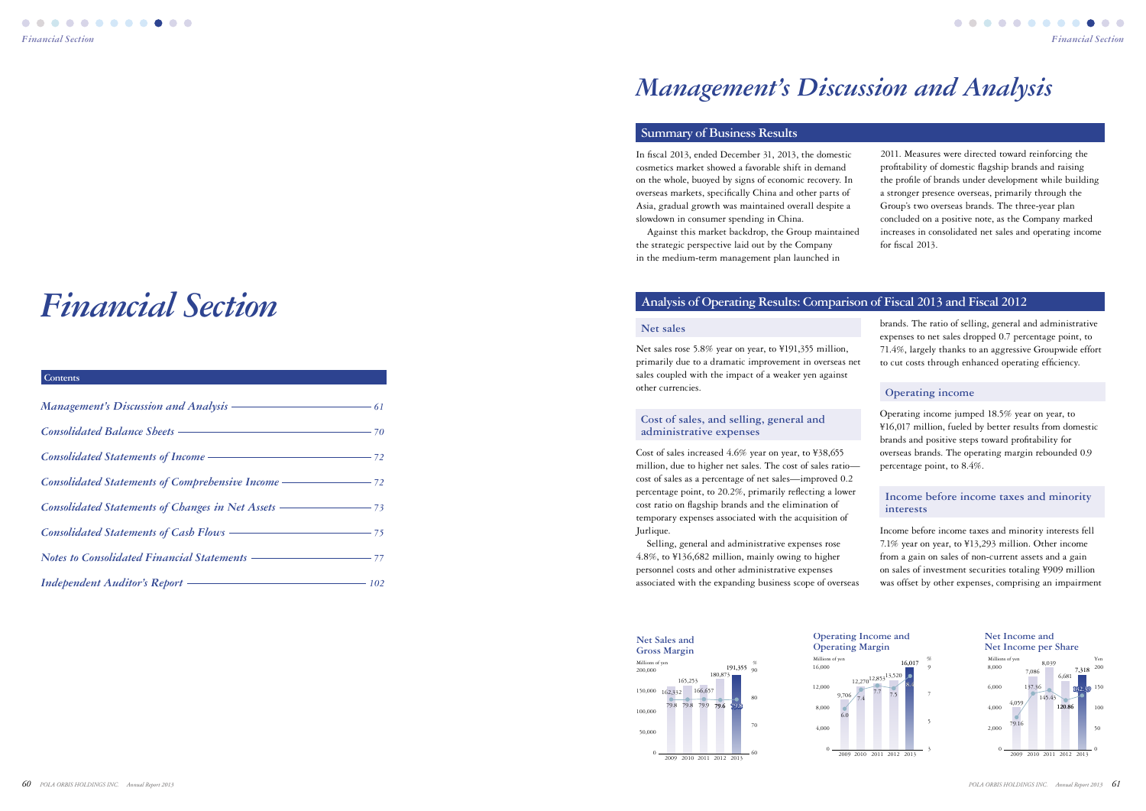

In fiscal 2013, ended December 31, 2013, the domestic cosmetics market showed a favorable shift in demand on the whole, buoyed by signs of economic recovery. In overseas markets, specifically China and other parts of Asia, gradual growth was maintained overall despite a slowdown in consumer spending in China.

Against this market backdrop, the Group maintained the strategic perspective laid out by the Company in the medium-term management plan launched in

# **Summary of Business Results**



**7,318**

50

100

150

200

**132.39**

 $\mathbf{0}$ 

2011. Measures were directed toward reinforcing the profitability of domestic flagship brands and raising the profile of brands under development while building a stronger presence overseas, primarily through the Group's two overseas brands. The three-year plan concluded on a positive note, as the Company marked increases in consolidated net sales and operating income for fiscal 2013.

Net sales rose 5.8% year on year, to ¥191,355 million, primarily due to a dramatic improvement in overseas net sales coupled with the impact of a weaker yen against other currencies.

Cost of sales increased 4.6% year on year, to ¥38,655 million, due to higher net sales. The cost of sales ratio cost of sales as a percentage of net sales—improved 0.2 percentage point, to 20.2%, primarily reflecting a lower cost ratio on flagship brands and the elimination of temporary expenses associated with the acquisition of Jurlique.

| Contents                                                                          |     |
|-----------------------------------------------------------------------------------|-----|
| Management's Discussion and Analysis —                                            | 61  |
| Consolidated Balance Sheets —                                                     | 70  |
| <b>Consolidated Statements of Income -</b>                                        | 72  |
| Consolidated Statements of Comprehensive Income -                                 | 72  |
| Consolidated Statements of Changes in Net Assets ———————————————————————————————— | 73  |
| Consolidated Statements of Cash Flows ——                                          | 75  |
| <b>Notes to Consolidated Financial Statements</b>                                 | 77  |
| <b>Independent Auditor's Report</b>                                               | 102 |

Selling, general and administrative expenses rose 4.8%, to ¥136,682 million, mainly owing to higher personnel costs and other administrative expenses associated with the expanding business scope of overseas brands. The ratio of selling, general and administrative expenses to net sales dropped 0.7 percentage point, to 71.4%, largely thanks to an aggressive Groupwide effort to cut costs through enhanced operating efficiency.

Operating income jumped 18.5% year on year, to ¥16,017 million, fueled by better results from domestic brands and positive steps toward profitability for overseas brands. The operating margin rebounded 0.9 percentage point, to 8.4%.

Income before income taxes and minority interests fell 7.1% year on year, to ¥13,293 million. Other income from a gain on sales of non-current assets and a gain on sales of investment securities totaling ¥909 million was offset by other expenses, comprising an impairment

# **Analysis of Operating Results: Comparison of Fiscal 2013 and Fiscal 2012**

### **Net sales**

# **Cost of sales, and selling, general and administrative expenses**

# **Income before income taxes and minority interests**

# **Operating income**

# *Management's Discussion and Analysis*

# *Financial Section*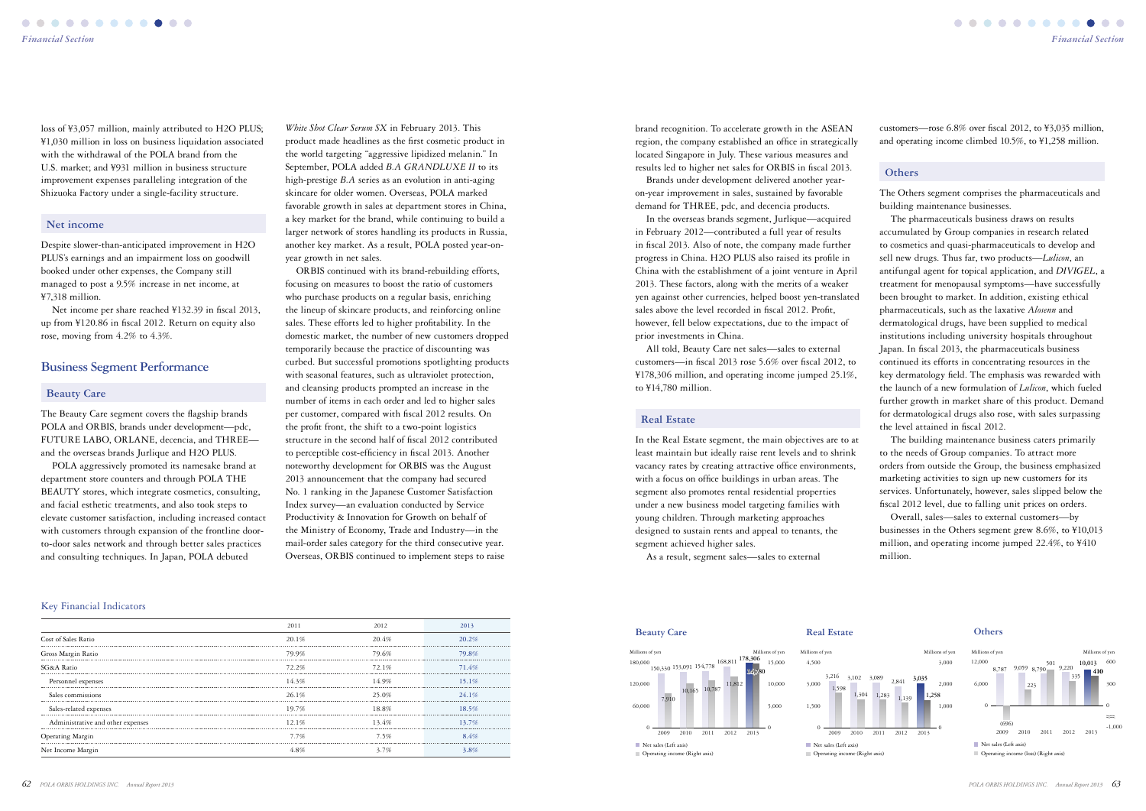loss of ¥3,057 million, mainly attributed to H2O PLUS; ¥1,030 million in loss on business liquidation associated with the withdrawal of the POLA brand from the U.S. market; and ¥931 million in business structure improvement expenses paralleling integration of the Shizuoka Factory under a single-facility structure.

Despite slower-than-anticipated improvement in H2O PLUS's earnings and an impairment loss on goodwill booked under other expenses, the Company still managed to post a 9.5% increase in net income, at ¥7,318 million.

Net income per share reached ¥132.39 in fiscal 2013, up from ¥120.86 in fiscal 2012. Return on equity also rose, moving from 4.2% to 4.3%.

The Beauty Care segment covers the flagship brands POLA and ORBIS, brands under development—pdc, FUTURE LABO, ORLANE, decencia, and THREE and the overseas brands Jurlique and H2O PLUS.

POLA aggressively promoted its namesake brand at department store counters and through POLA THE BEAUTY stores, which integrate cosmetics, consulting, and facial esthetic treatments, and also took steps to elevate customer satisfaction, including increased contact with customers through expansion of the frontline doorto-door sales network and through better sales practices and consulting techniques. In Japan, POLA debuted

# **Business Segment Performance**

*White Shot Clear Serum SX* in February 2013. This product made headlines as the first cosmetic product in the world targeting "aggressive lipidized melanin." In September, POLA added *B.A GRANDLUXE II* to its high-prestige *B.A* series as an evolution in anti-aging skincare for older women. Overseas, POLA marked favorable growth in sales at department stores in China, a key market for the brand, while continuing to build a larger network of stores handling its products in Russia, another key market. As a result, POLA posted year-onyear growth in net sales.

ORBIS continued with its brand-rebuilding efforts, focusing on measures to boost the ratio of customers who purchase products on a regular basis, enriching the lineup of skincare products, and reinforcing online sales. These efforts led to higher profitability. In the domestic market, the number of new customers dropped temporarily because the practice of discounting was curbed. But successful promotions spotlighting products with seasonal features, such as ultraviolet protection, and cleansing products prompted an increase in the number of items in each order and led to higher sales per customer, compared with fiscal 2012 results. On the profit front, the shift to a two-point logistics structure in the second half of fiscal 2012 contributed to perceptible cost-efficiency in fiscal 2013. Another noteworthy development for ORBIS was the August 2013 announcement that the company had secured No. 1 ranking in the Japanese Customer Satisfaction Index survey—an evaluation conducted by Service Productivity & Innovation for Growth on behalf of the Ministry of Economy, Trade and Industry—in the mail-order sales category for the third consecutive year. Overseas, ORBIS continued to implement steps to raise

### **Net income**

### **Beauty Care**



# Key Financial Indicators

|                                   | 2011     | 2012  | 2013     |
|-----------------------------------|----------|-------|----------|
| Cost of Sales Ratio               | 201%     | 20.4% | 20.2%    |
| Gross Margin Ratio                | 79.9%    | 79.6% | 79.8%    |
| SG&A Ratio                        | $72.2\%$ | 72.1% | 71.4%    |
| Personnel expenses                | 14.3%    | 14.9% | $15.1\%$ |
| Sales commissions                 | 261%     | 25.0% | 24.1%    |
| Sales-related expenses            | 19.7%    | 18.8% | 18.5%    |
| Administrative and other expenses | 12.1%    | 13.4% | $13.7\%$ |
| Operating Margin                  | 77%      |       |          |
| Net Income Margin                 |          |       |          |

brand recognition. To accelerate growth in the ASEAN region, the company established an office in strategically located Singapore in July. These various measures and results led to higher net sales for ORBIS in fiscal 2013.

Brands under development delivered another yearon-year improvement in sales, sustained by favorable demand for THREE, pdc, and decencia products.

In the overseas brands segment, Jurlique—acquired in February 2012—contributed a full year of results in fiscal 2013. Also of note, the company made further progress in China. H2O PLUS also raised its profile in China with the establishment of a joint venture in April 2013. These factors, along with the merits of a weaker yen against other currencies, helped boost yen-translated sales above the level recorded in fiscal 2012. Profit, however, fell below expectations, due to the impact of prior investments in China.

All told, Beauty Care net sales—sales to external customers—in fiscal 2013 rose 5.6% over fiscal 2012, to ¥178,306 million, and operating income jumped 25.1%, to ¥14,780 million.

In the Real Estate segment, the main objectives are to at least maintain but ideally raise rent levels and to shrink vacancy rates by creating attractive office environments, with a focus on office buildings in urban areas. The segment also promotes rental residential properties under a new business model targeting families with young children. Through marketing approaches designed to sustain rents and appeal to tenants, the segment achieved higher sales.

As a result, segment sales—sales to external

customers—rose 6.8% over fiscal 2012, to ¥3,035 million, and operating income climbed 10.5%, to ¥1,258 million.

The Others segment comprises the pharmaceuticals and building maintenance businesses.

The pharmaceuticals business draws on results accumulated by Group companies in research related to cosmetics and quasi-pharmaceuticals to develop and sell new drugs. Thus far, two products—*Lulicon*, an antifungal agent for topical application, and *DIVIGEL*, a treatment for menopausal symptoms—have successfully been brought to market. In addition, existing ethical pharmaceuticals, such as the laxative *Alosenn* and dermatological drugs, have been supplied to medical institutions including university hospitals throughout Japan. In fiscal 2013, the pharmaceuticals business continued its efforts in concentrating resources in the key dermatology field. The emphasis was rewarded with the launch of a new formulation of *Lulicon*, which fueled further growth in market share of this product. Demand for dermatological drugs also rose, with sales surpassing the level attained in fiscal 2012.

The building maintenance business caters primarily to the needs of Group companies. To attract more orders from outside the Group, the business emphasized marketing activities to sign up new customers for its services. Unfortunately, however, sales slipped below the fiscal 2012 level, due to falling unit prices on orders.

Overall, sales—sales to external customers—by businesses in the Others segment grew 8.6%, to ¥10,013 million, and operating income jumped 22.4%, to ¥410 million.





# **Real Estate**

# **Others**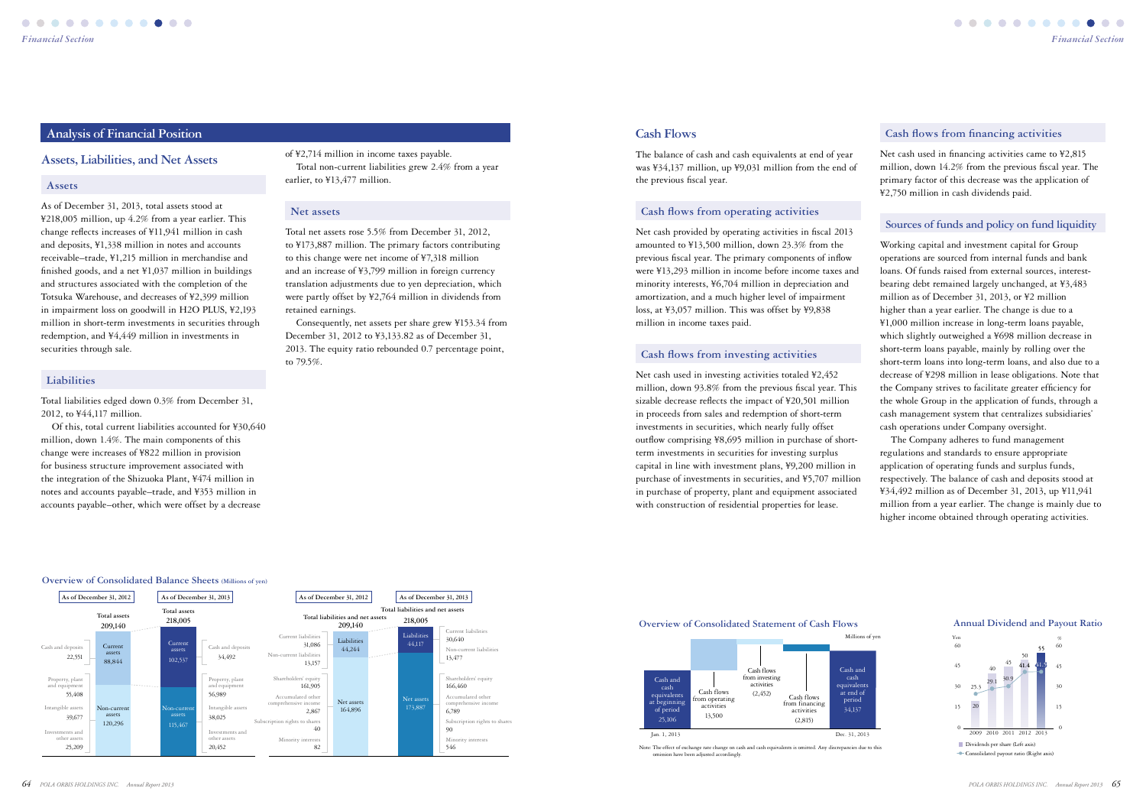As of December 31, 2013, total assets stood at ¥218,005 million, up 4.2% from a year earlier. This change reflects increases of ¥11,941 million in cash and deposits, ¥1,338 million in notes and accounts receivable–trade, ¥1,215 million in merchandise and finished goods, and a net ¥1,037 million in buildings and structures associated with the completion of the Totsuka Warehouse, and decreases of ¥2,399 million in impairment loss on goodwill in H2O PLUS, ¥2,193 million in short-term investments in securities through redemption, and ¥4,449 million in investments in securities through sale.

Total liabilities edged down 0.3% from December 31, 2012, to ¥44,117 million.

Of this, total current liabilities accounted for ¥30,640 million, down 1.4%. The main components of this change were increases of ¥822 million in provision for business structure improvement associated with the integration of the Shizuoka Plant, ¥474 million in notes and accounts payable–trade, and ¥353 million in accounts payable–other, which were offset by a decrease

of ¥2,714 million in income taxes payable. Total non-current liabilities grew 2.4% from a year earlier, to ¥13,477 million.

Total net assets rose 5.5% from December 31, 2012, to ¥173,887 million. The primary factors contributing to this change were net income of ¥7,318 million and an increase of ¥3,799 million in foreign currency translation adjustments due to yen depreciation, which were partly offset by ¥2,764 million in dividends from retained earnings.

Consequently, net assets per share grew ¥153.34 from December 31, 2012 to ¥3,133.82 as of December 31, 2013. The equity ratio rebounded 0.7 percentage point, to 79.5%.

### **Overview of Consolidated Balance Sheets (Millions of yen)**



# **Assets, Liabilities, and Net Assets**

# **Analysis of Financial Position**

### **Assets**

# **Liabilities**

# **Net assets**

The balance of cash and cash equivalents at end of year was ¥34,137 million, up ¥9,031 million from the end of the previous fiscal year.

Net cash provided by operating activities in fiscal 2013 amounted to ¥13,500 million, down 23.3% from the previous fiscal year. The primary components of inflow were ¥13,293 million in income before income taxes and minority interests, ¥6,704 million in depreciation and amortization, and a much higher level of impairment loss, at ¥3,057 million. This was offset by ¥9,838 million in income taxes paid.

Net cash used in investing activities totaled ¥2,452 million, down 93.8% from the previous fiscal year. This sizable decrease reflects the impact of ¥20,501 million in proceeds from sales and redemption of short-term investments in securities, which nearly fully offset outflow comprising ¥8,695 million in purchase of shortterm investments in securities for investing surplus capital in line with investment plans, ¥9,200 million in purchase of investments in securities, and ¥5,707 million in purchase of property, plant and equipment associated with construction of residential properties for lease.

Net cash used in financing activities came to ¥2,815 million, down 14.2% from the previous fiscal year. The primary factor of this decrease was the application of ¥2,750 million in cash dividends paid.

Working capital and investment capital for Group operations are sourced from internal funds and bank loans. Of funds raised from external sources, interestbearing debt remained largely unchanged, at ¥3,483 million as of December 31, 2013, or ¥2 million higher than a year earlier. The change is due to a ¥1,000 million increase in long-term loans payable, which slightly outweighed a ¥698 million decrease in short-term loans payable, mainly by rolling over the short-term loans into long-term loans, and also due to a decrease of ¥298 million in lease obligations. Note that the Company strives to facilitate greater efficiency for the whole Group in the application of funds, through a cash management system that centralizes subsidiaries' cash operations under Company oversight.

The Company adheres to fund management regulations and standards to ensure appropriate application of operating funds and surplus funds, respectively. The balance of cash and deposits stood at ¥34,492 million as of December 31, 2013, up ¥11,941 million from a year earlier. The change is mainly due to higher income obtained through operating activities.

# **Cash Flows**



### **Annual Dividend and Payout Ratio**

# **Overview of Consolidated Statement of Cash Flows**

Note: The effect of exchange rate change on cash and cash equivalents is omitted. Any discrepancies due to this omission have been adjusted accordingly.



# **Cash flows from operating activities**

# **Cash flows from investing activities**

# **Cash flows from financing activities**

### **Sources of funds and policy on fund liquidity**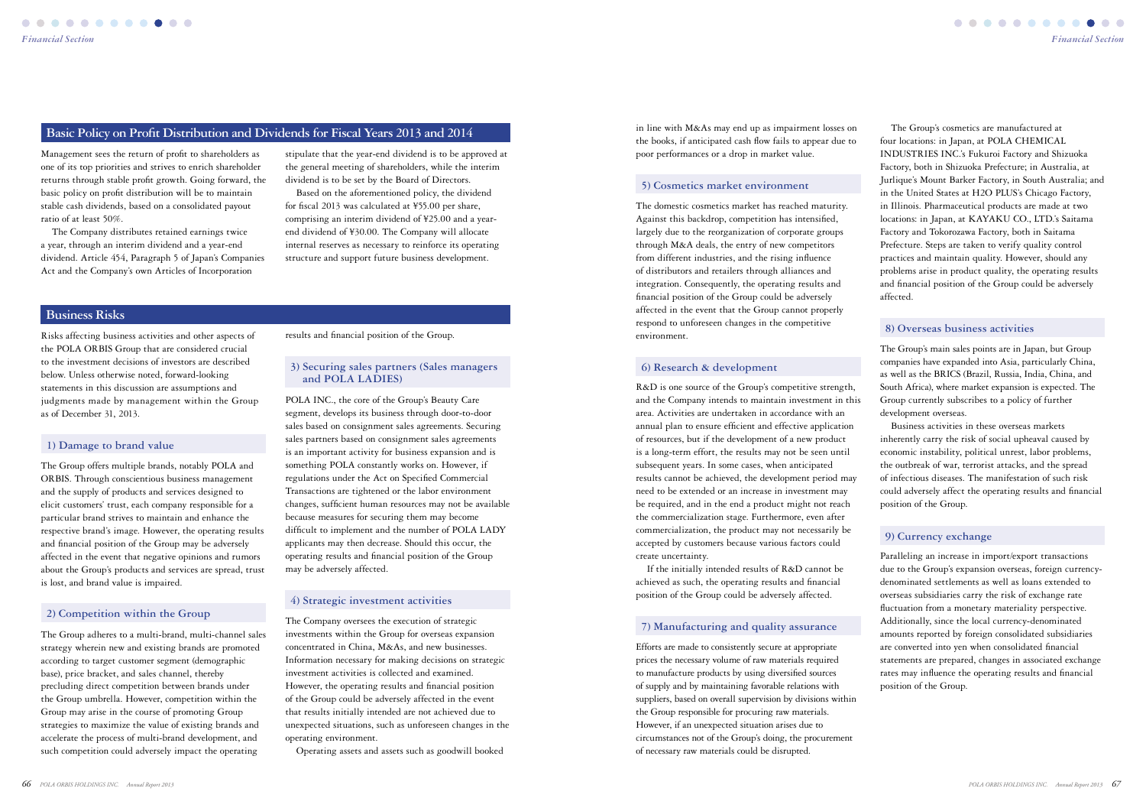Management sees the return of profit to shareholders as one of its top priorities and strives to enrich shareholder returns through stable profit growth. Going forward, the basic policy on profit distribution will be to maintain stable cash dividends, based on a consolidated payout ratio of at least 50%.

The Company distributes retained earnings twice a year, through an interim dividend and a year-end dividend. Article 454, Paragraph 5 of Japan's Companies Act and the Company's own Articles of Incorporation

Risks affecting business activities and other aspects of the POLA ORBIS Group that are considered crucial to the investment decisions of investors are described below. Unless otherwise noted, forward-looking statements in this discussion are assumptions and judgments made by management within the Group as of December 31, 2013.

The Group offers multiple brands, notably POLA and ORBIS. Through conscientious business management and the supply of products and services designed to elicit customers' trust, each company responsible for a particular brand strives to maintain and enhance the respective brand's image. However, the operating results and financial position of the Group may be adversely affected in the event that negative opinions and rumors about the Group's products and services are spread, trust is lost, and brand value is impaired.

The Group adheres to a multi-brand, multi-channel sales strategy wherein new and existing brands are promoted according to target customer segment (demographic base), price bracket, and sales channel, thereby precluding direct competition between brands under the Group umbrella. However, competition within the Group may arise in the course of promoting Group strategies to maximize the value of existing brands and accelerate the process of multi-brand development, and such competition could adversely impact the operating

stipulate that the year-end dividend is to be approved at the general meeting of shareholders, while the interim dividend is to be set by the Board of Directors.

Based on the aforementioned policy, the dividend for fiscal 2013 was calculated at ¥55.00 per share, comprising an interim dividend of ¥25.00 and a yearend dividend of ¥30.00. The Company will allocate internal reserves as necessary to reinforce its operating structure and support future business development.

results and financial position of the Group.

POLA INC., the core of the Group's Beauty Care segment, develops its business through door-to-door sales based on consignment sales agreements. Securing sales partners based on consignment sales agreements is an important activity for business expansion and is something POLA constantly works on. However, if regulations under the Act on Specified Commercial Transactions are tightened or the labor environment changes, sufficient human resources may not be available because measures for securing them may become difficult to implement and the number of POLA LADY applicants may then decrease. Should this occur, the operating results and financial position of the Group may be adversely affected.

The Company oversees the execution of strategic investments within the Group for overseas expansion concentrated in China, M&As, and new businesses. Information necessary for making decisions on strategic investment activities is collected and examined. However, the operating results and financial position of the Group could be adversely affected in the event that results initially intended are not achieved due to unexpected situations, such as unforeseen changes in the operating environment.

Operating assets and assets such as goodwill booked

# **Business Risks**

# **Basic Policy on Profit Distribution and Dividends for Fiscal Years 2013 and 2014**

# **1) Damage to brand value**

### **2) Competition within the Group**

### **4) Strategic investment activities**



# **3) Securing sales partners (Sales managers and POLA LADIES)**

in line with M&As may end up as impairment losses on the books, if anticipated cash flow fails to appear due to poor performances or a drop in market value.

The domestic cosmetics market has reached maturity. Against this backdrop, competition has intensified, largely due to the reorganization of corporate groups through M&A deals, the entry of new competitors from different industries, and the rising influence of distributors and retailers through alliances and integration. Consequently, the operating results and financial position of the Group could be adversely affected in the event that the Group cannot properly respond to unforeseen changes in the competitive environment.

R&D is one source of the Group's competitive strength, and the Company intends to maintain investment in this area. Activities are undertaken in accordance with an annual plan to ensure efficient and effective application of resources, but if the development of a new product is a long-term effort, the results may not be seen until subsequent years. In some cases, when anticipated results cannot be achieved, the development period may need to be extended or an increase in investment may be required, and in the end a product might not reach the commercialization stage. Furthermore, even after commercialization, the product may not necessarily be accepted by customers because various factors could create uncertainty.

If the initially intended results of R&D cannot be achieved as such, the operating results and financial position of the Group could be adversely affected.

Efforts are made to consistently secure at appropriate prices the necessary volume of raw materials required to manufacture products by using diversified sources of supply and by maintaining favorable relations with suppliers, based on overall supervision by divisions within the Group responsible for procuring raw materials. However, if an unexpected situation arises due to circumstances not of the Group's doing, the procurement of necessary raw materials could be disrupted.

### **5) Cosmetics market environment**

# **6) Research & development**

# **7) Manufacturing and quality assurance**

The Group's cosmetics are manufactured at four locations: in Japan, at POLA CHEMICAL INDUSTRIES INC.'s Fukuroi Factory and Shizuoka Factory, both in Shizuoka Prefecture; in Australia, at Jurlique's Mount Barker Factory, in South Australia; and in the United States at H2O PLUS's Chicago Factory, in Illinois. Pharmaceutical products are made at two locations: in Japan, at KAYAKU CO., LTD.'s Saitama Factory and Tokorozawa Factory, both in Saitama Prefecture. Steps are taken to verify quality control practices and maintain quality. However, should any problems arise in product quality, the operating results and financial position of the Group could be adversely affected.

The Group's main sales points are in Japan, but Group companies have expanded into Asia, particularly China, as well as the BRICS (Brazil, Russia, India, China, and South Africa), where market expansion is expected. The Group currently subscribes to a policy of further development overseas.

Business activities in these overseas markets inherently carry the risk of social upheaval caused by economic instability, political unrest, labor problems, the outbreak of war, terrorist attacks, and the spread of infectious diseases. The manifestation of such risk could adversely affect the operating results and financial position of the Group.

Paralleling an increase in import/export transactions due to the Group's expansion overseas, foreign currencydenominated settlements as well as loans extended to overseas subsidiaries carry the risk of exchange rate fluctuation from a monetary materiality perspective. Additionally, since the local currency-denominated amounts reported by foreign consolidated subsidiaries are converted into yen when consolidated financial statements are prepared, changes in associated exchange rates may influence the operating results and financial position of the Group.

# **8) Overseas business activities**

# **9) Currency exchange**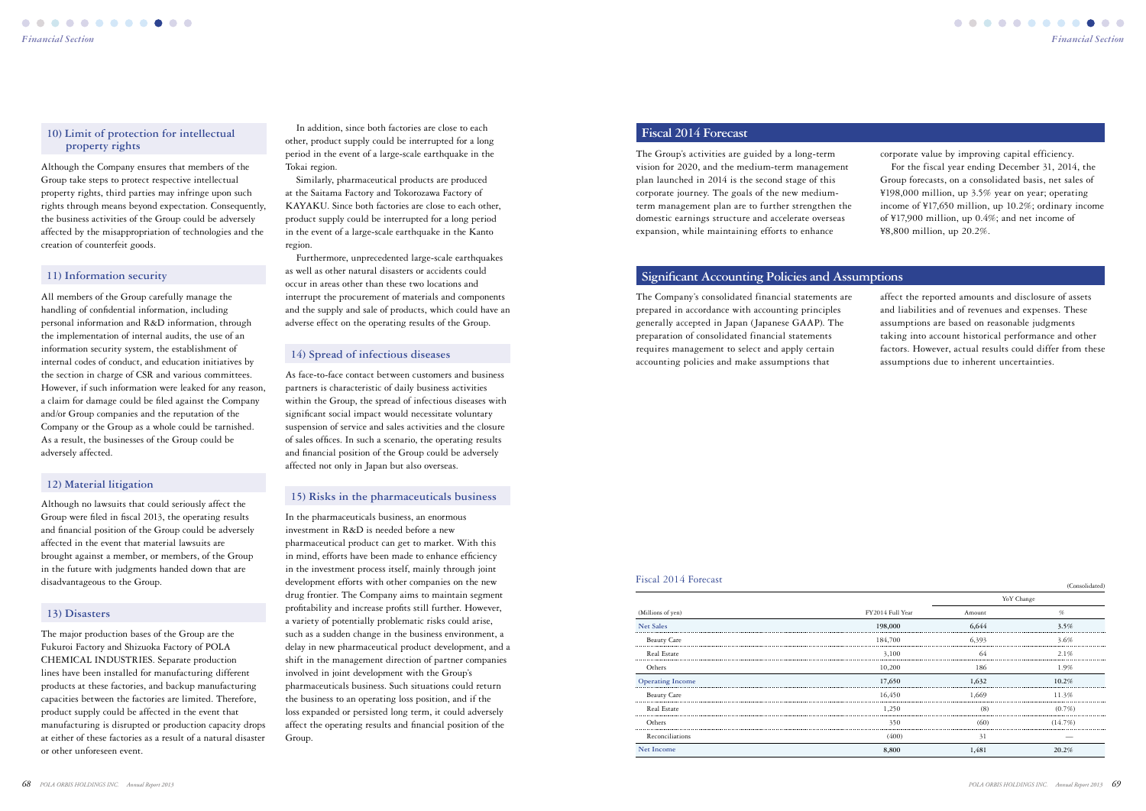Although the Company ensures that members of the Group take steps to protect respective intellectual property rights, third parties may infringe upon such rights through means beyond expectation. Consequently, the business activities of the Group could be adversely affected by the misappropriation of technologies and the creation of counterfeit goods.

All members of the Group carefully manage the handling of confidential information, including personal information and R&D information, through the implementation of internal audits, the use of an information security system, the establishment of internal codes of conduct, and education initiatives by the section in charge of CSR and various committees. However, if such information were leaked for any reason, a claim for damage could be filed against the Company and/or Group companies and the reputation of the Company or the Group as a whole could be tarnished. As a result, the businesses of the Group could be adversely affected.

Although no lawsuits that could seriously affect the Group were filed in fiscal 2013, the operating results and financial position of the Group could be adversely affected in the event that material lawsuits are brought against a member, or members, of the Group in the future with judgments handed down that are disadvantageous to the Group.

The major production bases of the Group are the Fukuroi Factory and Shizuoka Factory of POLA CHEMICAL INDUSTRIES. Separate production lines have been installed for manufacturing different products at these factories, and backup manufacturing capacities between the factories are limited. Therefore, product supply could be affected in the event that manufacturing is disrupted or production capacity drops at either of these factories as a result of a natural disaster or other unforeseen event.

In addition, since both factories are close to each other, product supply could be interrupted for a long property rights **property rights** and the event of a large-scale earthquake in the mode of the Group's activities are guided by a long-term Tokai region.

> Similarly, pharmaceutical products are produced at the Saitama Factory and Tokorozawa Factory of KAYAKU. Since both factories are close to each other, product supply could be interrupted for a long period in the event of a large-scale earthquake in the Kanto region.

Furthermore, unprecedented large-scale earthquakes as well as other natural disasters or accidents could occur in areas other than these two locations and interrupt the procurement of materials and components and the supply and sale of products, which could have an adverse effect on the operating results of the Group.

As face-to-face contact between customers and business partners is characteristic of daily business activities within the Group, the spread of infectious diseases with significant social impact would necessitate voluntary suspension of service and sales activities and the closure of sales offices. In such a scenario, the operating results and financial position of the Group could be adversely affected not only in Japan but also overseas.

In the pharmaceuticals business, an enormous investment in R&D is needed before a new pharmaceutical product can get to market. With this in mind, efforts have been made to enhance efficiency in the investment process itself, mainly through joint development efforts with other companies on the new drug frontier. The Company aims to maintain segment profitability and increase profits still further. However, a variety of potentially problematic risks could arise, such as a sudden change in the business environment, a delay in new pharmaceutical product development, and a shift in the management direction of partner companies involved in joint development with the Group's pharmaceuticals business. Such situations could return the business to an operating loss position, and if the loss expanded or persisted long term, it could adversely affect the operating results and financial position of the Group.

# **11) Information security**

# **12) Material litigation**

## **13) Disasters**

# **14) Spread of infectious diseases**

### **15) Risks in the pharmaceuticals business**



# **10) Limit of protection for intellectual**

vision for 2020, and the medium-term management plan launched in 2014 is the second stage of this corporate journey. The goals of the new mediumterm management plan are to further strengthen the domestic earnings structure and accelerate overseas expansion, while maintaining efforts to enhance

corporate value by improving capital efficiency. For the fiscal year ending December 31, 2014, the Group forecasts, on a consolidated basis, net sales of

¥198,000 million, up 3.5% year on year; operating income of ¥17,650 million, up 10.2%; ordinary income of ¥17,900 million, up 0.4%; and net income of ¥8,800 million, up 20.2%.

# **Fiscal 2014 Forecast**

# **Significant Accounting Policies and Assumptions**

The Company's consolidated financial statements are prepared in accordance with accounting principles generally accepted in Japan (Japanese GAAP). The preparation of consolidated financial statements requires management to select and apply certain accounting policies and make assumptions that

affect the reported amounts and disclosure of assets and liabilities and of revenues and expenses. These assumptions are based on reasonable judgments taking into account historical performance and other factors. However, actual results could differ from these assumptions due to inherent uncertainties.

### Fiscal 2014 Forecast

| (Consolidated) |  |  |
|----------------|--|--|

|                         |                  |        | YoY Change |
|-------------------------|------------------|--------|------------|
| (Millions of yen)       | FY2014 Full Year | Amount | %          |
| <b>Net Sales</b>        | 198,000          | 6.644  | 3.5%       |
| <b>Beauty Care</b>      | 184,700          | 6393   | 36%        |
| Real Estate             | 3,100            | 64     | 2.1%       |
| Others                  | 10,200           | 186    | 1.9%       |
| <b>Operating Income</b> | 17,650           | 1.632  | 10.2%      |
| <b>Beauty Care</b>      | 16.450           | 1.669  | 11.3%      |
| Real Estate             | 1.250            | 68     | $(0.7\%)$  |
| Others                  | 350              | (60)   | (14.7%)    |
| Reconciliations         | (400)            | 31     |            |
| Net Income              | 8,800            | 1,481  | 20.2%      |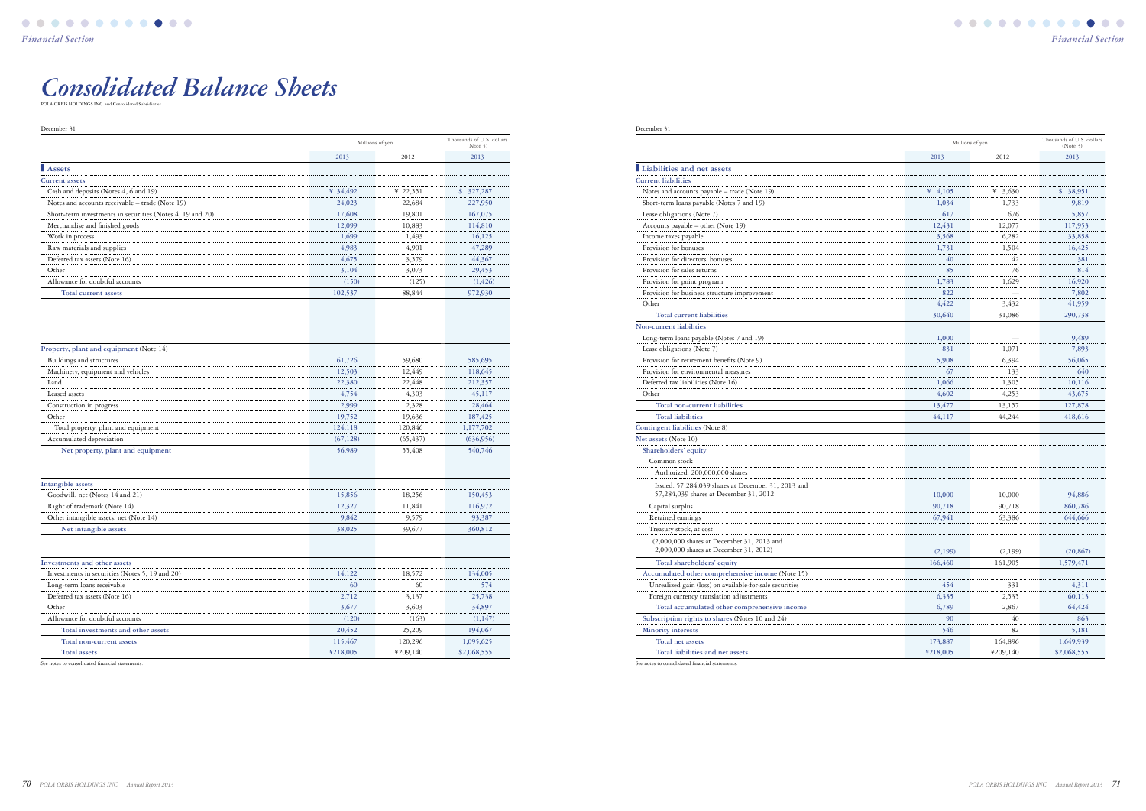

| December 31                                               |          |                 |            |  |
|-----------------------------------------------------------|----------|-----------------|------------|--|
|                                                           |          | Millions of yen |            |  |
|                                                           | 2013     | 2012            | 2013       |  |
| <b>Assets</b>                                             |          |                 |            |  |
| <b>Current assets</b>                                     |          |                 |            |  |
| Cash and deposits (Notes 4, 6 and 19)                     | ¥ 34,492 | ¥ 22,551        | \$ 327,287 |  |
| Notes and accounts receivable - trade (Note 19)           | 24,023   | 22,684          | 227,950    |  |
| Short-term investments in securities (Notes 4, 19 and 20) | 17,608   | 19,801          | 167,075    |  |
| Merchandise and finished goods                            | 12,099   | 10,883          | 114,810    |  |
| Work in process                                           | 1.699    | 1.493           | 16.125     |  |
| Raw materials and supplies                                | 4.983    | 4.901           | 47,289     |  |
| Deferred tax assets (Note 16)                             | 4.675    | 3,579           | 44,367     |  |
| Other                                                     | 3,104    | 3,073           | 29,453     |  |
| Allowance for doubtful accounts                           | (150)    | (125)           | (1, 426)   |  |
| Total current assets                                      | 102,537  | 88,844          | 972,930    |  |
|                                                           |          |                 |            |  |

| Property, plant and equipment (Note 14)        |           |           |             |
|------------------------------------------------|-----------|-----------|-------------|
| Buildings and structures                       | 61,726    | 59,680    | 585,695     |
| Machinery, equipment and vehicles              | 12,503    | 12,449    | 118,645     |
| Land                                           | 22,380    | 22,448    | 212,357     |
| Leased assets                                  | 4,754     | 4,303     | 45,117      |
| Construction in progress                       | 2,999     | 2,328     | 28,464      |
| Other                                          | 19,752    | 19,636    | 187,425     |
| Total property, plant and equipment            | 124,118   | 120,846   | 1,177,702   |
| Accumulated depreciation                       | (67, 128) | (65, 437) | (636,956)   |
| Net property, plant and equipment              | 56,989    | 55,408    | 540,746     |
|                                                |           |           |             |
| Intangible assets                              |           |           |             |
| Goodwill, net (Notes 14 and 21)                | 15,856    | 18,256    | 150,453     |
| Right of trademark (Note 14)                   | 12,327    | 11,841    | 116,972     |
| Other intangible assets, net (Note 14)         | 9,842     | 9,579     | 93,387      |
| Net intangible assets                          | 38,025    | 39,677    | 360,812     |
| Investments and other assets                   |           |           |             |
| Investments in securities (Notes 5, 19 and 20) | 14,122    | 18,572    | 134,005     |
| Long-term loans receivable                     | 60        | 60        | 574         |
| Deferred tax assets (Note 16)                  | 2,712     | 3,137     | 25,738      |
| Other                                          | 3,677     | 3,603     | 34,897      |
| Allowance for doubtful accounts                | (120)     | (163)     | (1,147)     |
| Total investments and other assets             | 20,452    | 25,209    | 194,067     |
| Total non-current assets                       | 115,467   | 120,296   | 1,095,625   |
| <b>Total assets</b>                            | ¥218,005  | ¥209,140  | \$2,068,555 |

See notes to consolidated financial statements.

December 31

| Liabilities and net assets                                                                   |
|----------------------------------------------------------------------------------------------|
| <b>Current liabilities</b>                                                                   |
| Notes and accounts payable - trade (Note 19)                                                 |
| Short-term loans payable (Notes 7 and 19)                                                    |
| Lease obligations (Note 7)                                                                   |
| Accounts payable - other (Note 19)                                                           |
| Income taxes payable                                                                         |
| Provision for bonuses                                                                        |
| Provision for directors' bonuses                                                             |
| Provision for sales returns                                                                  |
| Provision for point program                                                                  |
| Provision for business structure improvement                                                 |
| Other                                                                                        |
| <b>Total current liabilities</b>                                                             |
| Non-current liabilities                                                                      |
| Long-term loans payable (Notes 7 and 19)                                                     |
| Lease obligations (Note 7)                                                                   |
| Provision for retirement benefits (Note 9)                                                   |
| Provision for environmental measures                                                         |
| Deferred tax liabilities (Note 16)                                                           |
| Other                                                                                        |
| Total non-current liabilities                                                                |
| <b>Total liabilities</b>                                                                     |
| Contingent liabilities (Note 8)                                                              |
| Net assets (Note 10)                                                                         |
| Shareholders' equity                                                                         |
| Common stock                                                                                 |
| Authorized: 200,000,000 shares                                                               |
| Issued: 57,284,039 shares at December 31, 2013 and<br>57,284,039 shares at December 31, 2012 |
| Capital surplus                                                                              |
| Retained earnings                                                                            |
| Treasury stock, at cost                                                                      |
| (2,000,000 shares at December 31, 2013 and                                                   |
| 2,000,000 shares at December 31, 2012)                                                       |
| Total shareholders' equity                                                                   |
| Accumulated other comprehensive income (Note 15)                                             |
| Unrealized gain (loss) on available-for-sale securities                                      |
| Foreign currency translation adjustments                                                     |
| Total accumulated other comprehensive income                                                 |
| Subscription rights to shares (Notes 10 and 24)                                              |
| Minority interests                                                                           |
| Total net assets                                                                             |
| Total liabilities and net assets                                                             |

|                                                                                              | Millions of yen        |          | Thousands of U.S. dollars<br>(Note 3) |  |
|----------------------------------------------------------------------------------------------|------------------------|----------|---------------------------------------|--|
|                                                                                              | 2013                   | 2012     | 2013                                  |  |
| Liabilities and net assets                                                                   |                        |          |                                       |  |
| <b>Current liabilities</b>                                                                   |                        |          |                                       |  |
| Notes and accounts payable - trade (Note 19)                                                 | $\frac{1}{4}$ , 4, 105 | ¥ 3,630  | \$38,951                              |  |
| Short-term loans payable (Notes 7 and 19)                                                    | 1,034                  | 1,733    | 9,819                                 |  |
| Lease obligations (Note 7)                                                                   | 617                    | 676      | 5,857                                 |  |
| Accounts payable - other (Note 19)                                                           | 12,431                 | 12,077   | 117,953                               |  |
| Income taxes payable                                                                         | 3,568                  | 6,282    | 33,858                                |  |
| Provision for bonuses                                                                        | 1,731                  | 1,504    | 16,425                                |  |
| Provision for directors' bonuses                                                             | 40                     | 42       | 381                                   |  |
| Provision for sales returns                                                                  | 85                     | 76       | 814                                   |  |
| Provision for point program                                                                  | 1,783                  | 1,629    | 16,920                                |  |
| Provision for business structure improvement                                                 | 822                    |          | 7,802                                 |  |
| Other                                                                                        | 4,422                  | 3,432    | 41,959                                |  |
| <b>Total current liabilities</b>                                                             | 30,640                 | 31,086   | 290,738                               |  |
| Non-current liabilities                                                                      |                        |          |                                       |  |
| Long-term loans payable (Notes 7 and 19)                                                     | 1,000                  |          | 9,489                                 |  |
| Lease obligations (Note 7)                                                                   | 831                    | 1,071    | 7,893                                 |  |
| Provision for retirement benefits (Note 9)                                                   | 5,908                  | 6,394    | 56,065                                |  |
| Provision for environmental measures                                                         | 67                     | 133      | 640                                   |  |
| Deferred tax liabilities (Note 16)                                                           | 1,066                  | 1,305    | 10,116                                |  |
| Other                                                                                        | 4,602                  | 4,253    | 43,675                                |  |
| Total non-current liabilities                                                                | 13,477                 | 13,157   | 127,878                               |  |
| <b>Total liabilities</b>                                                                     | 44,117                 | 44,244   | 418,616                               |  |
| Contingent liabilities (Note 8)                                                              |                        |          |                                       |  |
| Net assets (Note 10)                                                                         |                        |          |                                       |  |
| Shareholders' equity                                                                         |                        |          |                                       |  |
| Common stock                                                                                 |                        |          |                                       |  |
| Authorized: 200,000,000 shares                                                               |                        |          |                                       |  |
| Issued: 57,284,039 shares at December 31, 2013 and<br>57,284,039 shares at December 31, 2012 | 10,000                 | 10,000   | 94,886                                |  |
| Capital surplus                                                                              | 90,718                 | 90,718   | 860,786                               |  |
| Retained earnings                                                                            | 67,941                 | 63,386   | 644,666                               |  |
| Treasury stock, at cost                                                                      |                        |          |                                       |  |
| (2,000,000 shares at December 31, 2013 and<br>2,000,000 shares at December 31, 2012)         | (2,199)                | (2,199)  | (20, 867)                             |  |
| Total shareholders' equity                                                                   | 166,460                | 161,905  | 1,579,471                             |  |
| Accumulated other comprehensive income (Note 15)                                             |                        |          |                                       |  |
| Unrealized gain (loss) on available-for-sale securities                                      | 454                    | 331      | 4,311                                 |  |
| Foreign currency translation adjustments                                                     | 6,335                  | 2,535    | 60,113                                |  |
| Total accumulated other comprehensive income                                                 | 6,789                  | 2,867    | 64,424                                |  |
| Subscription rights to shares (Notes 10 and 24)                                              | 90                     | 40       | 863                                   |  |
| <b>Minority interests</b>                                                                    | 546                    | 82       | 5,181                                 |  |
| Total net assets                                                                             | 173,887                | 164,896  | 1,649,939                             |  |
| Total liabilities and net assets                                                             | ¥218,005               | ¥209,140 | \$2,068,555                           |  |
|                                                                                              |                        |          |                                       |  |

See notes to consolidated financial statements.

# *Consolidated Balance Sheets*

POLA ORBIS HOLDINGS INC. and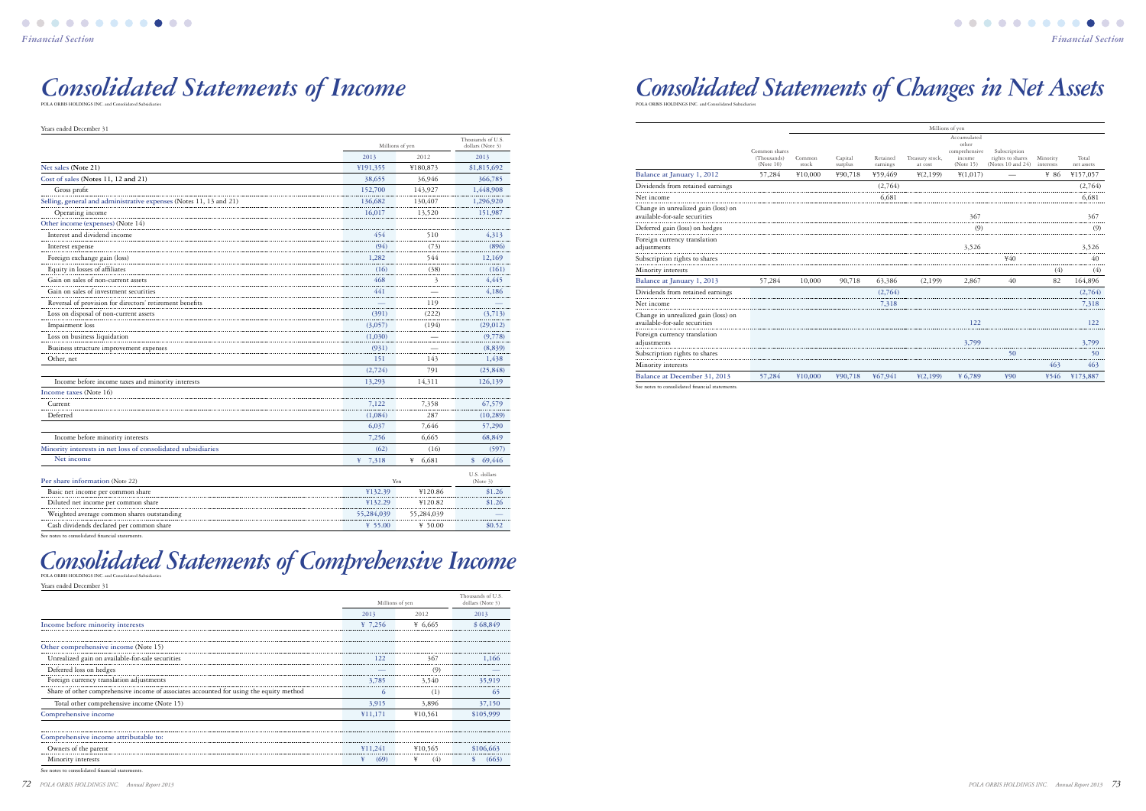# Consolidated Statements of Income



### Years ended December 31

| Millions of yen                                                    |             |            | Thousands of U.S.<br>dollars (Note 3) |  |
|--------------------------------------------------------------------|-------------|------------|---------------------------------------|--|
|                                                                    | 2013        | 2012       | 2013                                  |  |
| Net sales (Note 21)                                                | ¥191,355    | ¥180,873   | \$1,815,692                           |  |
| Cost of sales (Notes 11, 12 and 21)                                | 38,655      | 36,946     | 366,785                               |  |
| Gross profit                                                       | 152,700     | 143,927    | 1,448,908                             |  |
| Selling, general and administrative expenses (Notes 11, 13 and 21) | 136,682     | 130,407    | 1,296,920                             |  |
| Operating income                                                   | 16,017      | 13,520     | 151,987                               |  |
| Other income (expenses) (Note 14)                                  |             |            |                                       |  |
| Interest and dividend income                                       | 454         | 510        | 4,313                                 |  |
| Interest expense                                                   | (94)        | (73)       | (896)                                 |  |
| Foreign exchange gain (loss)                                       | 1,282       | 544        | 12,169                                |  |
| Equity in losses of affiliates                                     | (16)        | (38)       | (161)                                 |  |
| Gain on sales of non-current assets                                | 468         | 3          | 4,445                                 |  |
| Gain on sales of investment securities                             | 441         |            | 4,186                                 |  |
| Reversal of provision for directors' retirement benefits           |             | 119        |                                       |  |
| Loss on disposal of non-current assets                             | (391)       | (222)      | (3,713)                               |  |
| Impairment loss                                                    | (3,057)     | (194)      | (29, 012)                             |  |
| Loss on business liquidation                                       | (1,030)     |            | (9,778)                               |  |
| Business structure improvement expenses                            | (931)       |            | (8,839)                               |  |
| Other, net                                                         | 151         | 143        | 1,438                                 |  |
|                                                                    | (2,724)     | 791        | (25, 848)                             |  |
| Income before income taxes and minority interests                  | 13,293      | 14,311     | 126,139                               |  |
| Income taxes (Note 16)                                             |             |            |                                       |  |
| Current                                                            | 7,122       | 7,358      | 67,579                                |  |
| Deferred                                                           | (1,084)     | 287        | (10, 289)                             |  |
|                                                                    | 6,037       | 7,646      | 57,290                                |  |
| Income before minority interests                                   | 7,256       | 6,665      | 68,849                                |  |
| Minority interests in net loss of consolidated subsidiaries        | (62)        | (16)       | (597)                                 |  |
| Net income                                                         | $Y = 7,318$ | 6,681<br>¥ | $\mathbf{s}$<br>69,446                |  |
| Per share information (Note 22)                                    | Yen         |            | U.S. dollars<br>(Note 3)              |  |
| Basic net income per common share                                  | ¥132.39     | ¥120.86    | \$1.26                                |  |
| Diluted net income per common share                                | ¥132.29     | ¥120.82    | \$1.26                                |  |
| Weighted average common shares outstanding                         | 55,284,039  | 55,284,039 |                                       |  |
| Cash dividends declared per common share                           | ¥ $55.00$   | ¥ $50.00$  | \$0.52                                |  |
| See notes to consolidated financial statements.                    |             |            |                                       |  |

# Consolidated Statements of Comprehensive Income

Years ended December 31

|                                                                                         | Millions of yen |          | Thousands of U.S.<br>dollars (Note 3) |  |
|-----------------------------------------------------------------------------------------|-----------------|----------|---------------------------------------|--|
|                                                                                         | 2013            | 2012     | 2013                                  |  |
| Income before minority interests                                                        | ¥ 7,256         | ¥ 6.665  | \$68.849                              |  |
|                                                                                         |                 |          |                                       |  |
| Other comprehensive income (Note 15)                                                    |                 |          |                                       |  |
| Unrealized gain on available-for-sale securities                                        | 122             | 367      |                                       |  |
| Deferred loss on hedges                                                                 |                 | (9       |                                       |  |
| Foreign currency translation adjustments                                                | 3,785           | 3,540    | 35.919                                |  |
| Share of other comprehensive income of associates accounted for using the equity method | $\Omega$        | (1)      | -65                                   |  |
| Total other comprehensive income (Note 15)                                              | 3,915           | 3,896    | 37,150                                |  |
| Comprehensive income                                                                    | ¥11,171         | ¥10,561  | \$105,999                             |  |
|                                                                                         |                 |          |                                       |  |
| Comprehensive income attributable to:                                                   |                 |          |                                       |  |
| Owners of the parent                                                                    | ¥11,241         | ¥10,565  | \$106,663                             |  |
| Minority interests                                                                      | (69)            | (4)<br>¥ | (663)                                 |  |

See notes to consolidated financial statements.

# Consolidated Statements of Income *Consolidated Statements of Net Assets*

|                                                                      |                                           |                 |                    |                      |                            | Millions of yen                      |                                                       |                       |                     |
|----------------------------------------------------------------------|-------------------------------------------|-----------------|--------------------|----------------------|----------------------------|--------------------------------------|-------------------------------------------------------|-----------------------|---------------------|
|                                                                      |                                           |                 |                    |                      |                            | Accumulated<br>other                 |                                                       |                       |                     |
|                                                                      | Common shares<br>(Thousands)<br>(Note 10) | Common<br>stock | Capital<br>surplus | Retained<br>earnings | Treasury stock,<br>at cost | comprehensive<br>income<br>(Note 15) | Subscription<br>rights to shares<br>(Notes 10 and 24) | Minority<br>interests | Total<br>net assets |
| Balance at January 1, 2012                                           | 57,284                                    | ¥10,000         | ¥90,718            | ¥59,469              | $\frac{1}{2}(2,199)$       | $\frac{1}{2}(1,017)$                 |                                                       | ¥ 86                  | ¥157,057            |
| Dividends from retained earnings                                     |                                           |                 |                    | (2,764)              |                            |                                      |                                                       |                       | (2,764)             |
| Net income                                                           |                                           |                 |                    | 6,681                |                            |                                      |                                                       |                       | 6,681               |
| Change in unrealized gain (loss) on<br>available-for-sale securities |                                           |                 |                    |                      |                            | 367                                  |                                                       |                       | 367                 |
| Deferred gain (loss) on hedges                                       |                                           |                 |                    |                      |                            | (9)                                  |                                                       |                       | (9)                 |
| Foreign currency translation<br>adjustments                          |                                           |                 |                    |                      |                            | 3,526                                |                                                       |                       | 3,526               |
| Subscription rights to shares                                        |                                           |                 |                    |                      |                            |                                      | ¥40                                                   |                       | 40                  |
| Minority interests                                                   |                                           |                 |                    |                      |                            |                                      |                                                       | (4)                   | (4)                 |
| Balance at January 1, 2013                                           | 57,284                                    | 10,000          | 90,718             | 63,386               | (2,199)                    | 2,867                                | 40                                                    | 82                    | 164,896             |
| Dividends from retained earnings                                     |                                           |                 |                    | (2,764)              |                            |                                      |                                                       |                       | (2,764)             |
| Net income                                                           |                                           |                 |                    | 7,318                |                            |                                      |                                                       |                       | 7,318               |
| Change in unrealized gain (loss) on<br>available-for-sale securities |                                           |                 |                    |                      |                            | 122                                  |                                                       |                       | 122                 |
| Foreign currency translation<br>adjustments                          |                                           |                 |                    |                      |                            | 3,799                                |                                                       |                       | 3,799               |
| Subscription rights to shares                                        |                                           |                 |                    |                      |                            |                                      | 50                                                    |                       | 50                  |
| Minority interests                                                   |                                           |                 |                    |                      |                            |                                      |                                                       | 463                   | 463                 |
| Balance at December 31, 2013                                         | 57,284                                    | ¥10,000         | ¥90,718            | ¥67,941              | Y(2,199)                   | ¥ 6,789                              | ¥90                                                   | ¥546                  | ¥173,887            |
| Paa mana na aamaalidanad finamaial ananamaanaa                       |                                           |                 |                    |                      |                            |                                      |                                                       |                       |                     |

See notes to consolidated financial statements.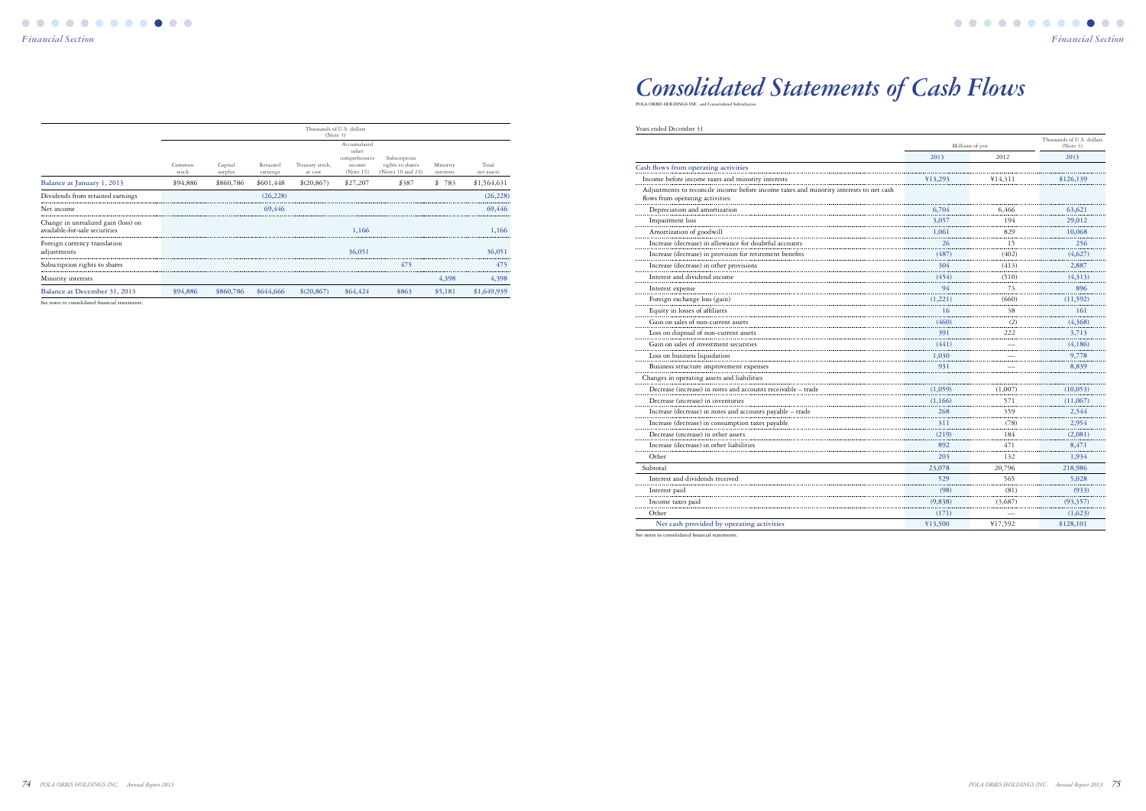

|                                                                      |                 | Thousands of U.S. dollars<br>(Note 3) |                      |                            |                                                              |                                                       |                       |                     |  |
|----------------------------------------------------------------------|-----------------|---------------------------------------|----------------------|----------------------------|--------------------------------------------------------------|-------------------------------------------------------|-----------------------|---------------------|--|
|                                                                      | Common<br>stock | Capital<br>surplus                    | Retained<br>earnings | Treasury stock,<br>at cost | Accumulated<br>other<br>comprehensive<br>income<br>(Note 15) | Subscription<br>rights to shares<br>(Notes 10 and 24) | Minority<br>interests | Total<br>net assets |  |
| Balance at January 1, 2013                                           | \$94,886        | \$860,786                             | \$601,448            | \$(20,867)                 | \$27,207                                                     | \$387                                                 | \$783                 | \$1,564,631         |  |
| Dividends from retained earnings                                     |                 |                                       | (26.228)             |                            |                                                              |                                                       |                       |                     |  |
| Net income                                                           |                 |                                       | 69.446               |                            |                                                              |                                                       |                       | 69.446              |  |
| Change in unrealized gain (loss) on<br>available-for-sale securities |                 |                                       |                      |                            | 1.166                                                        |                                                       |                       | .166                |  |
| Foreign currency translation<br>adjustments                          |                 |                                       |                      |                            | 36,051                                                       |                                                       |                       | 36.051              |  |
| Subscription rights to shares                                        |                 |                                       |                      |                            |                                                              | 475                                                   |                       | 475                 |  |
| Minority interests                                                   |                 |                                       |                      |                            |                                                              |                                                       | 4.398                 | 4.398               |  |
| Balance at December 31, 2013                                         | \$94,886        | \$860,786                             | \$644,666            | \$(20, 867)                | \$64,424                                                     | \$863                                                 | \$5,181               | \$1,649,939         |  |

See notes to consolidated financial statements.

# Consolidated Statements of Cash Flows

### Years ended December 31

|                                                                                                                            | Millions of yen |         | Thousands of U.S. dollars<br>(Note 3) |
|----------------------------------------------------------------------------------------------------------------------------|-----------------|---------|---------------------------------------|
|                                                                                                                            | 2013            | 2012    | 2013                                  |
| Cash flows from operating activities                                                                                       |                 |         |                                       |
| Income before income taxes and minority interests                                                                          | ¥13,293         | ¥14,311 | \$126,139                             |
| Adjustments to reconcile income before income taxes and minority interests to net cash<br>flows from operating activities: |                 |         |                                       |
| Depreciation and amortization                                                                                              | 6,704           | 6,466   | 63,621                                |
| Impairment loss                                                                                                            | 3,057           | 194     | 29,012                                |
| Amortization of goodwill                                                                                                   | 1.061           | 829     | 10,068                                |
| Increase (decrease) in allowance for doubtful accounts                                                                     | 26              | 15      | 256                                   |
| Increase (decrease) in provision for retirement benefits                                                                   | (487)           | (402)   | (4,627)                               |
| Increase (decrease) in other provisions                                                                                    | 304             | (413)   | 2,887                                 |
| Interest and dividend income                                                                                               | (454)           | (510)   | (4,313)                               |
| Interest expense                                                                                                           | 94              | 73      | 896                                   |
| Foreign exchange loss (gain)                                                                                               | (1,221)         | (660)   | (11,592)                              |
| Equity in losses of affiliates                                                                                             | 16              | 38      | 161                                   |
| Gain on sales of non-current assets                                                                                        | (460)           | (2)     | (4,368)                               |
| Loss on disposal of non-current assets                                                                                     | 391             | 222     | 3,713                                 |
| Gain on sales of investment securities                                                                                     | (441)           |         | (4,186)                               |
| Loss on business liquidation                                                                                               | 1,030           |         | 9,778                                 |
| Business structure improvement expenses                                                                                    | 931             |         | 8,839                                 |
| Changes in operating assets and liabilities                                                                                |                 |         |                                       |
| Decrease (increase) in notes and accounts receivable - trade                                                               | (1,059)         | (1,007) | (10,053)                              |
| Decrease (increase) in inventories                                                                                         | (1,166)         | 571     | (11,067)                              |
| Increase (decrease) in notes and accounts payable - trade                                                                  | 268             | 359     | 2,544                                 |
| Increase (decrease) in consumption taxes payable                                                                           | 311             | (78)    | 2,954                                 |
| Decrease (increase) in other assets                                                                                        | (219)           | 184     | (2,081)                               |
| Increase (decrease) in other liabilities                                                                                   | 892             | 471     | 8,471                                 |
| Other                                                                                                                      | 203             | 132     | 1,934                                 |
| Subtotal                                                                                                                   | 23,078          | 20,796  | 218,986                               |
| Interest and dividends received                                                                                            | 529             | 565     | 5,028                                 |
| Interest paid                                                                                                              | (98)            | (81)    | (933)                                 |
| Income taxes paid                                                                                                          | (9,838)         | (3,687) | (93, 357)                             |
| Other                                                                                                                      | (171)           |         | (1,623)                               |
| Net cash provided by operating activities                                                                                  | ¥13,500         | ¥17,592 | \$128,101                             |

See notes to consolidated financial statements.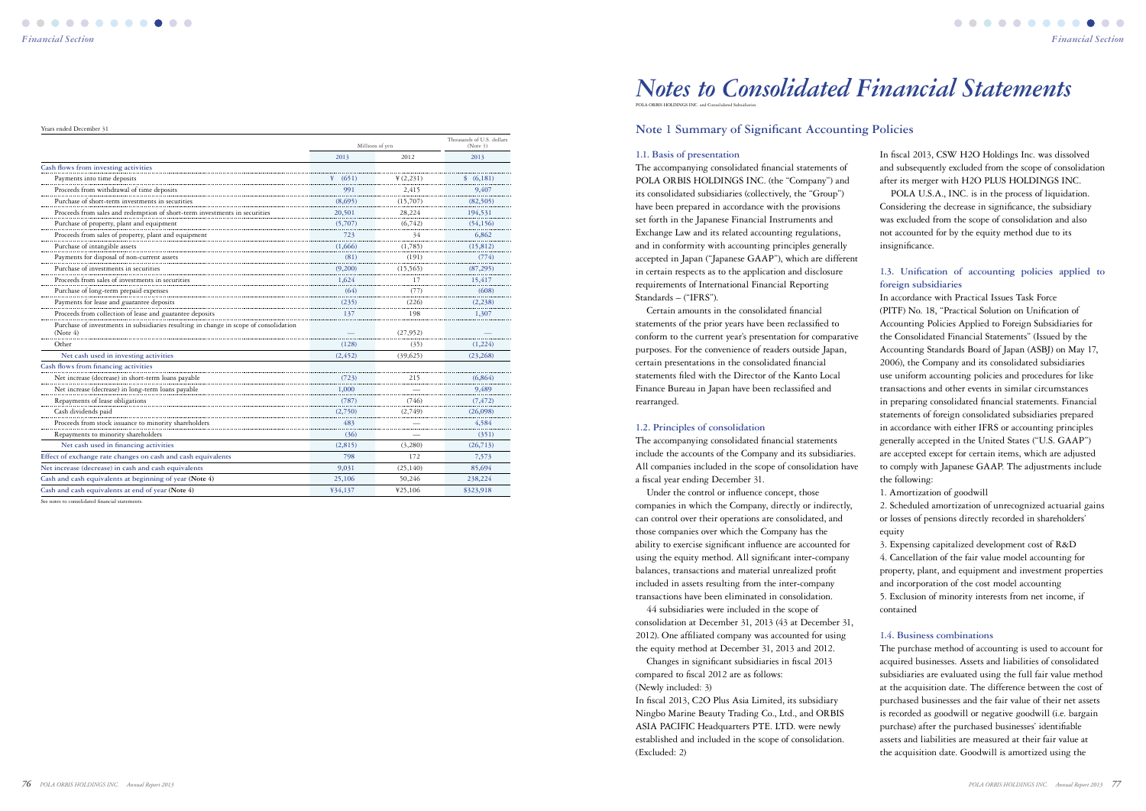

### Years ended December 31

|                                                                                                   | Millions of yen |           | Thousands of U.S. dollars<br>(Note 3) |  |
|---------------------------------------------------------------------------------------------------|-----------------|-----------|---------------------------------------|--|
|                                                                                                   | 2013            | 2012      | 2013                                  |  |
| Cash flows from investing activities                                                              |                 |           |                                       |  |
| Payments into time deposits                                                                       | (651)           | ¥ (2,231) | \$ (6,181)                            |  |
| Proceeds from withdrawal of time deposits                                                         | 991             | 2,415     | 9,407                                 |  |
| Purchase of short-term investments in securities                                                  | (8,695)         | (15,707)  | (82,505)                              |  |
| Proceeds from sales and redemption of short-term investments in securities                        | 20,501          | 28,224    | 194,531                               |  |
| Purchase of property, plant and equipment                                                         | (5,707)         | (6,742)   | (54, 156)                             |  |
| Proceeds from sales of property, plant and equipment                                              | 723             | 34        | 6,862                                 |  |
| Purchase of intangible assets                                                                     | (1,666)         | (1,785)   | (15, 812)                             |  |
| Payments for disposal of non-current assets                                                       | (81)            | (191)     | (774)                                 |  |
| Purchase of investments in securities                                                             | (9,200)         | (15, 565) | (87, 295)                             |  |
| Proceeds from sales of investments in securities                                                  | 1,624           | 17        | 15,417                                |  |
| Purchase of long-term prepaid expenses                                                            | (64)            | (77)      | (608)                                 |  |
| Payments for lease and guarantee deposits                                                         | (235)           | (226)     | (2,238)                               |  |
| Proceeds from collection of lease and guarantee deposits                                          | 137             | 198       | 1,307                                 |  |
| Purchase of investments in subsidiaries resulting in change in scope of consolidation<br>(Note 4) |                 | (27,952)  |                                       |  |
| Other                                                                                             | (128)           | (35)      | (1,224)                               |  |
| Net cash used in investing activities                                                             | (2, 452)        | (39,625)  | (23, 268)                             |  |
| Cash flows from financing activities                                                              |                 |           |                                       |  |
| Net increase (decrease) in short-term loans payable                                               | (723)           | 215       | (6,864)                               |  |
| Net increase (decrease) in long-term loans payable                                                | 1.000           |           | 9,489                                 |  |
| Repayments of lease obligations                                                                   | (787)           | (746)     | (7, 472)                              |  |
| Cash dividends paid                                                                               | (2,750)         | (2,749)   | (26,098)                              |  |
| Proceeds from stock issuance to minority shareholders                                             | 483             |           | 4,584                                 |  |
| Repayments to minority shareholders                                                               | (36)            |           | (351)                                 |  |
| Net cash used in financing activities                                                             | (2,815)         | (3,280)   | (26,713)                              |  |
| Effect of exchange rate changes on cash and cash equivalents                                      | 798             | 172       | 7,573                                 |  |
| Net increase (decrease) in cash and cash equivalents                                              | 9,031           | (25, 140) | 85,694                                |  |
| Cash and cash equivalents at beginning of year (Note 4)                                           | 25,106          | 50,246    | 238,224                               |  |
| Cash and cash equivalents at end of year (Note 4)                                                 | ¥34,137         | ¥25,106   | \$323,918                             |  |

See notes to consolidated financial statement

## **Note 1 Summary of Significant Accounting Policies**

### **1.1. Basis of presentation**

The accompanying consolidated financial statements of POLA ORBIS HOLDINGS INC. (the "Company") and its consolidated subsidiaries (collectively, the "Group") have been prepared in accordance with the provisions set forth in the Japanese Financial Instruments and Exchange Law and its related accounting regulations, and in conformity with accounting principles generally accepted in Japan ("Japanese GAAP"), which are different in certain respects as to the application and disclosure requirements of International Financial Reporting Standards – ("IFRS").

Certain amounts in the consolidated financial statements of the prior years have been reclassified to conform to the current year's presentation for comparative purposes. For the convenience of readers outside Japan, certain presentations in the consolidated financial statements filed with the Director of the Kanto Local Finance Bureau in Japan have been reclassified and rearranged.

### **1.2. Principles of consolidation**

The accompanying consolidated financial statements include the accounts of the Company and its subsidiaries. All companies included in the scope of consolidation have a fiscal year ending December 31.

Under the control or influence concept, those companies in which the Company, directly or indirectly, can control over their operations are consolidated, and those companies over which the Company has the ability to exercise significant influence are accounted for using the equity method. All significant inter-company balances, transactions and material unrealized profit included in assets resulting from the inter-company transactions have been eliminated in consolidation.

44 subsidiaries were included in the scope of consolidation at December 31, 2013 (43 at December 31, 2012). One affiliated company was accounted for using the equity method at December 31, 2013 and 2012.

Changes in significant subsidiaries in fiscal 2013 compared to fiscal 2012 are as follows: (Newly included: 3)

In fiscal 2013, C2O Plus Asia Limited, its subsidiary Ningbo Marine Beauty Trading Co., Ltd., and ORBIS ASIA PACIFIC Headquarters PTE. LTD. were newly established and included in the scope of consolidation. (Excluded: 2)

In fiscal 2013, CSW H2O Holdings Inc. was dissolved and subsequently excluded from the scope of consolidation after its merger with H2O PLUS HOLDINGS INC.

POLA U.S.A., INC. is in the process of liquidation. Considering the decrease in significance, the subsidiary was excluded from the scope of consolidation and also not accounted for by the equity method due to its insignificance.

# **1.3. Unification of accounting policies applied to foreign subsidiaries**

In accordance with Practical Issues Task Force (PITF) No. 18, "Practical Solution on Unification of Accounting Policies Applied to Foreign Subsidiaries for the Consolidated Financial Statements" (Issued by the Accounting Standards Board of Japan (ASBJ) on May 17, 2006), the Company and its consolidated subsidiaries use uniform accounting policies and procedures for like transactions and other events in similar circumstances in preparing consolidated financial statements. Financial statements of foreign consolidated subsidiaries prepared in accordance with either IFRS or accounting principles generally accepted in the United States ("U.S. GAAP") are accepted except for certain items, which are adjusted to comply with Japanese GAAP. The adjustments include the following:

1. Amortization of goodwill

2. Scheduled amortization of unrecognized actuarial gains or losses of pensions directly recorded in shareholders' equity

3. Expensing capitalized development cost of R&D

4. Cancellation of the fair value model accounting for property, plant, and equipment and investment properties and incorporation of the cost model accounting 5. Exclusion of minority interests from net income, if

contained

### **1.4. Business combinations**

The purchase method of accounting is used to account for acquired businesses. Assets and liabilities of consolidated subsidiaries are evaluated using the full fair value method at the acquisition date. The difference between the cost of purchased businesses and the fair value of their net assets is recorded as goodwill or negative goodwill (i.e. bargain purchase) after the purchased businesses' identifiable assets and liabilities are measured at their fair value at the acquisition date. Goodwill is amortized using the

POLA ORBIS HOLDINGS INC. and Consolidated Subsidiaries

# *Notes to Consolidated Financial Statements*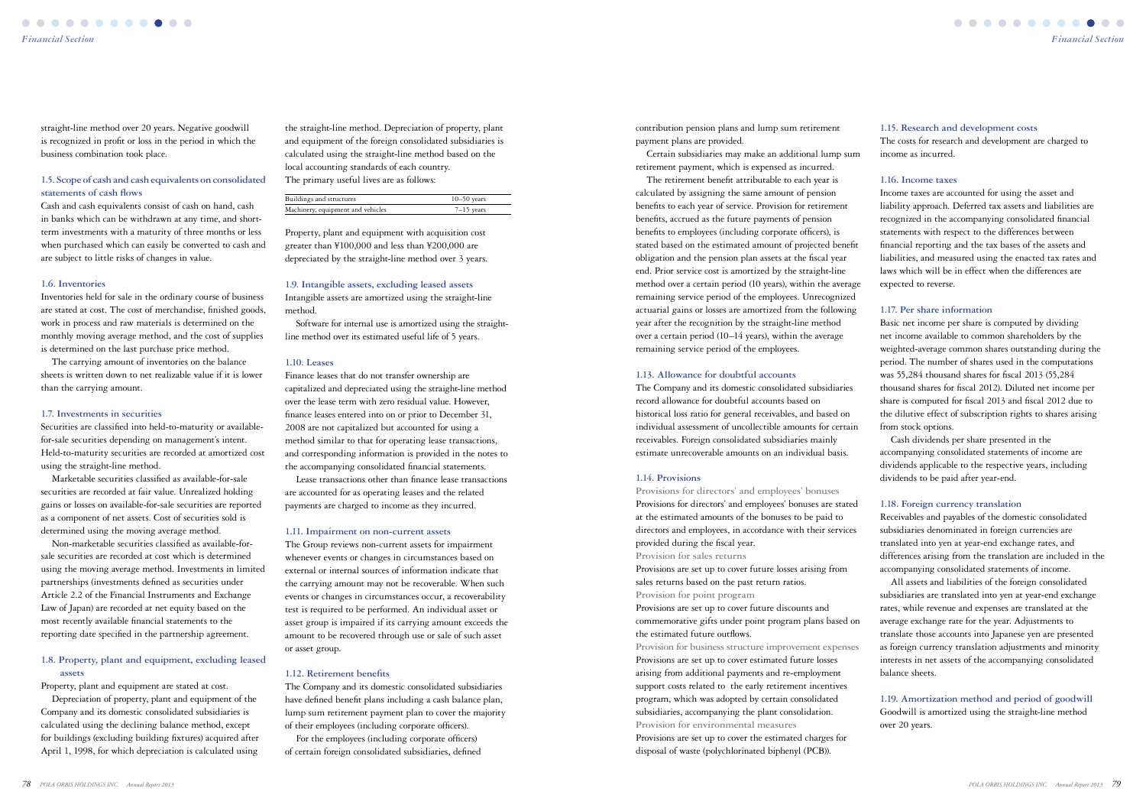

straight-line method over 20 years. Negative goodwill is recognized in profit or loss in the period in which the business combination took place.

# **1.5. Scope of cash and cash equivalents on consolidated statements of cash flows**

Cash and cash equivalents consist of cash on hand, cash in banks which can be withdrawn at any time, and shortterm investments with a maturity of three months or less when purchased which can easily be converted to cash and are subject to little risks of changes in value.

### **1.6. Inventories**

Inventories held for sale in the ordinary course of business are stated at cost. The cost of merchandise, finished goods, work in process and raw materials is determined on the monthly moving average method, and the cost of supplies is determined on the last purchase price method.

The carrying amount of inventories on the balance sheets is written down to net realizable value if it is lower than the carrying amount.

### **1.7. Investments in securities**

Securities are classified into held-to-maturity or availablefor-sale securities depending on management's intent. Held-to-maturity securities are recorded at amortized cost using the straight-line method.

Marketable securities classified as available-for-sale securities are recorded at fair value. Unrealized holding gains or losses on available-for-sale securities are reported as a component of net assets. Cost of securities sold is determined using the moving average method.

Non-marketable securities classified as available-forsale securities are recorded at cost which is determined using the moving average method. Investments in limited partnerships (investments defined as securities under Article 2.2 of the Financial Instruments and Exchange Law of Japan) are recorded at net equity based on the most recently available financial statements to the reporting date specified in the partnership agreement.

# **1.8. Property, plant and equipment, excluding leased assets**

Property, plant and equipment are stated at cost.

Depreciation of property, plant and equipment of the Company and its domestic consolidated subsidiaries is calculated using the declining balance method, except for buildings (excluding building fixtures) acquired after April 1, 1998, for which depreciation is calculated using

the straight-line method. Depreciation of property, plant and equipment of the foreign consolidated subsidiaries is calculated using the straight-line method based on the local accounting standards of each country. The primary useful lives are as follows:

| Buildings and structures          | $10-50$ years |
|-----------------------------------|---------------|
| Machinery, equipment and vehicles | $7-15$ years  |
|                                   |               |

Property, plant and equipment with acquisition cost greater than ¥100,000 and less than ¥200,000 are depreciated by the straight-line method over 3 years.

**1.9. Intangible assets, excluding leased assets** Intangible assets are amortized using the straight-line method.

Software for internal use is amortized using the straightline method over its estimated useful life of 5 years.

### **1.10. Leases**

Finance leases that do not transfer ownership are capitalized and depreciated using the straight-line method over the lease term with zero residual value. However, finance leases entered into on or prior to December 31, 2008 are not capitalized but accounted for using a method similar to that for operating lease transactions, and corresponding information is provided in the notes to the accompanying consolidated financial statements.

Lease transactions other than finance lease transactions are accounted for as operating leases and the related payments are charged to income as they incurred.

### **1.11. Impairment on non-current assets**

The Group reviews non-current assets for impairment whenever events or changes in circumstances based on external or internal sources of information indicate that the carrying amount may not be recoverable. When such events or changes in circumstances occur, a recoverability test is required to be performed. An individual asset or asset group is impaired if its carrying amount exceeds the amount to be recovered through use or sale of such asset or asset group.

### **1.12. Retirement benefits**

The Company and its domestic consolidated subsidiaries have defined benefit plans including a cash balance plan, lump sum retirement payment plan to cover the majority of their employees (including corporate officers).

For the employees (including corporate officers) of certain foreign consolidated subsidiaries, defined contribution pension plans and lump sum retirement payment plans are provided.

Certain subsidiaries may make an additional lump sum retirement payment, which is expensed as incurred.

The retirement benefit attributable to each year is calculated by assigning the same amount of pension benefits to each year of service. Provision for retirement benefits, accrued as the future payments of pension benefits to employees (including corporate officers), is stated based on the estimated amount of projected benefit obligation and the pension plan assets at the fiscal year end. Prior service cost is amortized by the straight-line method over a certain period (10 years), within the average remaining service period of the employees. Unrecognized actuarial gains or losses are amortized from the following year after the recognition by the straight-line method over a certain period (10–14 years), within the average remaining service period of the employees.

# **1.13. Allowance for doubtful accounts**

The Company and its domestic consolidated subsidiaries record allowance for doubtful accounts based on historical loss ratio for general receivables, and based on individual assessment of uncollectible amounts for certain receivables. Foreign consolidated subsidiaries mainly estimate unrecoverable amounts on an individual basis.

### **1.14. Provisions**

**Provisions for directors' and employees' bonuses** Provisions for directors' and employees' bonuses are stated at the estimated amounts of the bonuses to be paid to directors and employees, in accordance with their services provided during the fiscal year. **Provision for sales returns** Provisions are set up to cover future losses arising from sales returns based on the past return ratios. **Provision for point program** Provisions are set up to cover future discounts and commemorative gifts under point program plans based on the estimated future outflows. **Provision for business structure improvement expenses** Provisions are set up to cover estimated future losses arising from additional payments and re-employment support costs related to the early retirement incentives program, which was adopted by certain consolidated subsidiaries, accompanying the plant consolidation. **Provision for environmental measures**

Provisions are set up to cover the estimated charges for disposal of waste (polychlorinated biphenyl (PCB)).

### **1.15. Research and development costs**

The costs for research and development are charged to income as incurred.

### **1.16. Income taxes**

Income taxes are accounted for using the asset and liability approach. Deferred tax assets and liabilities are recognized in the accompanying consolidated financial statements with respect to the differences between financial reporting and the tax bases of the assets and liabilities, and measured using the enacted tax rates and laws which will be in effect when the differences are expected to reverse.

### **1.17. Per share information**

Basic net income per share is computed by dividing net income available to common shareholders by the weighted-average common shares outstanding during the period. The number of shares used in the computations was 55,284 thousand shares for fiscal 2013 (55,284 thousand shares for fiscal 2012). Diluted net income per share is computed for fiscal 2013 and fiscal 2012 due to the dilutive effect of subscription rights to shares arising from stock options.

Cash dividends per share presented in the accompanying consolidated statements of income are dividends applicable to the respective years, including dividends to be paid after year-end.

### **1.18. Foreign currency translation**

Receivables and payables of the domestic consolidated subsidiaries denominated in foreign currencies are translated into yen at year-end exchange rates, and differences arising from the translation are included in the accompanying consolidated statements of income.

All assets and liabilities of the foreign consolidated subsidiaries are translated into yen at year-end exchange rates, while revenue and expenses are translated at the average exchange rate for the year. Adjustments to translate those accounts into Japanese yen are presented as foreign currency translation adjustments and minority interests in net assets of the accompanying consolidated balance sheets.

# **1.19. Amortization method and period of goodwill** Goodwill is amortized using the straight-line method over 20 years.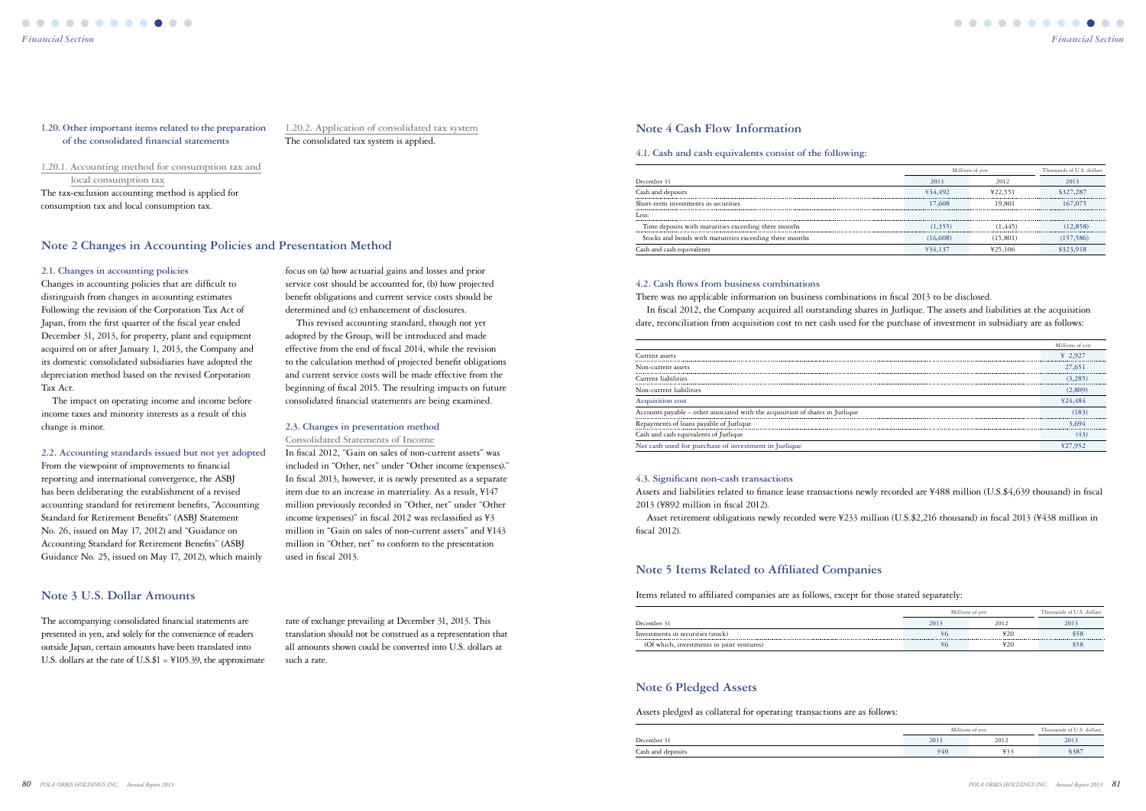

**1.20. Other important items related to the preparation of the consolidated financial statements**

# **1.20.1. Accounting method for consumption tax and**

**local consumption tax** The tax-exclusion accounting method is applied for consumption tax and local consumption tax.

**1.20.2. Application of consolidated tax system** The consolidated tax system is applied.

# **Note 2 Changes in Accounting Policies and Presentation Method**

# **Note 3 U.S. Dollar Amounts**

### **2.1. Changes in accounting policies**

Changes in accounting policies that are difficult to distinguish from changes in accounting estimates Following the revision of the Corporation Tax Act of Japan, from the first quarter of the fiscal year ended December 31, 2013, for property, plant and equipment acquired on or after January 1, 2013, the Company and its domestic consolidated subsidiaries have adopted the depreciation method based on the revised Corporation Tax Act.

The impact on operating income and income before income taxes and minority interests as a result of this change is minor.

### **2.2. Accounting standards issued but not yet adopted**

From the viewpoint of improvements to financial reporting and international convergence, the ASBJ has been deliberating the establishment of a revised accounting standard for retirement benefits, "Accounting Standard for Retirement Benefits" (ASBJ Statement No. 26, issued on May 17, 2012) and "Guidance on Accounting Standard for Retirement Benefits" (ASBJ Guidance No. 25, issued on May 17, 2012), which mainly

focus on (a) how actuarial gains and losses and prior service cost should be accounted for, (b) how projected benefit obligations and current service costs should be determined and (c) enhancement of disclosures.

This revised accounting standard, though not yet adopted by the Group, will be introduced and made effective from the end of fiscal 2014, while the revision to the calculation method of projected benefit obligations and current service costs will be made effective from the beginning of fiscal 2015. The resulting impacts on future consolidated financial statements are being examined.

### **2.3. Changes in presentation method**

### **Consolidated Statements of Income**

In fiscal 2012, "Gain on sales of non-current assets" was included in "Other, net" under "Other income (expenses)." In fiscal 2013, however, it is newly presented as a separate item due to an increase in materiality. As a result, ¥147 million previously recorded in "Other, net" under "Other income (expenses)" in fiscal 2012 was reclassified as ¥3 million in "Gain on sales of non-current assets" and ¥143 million in "Other, net" to conform to the presentation used in fiscal 2013.

The accompanying consolidated financial statements are presented in yen, and solely for the convenience of readers outside Japan, certain amounts have been translated into U.S. dollars at the rate of U.S.\$1 = ¥105.39, the approximate rate of exchange prevailing at December 31, 2013. This translation should not be construed as a representation that all amounts shown could be converted into U.S. dollars at such a rate.

# **Note 4 Cash Flow Information**

### **4.2. Cash flows from business combinations**

There was no applicable information on business combinations in fiscal 2013 to be disclosed.

In fiscal 2012, the Company acquired all outstanding shares in Jurlique. The assets and liabilities at the acquisition date, reconciliation from acquisition cost to net cash used for the purchase of investment in subsidiary are as follows:

|                                                                                | Millions of ye |
|--------------------------------------------------------------------------------|----------------|
| Current assets                                                                 | $Y$ 2.927      |
| Non-current assets                                                             | 27,651         |
| Current liabilities                                                            | (3.285)        |
| Non-current liabilities                                                        | 2.809)         |
| <b>Acquisition cost</b>                                                        | ¥24.484        |
| Accounts payable – other associated with the acquisition of shares in Jurlique | 183            |
| Repayments of loans payable of Jurlique                                        | 3.694          |
| Cash and cash equivalents of Jurlique                                          |                |
| Net cash used for purchase of investment in Jurlique                           |                |

### **4.3. Significant non-cash transactions**

Assets and liabilities related to finance lease transactions newly recorded are ¥488 million (U.S.\$4,639 thousand) in fiscal 2013 (¥892 million in fiscal 2012).

Asset retirement obligations newly recorded were ¥233 million (U.S.\$2,216 thousand) in fiscal 2013 (¥438 million in fiscal 2012).

### **4.1. Cash and cash equivalents consist of the following:**

|                                                         | Millions of yen |          | Thousands of U.S. dollars |
|---------------------------------------------------------|-----------------|----------|---------------------------|
| December 31                                             | 2013            | 2012     | 2013                      |
| Cash and deposits                                       | ¥34.492         | 422.551  | \$327.287                 |
| Short-term investments in securities                    | 17.608          | 19.801   | 167,075                   |
| Less:                                                   |                 |          |                           |
| Time deposits with maturities exceeding three months    | (1.355)         | -445     |                           |
| Stocks and bonds with maturities exceeding three months | (16.608)        | (15.801) | 157,586)                  |
| Cash and cash equivalents                               | 734.137         | ¥25.106  | 323.918                   |

Items related to affiliated companies are as follows, except for those stated separately:

|                                           |     |      | Thousands of     |
|-------------------------------------------|-----|------|------------------|
| December 3'                               | 201 | 2012 | 201 <sup>2</sup> |
| Investments in securities (stock)         |     |      |                  |
| (Of which, investments in joint ventures) |     |      |                  |

Assets pledged as collateral for operating transactions are as follows:

| Millions of yen |      | Thousands of U.S. dollars |
|-----------------|------|---------------------------|
| 2013            | 2012 | 2013                      |
|                 | ¥33  | \$387                     |

| $\sim$<br>December | 201          | 2012                           | 201          |
|--------------------|--------------|--------------------------------|--------------|
| Cash and deposits  | $- -$<br>740 | $\mathbf{v}$<br>x<br>$\cdot$ . | $20 -$<br>ൊറ |

# **Note 5 Items Related to Affiliated Companies**

# **Note 6 Pledged Assets**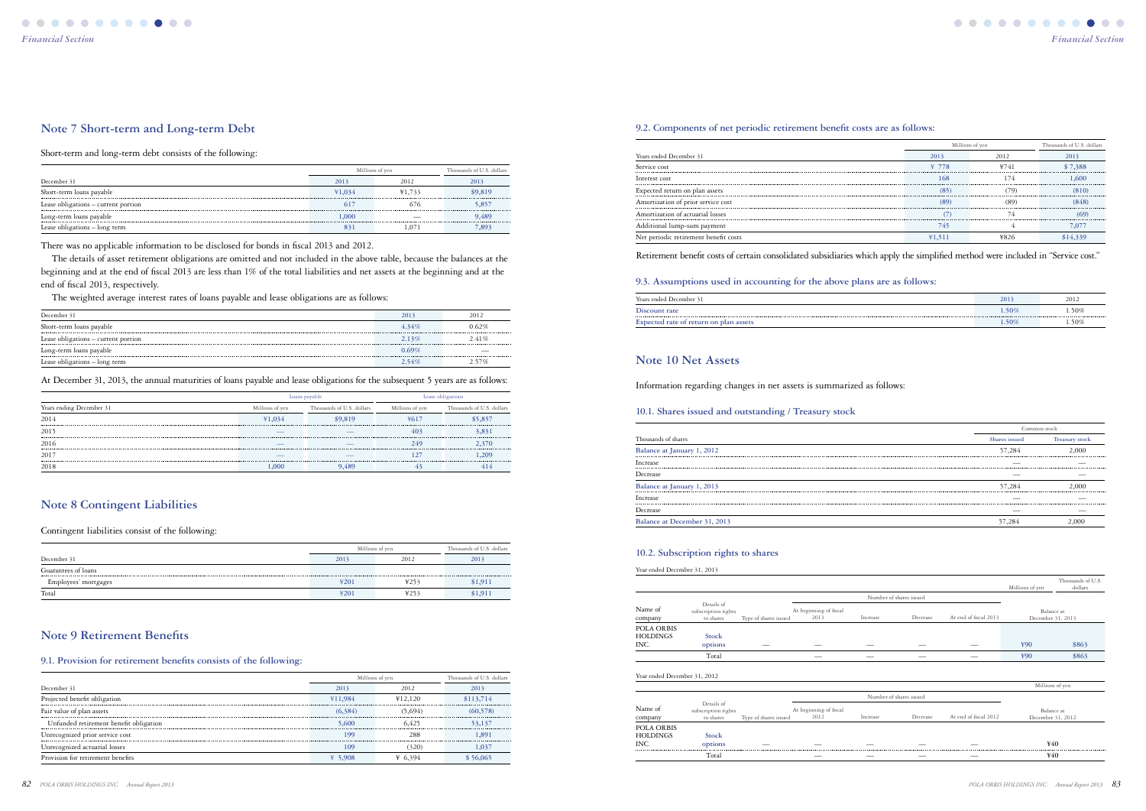

# **9.1. Provision for retirement benefits consists of the following:**

|                                        | Millions of yen |         | Thousands of U.S. dollars |  |
|----------------------------------------|-----------------|---------|---------------------------|--|
| December 31                            | 2013            | 2012    | 2013                      |  |
| Projected benefit obligation           | ¥11.984         | ¥12.120 | \$113,714                 |  |
| Fair value of plan assets              | (6.384)         | -694)   | (60.578)                  |  |
| Unfunded retirement benefit obligation | 5.600           |         | 53.137                    |  |
| Unrecognized prior service cost        | QC              | 288     | L.891                     |  |
| Unrecognized actuarial losses          | 109             |         | 1.037                     |  |
| Provision for retirement benefits      | 5.908           |         |                           |  |

Short-term and long-term debt consists of the following:

|                                     | Millions of ven |      | Thousands of U.S. dollars |
|-------------------------------------|-----------------|------|---------------------------|
| December 31                         | 2013            | 2012 |                           |
| Short-term loans payable            |                 | 735  |                           |
| Lease obligations - current portion |                 |      |                           |
| Long-term loans payable             | .000            |      |                           |
| long term                           |                 |      |                           |

There was no applicable information to be disclosed for bonds in fiscal 2013 and 2012.

The details of asset retirement obligations are omitted and not included in the above table, because the balances at the beginning and at the end of fiscal 2013 are less than 1% of the total liabilities and net assets at the beginning and at the end of fiscal 2013, respectively.

The weighted average interest rates of loans payable and lease obligations are as follows:

| December 31                         | 2013  | 2012  |
|-------------------------------------|-------|-------|
| Short-term loans payable            | 4.34% | 0.62% |
| Lease obligations – current portion | 2.13% | 2.41% |
| Long-term loans payable             | 0.69% |       |
| Lease obligations - long term       | 2.54% |       |

At December 31, 2013, the annual maturities of loans payable and lease obligations for the subsequent 5 years are as follows:

|                          |                 | Lease obligations         |                 |                           |
|--------------------------|-----------------|---------------------------|-----------------|---------------------------|
| Years ending December 31 | Millions of ven | Thousands of U.S. dollars | Millions of ven | Thousands of U.S. dollars |
| 2014                     | ¥1.034          | \$9.819                   |                 |                           |
| 2015                     | $\frac{1}{2}$   |                           |                 |                           |
| 2016                     |                 |                           |                 |                           |
| 2017                     |                 |                           |                 |                           |
| 2018                     |                 |                           |                 |                           |

### Contingent liabilities consist of the following:

|                      | Millions of ven |      | Thousands of U.S. dollars |
|----------------------|-----------------|------|---------------------------|
| December 31          | 2013            | 2012 | 2013                      |
| Guarantees of loans  |                 |      |                           |
| Employees' mortgages | ¥201            |      | \$1.911                   |
| Total                | ¥201            |      | \$1,911                   |

# **Note 9 Retirement Benefits**

# **Note 7 Short-term and Long-term Debt**

# **Note 8 Contingent Liabilities**

Information regarding changes in net assets is summarized as follows:

# **10.1. Shares issued and outstanding / Treasury stock**

|                              | Common stock  |                       |  |
|------------------------------|---------------|-----------------------|--|
| Thousands of shares          | Shares issued | <b>Treasury stock</b> |  |
| Balance at January 1, 2012   | 57.284        | 2.000                 |  |
| Increase                     |               |                       |  |
| Decrease                     |               |                       |  |
| Balance at January 1, 2013   | 57.284        | 2.000                 |  |
| Increase                     |               |                       |  |
| Decrease                     |               |                       |  |
| Balance at December 31, 2013 | 57.284        | 2.000                 |  |

### **10.2. Subscription rights to shares**

Year ended December 31, 2013

|                                           |                                                |                       |                                |          |                         |                       | Millions of yen | Thousands of U.S.<br>dollars    |
|-------------------------------------------|------------------------------------------------|-----------------------|--------------------------------|----------|-------------------------|-----------------------|-----------------|---------------------------------|
|                                           |                                                |                       |                                |          | Number of shares issued |                       |                 |                                 |
| Name of<br>company                        | Details of<br>subscription rights<br>to shares | Type of shares issued | At beginning of fiscal<br>2013 | Increase | Decrease                | At end of fiscal 2013 |                 | Balance at<br>December 31, 2013 |
| POLA ORBIS<br><b>HOLDINGS</b><br>INC.     | <b>Stock</b><br>options                        |                       |                                |          |                         |                       | ¥90             | \$863                           |
|                                           | Total                                          |                       |                                |          |                         |                       | ¥90             | \$863                           |
| Year ended December 31, 2012              |                                                |                       |                                |          |                         |                       |                 | Millions of yen                 |
|                                           | Details of                                     |                       |                                |          | Number of shares issued |                       |                 |                                 |
| Name of<br>company                        | subscription rights<br>to shares               | Type of shares issued | At beginning of fiscal<br>2012 | Increase | Decrease                | At end of fiscal 2012 |                 | Balance at<br>December 31, 2012 |
| POLA ORBIS<br><b>HOLDINGS</b><br>INC.<br> | <b>Stock</b><br>options                        |                       |                                |          |                         |                       |                 | ¥40                             |
|                                           | Total                                          |                       |                                |          |                         |                       |                 | ¥40                             |

# **Note 10 Net Assets**

### **9.2. Components of net periodic retirement benefit costs are as follows:**

|                                       | Millions of yen | Thousands of U.S. dollars |         |
|---------------------------------------|-----------------|---------------------------|---------|
| Years ended December 31               | 2013            | 2012                      | 2013    |
| Service cost                          | ¥ 778           |                           | \$7,388 |
| Interest cost                         | -68             |                           | -600    |
| Expected return on plan assets        |                 |                           |         |
| Amortization of prior service cost    |                 |                           |         |
| Amortization of actuarial losses      |                 |                           |         |
| Additional lump-sum payment           |                 |                           |         |
| Net periodic retirement benefit costs | ¥1,511          |                           |         |

Retirement benefit costs of certain consolidated subsidiaries which apply the simplified method were included in "Service cost."

# **9.3. Assumptions used in accounting for the above plans are as follows:**

| Years ended December 31                | $201 -$ | 2012 |
|----------------------------------------|---------|------|
| Discount rate                          | .50%    | .50% |
| Expected rate of return on plan assets | .50%    | .50% |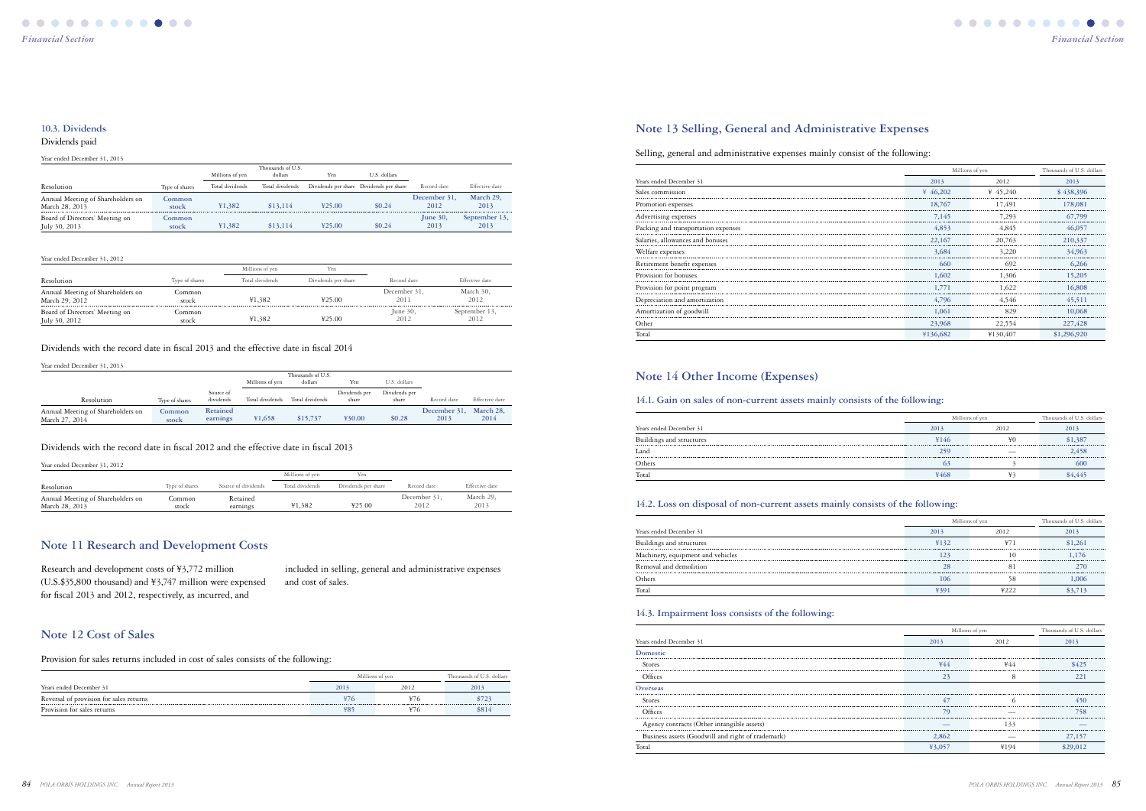

# **10.3. Dividends**

### Dividends paid

### Year ended December 31, 2013

|                                                     |                 |                 | Thousands of U.S. |                                         |              |                      |                       |
|-----------------------------------------------------|-----------------|-----------------|-------------------|-----------------------------------------|--------------|----------------------|-----------------------|
|                                                     |                 | Millions of yen | dollars           | Yen                                     | U.S. dollars |                      |                       |
| Resolution                                          | Type of shares  | Total dividends | Total dividends   | Dividends per share Dividends per share |              | Record date          | Effective date        |
| Annual Meeting of Shareholders on<br>March 28, 2013 | Common<br>stock | ¥1.382          | \$13,114          | ¥25.00                                  | \$0.24       | December 31,<br>2012 | March 29,<br>2013     |
| Board of Directors' Meeting on<br>July 30, 2013     | Common<br>stock | ¥1.382          | \$13,114          | ¥25.00                                  | \$0.24       | June $30$ ,<br>2013  | September 13,<br>2013 |

### Year ended December 31, 2012

|                                                     |                | Millions of yen | Yen                 |                      |                       |
|-----------------------------------------------------|----------------|-----------------|---------------------|----------------------|-----------------------|
| Resolution                                          | Type of shares | Total dividends | Dividends per share | Record date          | Effective date        |
| Annual Meeting of Shareholders on<br>March 29, 2012 | ommon<br>stock | ¥1.382          | 425.00              | December 31,<br>2011 | March 30,<br>2012     |
| Board of Directors' Meeting on<br>July 30, 2012     | ommon<br>stock | ¥1.382          | 425.00              | June $30$ ,<br>2012  | September 13,<br>2012 |

Dividends with the record date in fiscal 2013 and the effective date in fiscal 2014

### Year ended December 31, 2013

|                                                     |                 |                        |                 | Thousands of U.S. |                        |                        |                      |                   |
|-----------------------------------------------------|-----------------|------------------------|-----------------|-------------------|------------------------|------------------------|----------------------|-------------------|
|                                                     |                 |                        | Millions of ven | dollars           | Yen                    | U.S. dollars           |                      |                   |
| Resolution                                          | Type of shares  | Source of<br>dividends | Total dividends | Total dividends   | Dividends per<br>share | Dividends per<br>share | Record date          | Effective date    |
| Annual Meeting of Shareholders on<br>March 27, 2014 | Common<br>stock | Retained<br>earnings   | ¥1,658          | \$15,737          | ¥30.00                 | \$0.28                 | December 31,<br>2013 | March 28.<br>2014 |

## Dividends with the record date in fiscal 2012 and the effective date in fiscal 2013

### Year ended December 31, 2012

|                                                     |                |                      | Millions of yen | Yen                 |                      |                   |
|-----------------------------------------------------|----------------|----------------------|-----------------|---------------------|----------------------|-------------------|
| Resolution                                          | Type of shares | Source of dividends  | Total dividends | Dividends per share | Record date          | Effective date    |
| Annual Meeting of Shareholders on<br>March 28, 2013 | ommon<br>stock | Retained<br>earnings | ¥1,382          | 425.00              | December 31,<br>2012 | March 29,<br>2013 |

# **Note 11 Research and Development Costs**

Research and development costs of ¥3,772 million (U.S.\$35,800 thousand) and ¥3,747 million were expensed for fiscal 2013 and 2012, respectively, as incurred, and

included in selling, general and administrative expenses and cost of sales.

# **Note 12 Cost of Sales**

Provision for sales returns included in cost of sales consists of the following:

|                                         | Millions of ven | Thousands of U.S. dollars |       |
|-----------------------------------------|-----------------|---------------------------|-------|
| Years ended December 31                 | 2013            | 2012                      | 2013  |
| Reversal of provision for sales returns |                 |                           | \$723 |
| Provision for sales returns             | ¥8'             |                           | \$814 |

# **Note 14 Other Income (Expenses)**

### **14.1. Gain on sales of non-current assets mainly consists of the following:**

|                          | Millions of ven | Thousands of U.S. dollars |         |
|--------------------------|-----------------|---------------------------|---------|
| Years ended December 31  | 2013            | 2012                      | 2013    |
| Buildings and structures | ¥146            |                           | \$1,387 |
| Land                     |                 |                           |         |
| Others                   |                 |                           | 60C     |
| Total                    |                 |                           |         |

# **Note 13 Selling, General and Administrative Expenses**

# **14.2. Loss on disposal of non-current assets mainly consists of the following:**

|                                   | Millions of ven | Thousands of U.S. dollars |         |
|-----------------------------------|-----------------|---------------------------|---------|
| Years ended December 31           | 2013            | 2012                      | 2013    |
| Buildings and structures          |                 |                           | \$1.261 |
| Machinery, equipment and vehicles |                 |                           | 1.176   |
| Removal and demolition            |                 |                           |         |
| Others                            | ۱O              |                           | .006    |
| Total                             |                 |                           |         |

# **14.3. Impairment loss consists of the following:**

|                                                   | Millions of yen |      | Thousands of U.S. dollars |
|---------------------------------------------------|-----------------|------|---------------------------|
| Years ended December 31                           | 2013            | 2012 | 2013                      |
| Domestic                                          |                 |      |                           |
| Stores                                            | ¥44             |      |                           |
| Othces                                            |                 |      |                           |
| ()verseas                                         |                 |      |                           |
| Stores                                            | 47              |      |                           |
| Othces (                                          |                 |      |                           |
| Agency contracts (Other intangible assets)        |                 | 164  |                           |
| Business assets (Goodwill and right of trademark) | 2.862           |      | 27,157                    |
|                                                   |                 |      |                           |

# Selling, general and administrative expenses mainly consist of the following:

|                                     | Millions of yen |          | Thousands of U.S. dollars |
|-------------------------------------|-----------------|----------|---------------------------|
| Years ended December 31             | 2013            | 2012     | 2013                      |
| Sales commission                    | ¥ 46,202        | ¥ 45.240 | \$438.396                 |
| Promotion expenses                  | 18,767          | 17,491   | 178,081                   |
| Advertising expenses                | 7.145           | 7.293    | 67.799                    |
| Packing and transportation expenses | 4.853           | 4.845    | 46.057                    |
| Salaries, allowances and bonuses    | 22,167          | 20.763   | 210.337                   |
| Welfare expenses                    | 3.684           | 3.220    | 34.963                    |
| Retirement benefit expenses         | 660             | 692      | 6.266                     |
| Provision for bonuses               | 1.602           | 1.306    | 15.205                    |
| Provision for point program         | 1.771           | 1.622    | 16,808                    |
| Depreciation and amortization       | 4.796           | 4.546    | 45.511                    |
| Amortization of goodwill            | 1.061           | 829      | 10,068                    |
| Other                               | 23,968          | 22,554   | 227,428                   |
| Total                               | ¥136,682        | ¥130.407 | \$1,296,920               |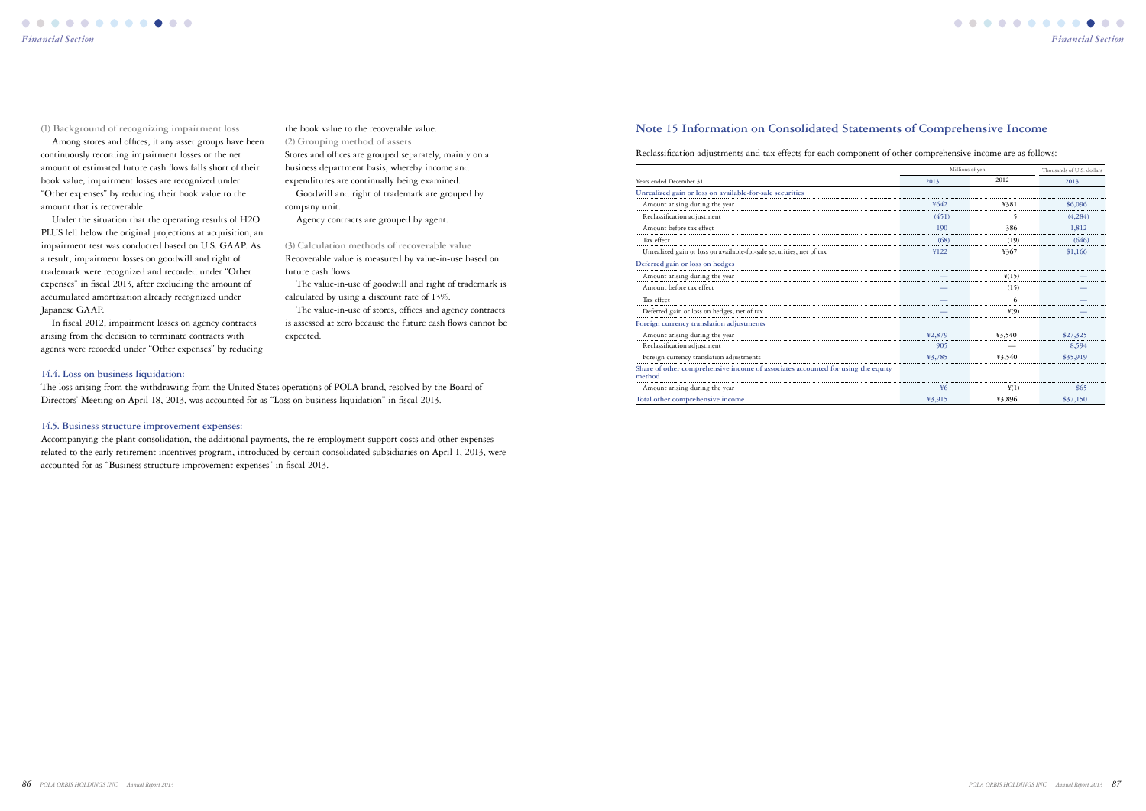

**(1) Background of recognizing impairment loss**

Among stores and offices, if any asset groups have been continuously recording impairment losses or the net amount of estimated future cash flows falls short of their book value, impairment losses are recognized under "Other expenses" by reducing their book value to the amount that is recoverable.

Under the situation that the operating results of H2O PLUS fell below the original projections at acquisition, an impairment test was conducted based on U.S. GAAP. As a result, impairment losses on goodwill and right of trademark were recognized and recorded under "Other expenses" in fiscal 2013, after excluding the amount of accumulated amortization already recognized under Japanese GAAP.

In fiscal 2012, impairment losses on agency contracts arising from the decision to terminate contracts with agents were recorded under "Other expenses" by reducing the book value to the recoverable value.

**(2) Grouping method of assets**

Stores and offices are grouped separately, mainly on a business department basis, whereby income and expenditures are continually being examined.

Goodwill and right of trademark are grouped by company unit.

Agency contracts are grouped by agent.

**(3) Calculation methods of recoverable value**

Recoverable value is measured by value-in-use based on future cash flows.

The value-in-use of goodwill and right of trademark is calculated by using a discount rate of 13%.

The value-in-use of stores, offices and agency contracts is assessed at zero because the future cash flows cannot be expected.

# **14.4. Loss on business liquidation:**

The loss arising from the withdrawing from the United States operations of POLA brand, resolved by the Board of Directors' Meeting on April 18, 2013, was accounted for as "Loss on business liquidation" in fiscal 2013.

### **14.5. Business structure improvement expenses:**

Accompanying the plant consolidation, the additional payments, the re-employment support costs and other expenses related to the early retirement incentives program, introduced by certain consolidated subsidiaries on April 1, 2013, were accounted for as "Business structure improvement expenses" in fiscal 2013.

# **Note 15 Information on Consolidated Statements of Comprehensive Income**

Reclassification adjustments and tax effects for each component of other comprehensive income are as follows:

|                                                                                            |        | Millions of yen  |          |  |
|--------------------------------------------------------------------------------------------|--------|------------------|----------|--|
| Years ended December 31                                                                    | 2013   | 2012             | 2013     |  |
| Unrealized gain or loss on available-for-sale securities                                   |        |                  |          |  |
| Amount arising during the year                                                             | ¥642   | ¥381             | \$6,096  |  |
| Reclassification adjustment                                                                | (451)  | 5                | (4.284)  |  |
| Amount before tax effect                                                                   | 190    | 386              | 1.812    |  |
| Tax effect                                                                                 | (68)   | (19)             | (646)    |  |
| Unrealized gain or loss on available-for-sale securities, net of tax                       | ¥122   | ¥367             | \$1,166  |  |
| Deferred gain or loss on hedges                                                            |        |                  |          |  |
| Amount arising during the year                                                             |        | Y(15)            |          |  |
| Amount before tax effect                                                                   |        | (15)             |          |  |
| Tax effect                                                                                 |        | 6                |          |  |
| Deferred gain or loss on hedges, net of tax                                                |        | $\mathbf{Y}(9)$  |          |  |
| Foreign currency translation adjustments                                                   |        |                  |          |  |
| Amount arising during the year                                                             | ¥2,879 | ¥3,540           | \$27,325 |  |
| Reclassification adjustment                                                                | 905    |                  | 8,594    |  |
| Foreign currency translation adjustments                                                   | ¥3.785 | ¥3.540           | \$35,919 |  |
| Share of other comprehensive income of associates accounted for using the equity<br>method |        |                  |          |  |
| Amount arising during the year                                                             | ¥6     | $\frac{1}{2}(1)$ | \$65     |  |
| Total other comprehensive income                                                           | ¥3,915 | ¥3,896           | \$37,150 |  |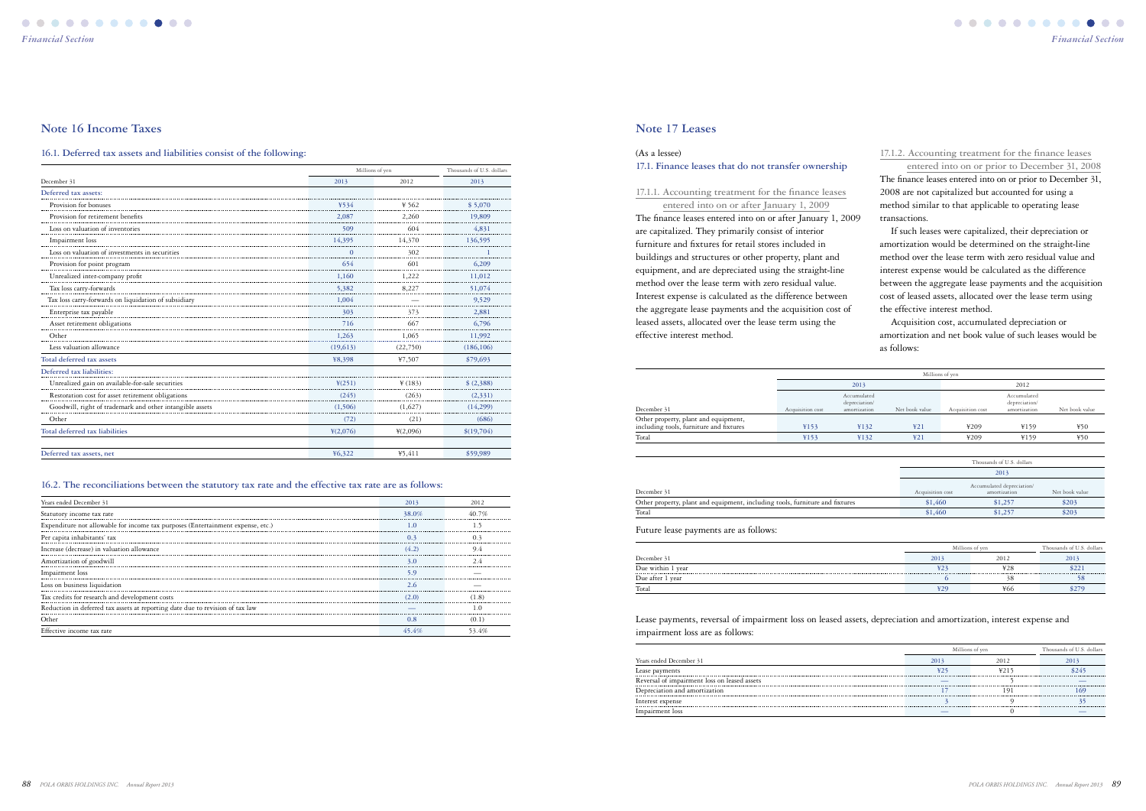

# **Note 16 Income Taxes**

## **16.1. Deferred tax assets and liabilities consist of the following:**

|                                                          | Millions of yen |            | Thousands of U.S. dollars |  |
|----------------------------------------------------------|-----------------|------------|---------------------------|--|
| December 31                                              | 2013            | 2012       | 2013                      |  |
| Deferred tax assets:                                     |                 |            |                           |  |
| Provision for bonuses                                    | ¥534            | ¥ 562      | \$5,070                   |  |
| Provision for retirement benefits                        | 2,087           | 2,260      | 19,809                    |  |
| Loss on valuation of inventories                         | 509             | 604        | 4,831                     |  |
| Impairment loss                                          | 14,395          | 14,370     | 136,595                   |  |
| Loss on valuation of investments in securities           | $\Omega$        | 302        |                           |  |
| Provision for point program                              | 654             | 601        | 6,209                     |  |
| Unrealized inter-company profit                          | 1.160           | 1,222      | 11,012                    |  |
| Tax loss carry-forwards                                  | 5,382           | 8,227      | 51,074                    |  |
| Tax loss carry-forwards on liquidation of subsidiary     | 1.004           |            | 9,529                     |  |
| Enterprise tax payable                                   | 303             | 373        | 2,881                     |  |
| Asset retirement obligations                             | 716             | 667        | 6,796                     |  |
| Other                                                    | 1,263           | 1,065      | 11,992                    |  |
| Less valuation allowance                                 | (19,613)        | (22,750)   | (186, 106)                |  |
| Total deferred tax assets                                | ¥8,398          | ¥7,507     | \$79,693                  |  |
| Deferred tax liabilities:                                |                 |            |                           |  |
| Unrealized gain on available-for-sale securities         | Y(251)          | ¥(183)     | \$ (2,388)                |  |
| Restoration cost for asset retirement obligations        | (245)           | (263)      | (2,331)                   |  |
| Goodwill, right of trademark and other intangible assets | (1,506)         | (1,627)    | (14,299)                  |  |
| Other                                                    | (72)            | (21)       | (686)                     |  |
| <b>Total deferred tax liabilities</b>                    | Y(2,076)        | $*(2,096)$ | \$(19,704)                |  |
| Deferred tax assets, net                                 | ¥6,322          | ¥5,411     | \$59,989                  |  |

### **16.2. The reconciliations between the statutory tax rate and the effective tax rate are as follows:**

| Years ended December 31                                                         | 2013  | 2012 |
|---------------------------------------------------------------------------------|-------|------|
| Statutory income tax rate                                                       | 38.0% |      |
| Expenditure not allowable for income tax purposes (Entertainment expense, etc.) |       |      |
| Per capita inhabitants' tax                                                     |       |      |
| Increase (decrease) in valuation allowance                                      |       |      |
| Amortization of goodwill                                                        |       |      |
| Impairment loss                                                                 | 5.9   |      |
| Loss on business liquidation                                                    |       |      |
| Tax credits for research and development costs                                  |       |      |
| Reduction in deferred tax assets at reporting date due to revision of tax law   |       |      |
| Other                                                                           | 0.8   |      |
| Effective income tax rate                                                       |       |      |

# **Note 17 Leases**

# (As a lessee)

### **17.1. Finance leases that do not transfer ownership**

# **17.1.1. Accounting treatment for the finance leases**

**entered into on or after January 1, 2009** The finance leases entered into on or after January 1, 2009 are capitalized. They primarily consist of interior furniture and fixtures for retail stores included in buildings and structures or other property, plant and equipment, and are depreciated using the straight-line method over the lease term with zero residual value. Interest expense is calculated as the difference between the aggregate lease payments and the acquisition cost of leased assets, allocated over the lease term using the effective interest method.

# **17.1.2. Accounting treatment for the finance leases entered into on or prior to December 31, 2008**

The finance leases entered into on or prior to December 31, 2008 are not capitalized but accounted for using a method similar to that applicable to operating lease transactions.

If such leases were capitalized, their depreciation or amortization would be determined on the straight-line method over the lease term with zero residual value and interest expense would be calculated as the difference between the aggregate lease payments and the acquisition cost of leased assets, allocated over the lease term using the effective interest method.

Acquisition cost, accumulated depreciation or amortization and net book value of such leases would be as follows:

|                                         |                  | Millions of yen                              |                |                  |                                              |                |  |
|-----------------------------------------|------------------|----------------------------------------------|----------------|------------------|----------------------------------------------|----------------|--|
|                                         |                  | 2013                                         |                |                  | 2012                                         |                |  |
| December 31                             | Acquisition cost | Accumulated<br>depreciation/<br>amortization | Net book value | Acquisition cost | Accumulated<br>depreciation/<br>amortization | Net book value |  |
| Other property, plant and equipment,    |                  |                                              |                |                  |                                              |                |  |
| including tools, furniture and fixtures | ¥153             | ¥132                                         | Y21            | ¥209             | ¥159                                         | 450            |  |
| Total                                   | ¥153             | ¥132                                         | Y21            | ¥209             | ¥159                                         | 450            |  |

|                                                                              | Thousands of U.S. dollars |                 |                           |
|------------------------------------------------------------------------------|---------------------------|-----------------|---------------------------|
|                                                                              | 2013                      |                 |                           |
|                                                                              | Accumulated depreciation/ |                 |                           |
| December 31                                                                  | Acquisition cost          | amortization    | Net book value            |
| Other property, plant and equipment, including tools, furniture and fixtures | \$1,460                   | \$1,257         | \$203                     |
| Total                                                                        | \$1,460                   | \$1,257         | \$203                     |
| Future lease payments are as follows:                                        |                           |                 |                           |
|                                                                              |                           | Millions of yen | Thousands of U.S. dollars |
| December 31                                                                  | 2013                      | 2012            | 2013                      |
| Due within 1 year                                                            | 423                       | 428             | \$221                     |
| Due after 1 year                                                             | $^{\circ}$                | 38              | 58                        |
| Total                                                                        | ¥29                       | ¥66             | \$279                     |

Lease payments, reversal of impairment loss on leased assets, depreciation and amortization, interest expense and impairment loss are as follows:

|                                              | Millions of ven | Thousands of U.S. dollars |      |
|----------------------------------------------|-----------------|---------------------------|------|
| Years ended December 31                      | 2013            | 2012                      | 2013 |
| Lease payments                               |                 |                           |      |
| Reversal of impairment loss on leased assets |                 |                           |      |
| Depreciation and amortization                |                 |                           |      |
| Interest expense                             |                 |                           |      |
| Impairment loss                              |                 |                           |      |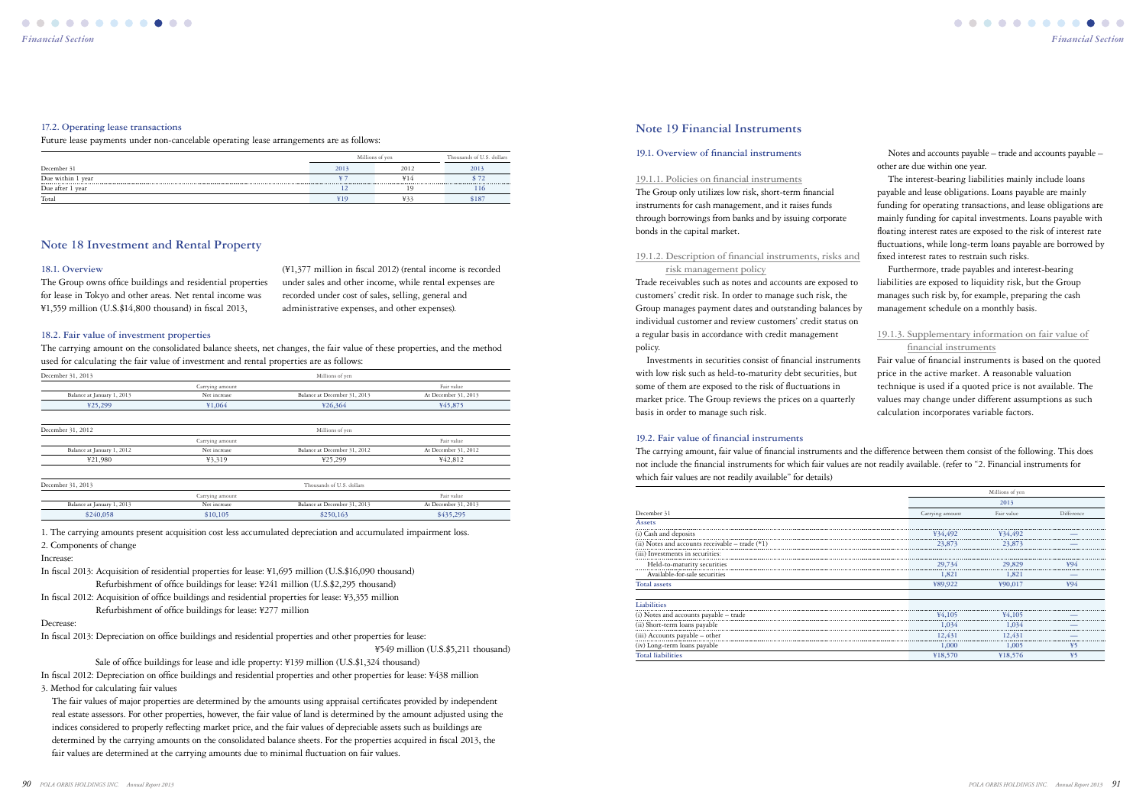### **17.2. Operating lease transactions**

Future lease payments under non-cancelable operating lease arrangements are as follows:

|                   | Millions of yen |      | Thousands of U.S. dollars |
|-------------------|-----------------|------|---------------------------|
| December 31       | 2013            | 2012 | 201                       |
| Due within 1 year |                 |      |                           |
| Due after 1 year  |                 |      |                           |
| Total             |                 | * ጎ  |                           |

### **18.1. Overview**

The Group owns office buildings and residential properties for lease in Tokyo and other areas. Net rental income was ¥1,559 million (U.S.\$14,800 thousand) in fiscal 2013,

(¥1,377 million in fiscal 2012) (rental income is recorded under sales and other income, while rental expenses are recorded under cost of sales, selling, general and administrative expenses, and other expenses).

# **Note 18 Investment and Rental Property**

### **18.2. Fair value of investment properties**

The carrying amount on the consolidated balance sheets, net changes, the fair value of these properties, and the method used for calculating the fair value of investment and rental properties are as follows:

| December 31, 2013          |                 | Millions of yen              |                      |
|----------------------------|-----------------|------------------------------|----------------------|
|                            | Carrying amount |                              | Fair value           |
| Balance at January 1, 2013 | Net increase    | Balance at December 31, 2013 | At December 31, 2013 |
| ¥25,299                    | ¥1,064          | ¥26,364                      | ¥45,875              |
|                            |                 |                              |                      |
| December 31, 2012          |                 | Millions of yen              |                      |
|                            | Carrying amount |                              | Fair value           |
| Balance at January 1, 2012 | Net increase    | Balance at December 31, 2012 | At December 31, 2012 |
| ¥21,980                    | ¥3,319          | ¥25,299                      | ¥42,812              |
| December 31, 2013          |                 | Thousands of U.S. dollars    |                      |
|                            |                 |                              |                      |
|                            | Carrying amount |                              | Fair value           |
| Balance at January 1, 2013 | Net increase    | Balance at December 31, 2013 | At December 31, 2013 |
| \$240,058                  | \$10,105        | \$250,163                    | \$435,295            |

1. The carrying amounts present acquisition cost less accumulated depreciation and accumulated impairment loss.

2. Components of change

### Increase:

In fiscal 2013: Acquisition of residential properties for lease: ¥1,695 million (U.S.\$16,090 thousand) Refurbishment of office buildings for lease: ¥241 million (U.S.\$2,295 thousand)

In fiscal 2012: Acquisition of office buildings and residential properties for lease: ¥3,355 million Refurbishment of office buildings for lease: ¥277 million

### Decrease:

In fiscal 2013: Depreciation on office buildings and residential properties and other properties for lease:

¥549 million (U.S.\$5,211 thousand)

Sale of office buildings for lease and idle property: ¥139 million (U.S.\$1,324 thousand)

In fiscal 2012: Depreciation on office buildings and residential properties and other properties for lease: ¥438 million

3. Method for calculating fair values

The fair values of major properties are determined by the amounts using appraisal certificates provided by independent real estate assessors. For other properties, however, the fair value of land is determined by the amount adjusted using the indices considered to properly reflecting market price, and the fair values of depreciable assets such as buildings are determined by the carrying amounts on the consolidated balance sheets. For the properties acquired in fiscal 2013, the fair values are determined at the carrying amounts due to minimal fluctuation on fair values.



# **19.1. Overview of financial instruments**

### **19.1.1. Policies on financial instruments**

The Group only utilizes low risk, short-term financial instruments for cash management, and it raises funds through borrowings from banks and by issuing corporate bonds in the capital market.

## **19.1.2. Description of financial instruments, risks and risk management policy**

Trade receivables such as notes and accounts are exposed to customers' credit risk. In order to manage such risk, the Group manages payment dates and outstanding balances by individual customer and review customers' credit status on a regular basis in accordance with credit management policy.

Investments in securities consist of financial instruments with low risk such as held-to-maturity debt securities, but some of them are exposed to the risk of fluctuations in market price. The Group reviews the prices on a quarterly basis in order to manage such risk.

Notes and accounts payable – trade and accounts payable – other are due within one year.

The interest-bearing liabilities mainly include loans payable and lease obligations. Loans payable are mainly funding for operating transactions, and lease obligations are mainly funding for capital investments. Loans payable with floating interest rates are exposed to the risk of interest rate fluctuations, while long-term loans payable are borrowed by fixed interest rates to restrain such risks.

Furthermore, trade payables and interest-bearing liabilities are exposed to liquidity risk, but the Group manages such risk by, for example, preparing the cash management schedule on a monthly basis.

# **19.1.3. Supplementary information on fair value of financial instruments**

Fair value of financial instruments is based on the quoted price in the active market. A reasonable valuation technique is used if a quoted price is not available. The values may change under different assumptions as such calculation incorporates variable factors.

### **Note 19 Financial Instruments**

## **19.2. Fair value of financial instruments**

The carrying amount, fair value of financial instruments and the difference between them consist of the following. This does not include the financial instruments for which fair values are not readily available. (refer to "2. Financial instruments for which fair values are not readily available" for details)

|                                                     |                 | Millions of yen |            |
|-----------------------------------------------------|-----------------|-----------------|------------|
|                                                     |                 | 2013            |            |
| December 31                                         | Carrying amount | Fair value      | Difference |
| Assets                                              |                 |                 |            |
| (i) Cash and deposits                               | ¥34,492         | ¥34,492         |            |
| (ii) Notes and accounts receivable $-$ trade $(*1)$ | 23,873          | 23,873          |            |
| (iii) Investments in securities:                    |                 |                 |            |
| Held-to-maturity securities                         | 29,734          | 29,829          | ¥94        |
| Available-for-sale securities                       | 1,821           | 1,821           |            |
| <b>Total assets</b>                                 | ¥89,922         | ¥90,017         | ¥94        |
| Liabilities                                         |                 |                 |            |
| (i) Notes and accounts payable - trade              | ¥4,105          | 44,105          |            |
| (ii) Short-term loans payable                       | 1,034           | 1,034           |            |
| (iii) Accounts payable - other                      | 12.431          | 12,431          |            |
| (iv) Long-term loans payable                        | 1,000           | 1,005           | $*5$       |
| <b>Total liabilities</b>                            | ¥18,570         | ¥18,576         | 45         |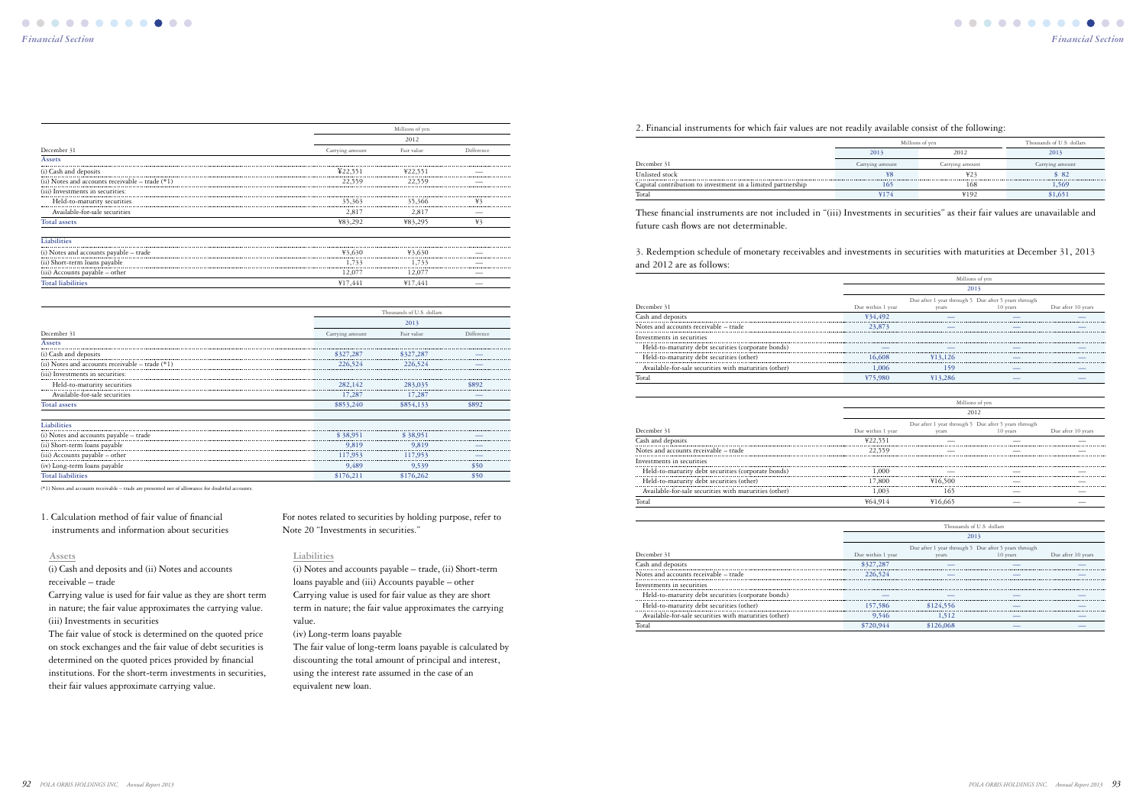1. Calculation method of fair value of financial instruments and information about securities

# **Assets**

(i) Cash and deposits and (ii) Notes and accounts receivable – trade

Carrying value is used for fair value as they are short term in nature; the fair value approximates the carrying value. (iii) Investments in securities

The fair value of stock is determined on the quoted price on stock exchanges and the fair value of debt securities is determined on the quoted prices provided by financial institutions. For the short-term investments in securities, their fair values approximate carrying value.

For notes related to securities by holding purpose, refer to

Note 20 "Investments in securities."

# **Liabilities**

(i) Notes and accounts payable – trade, (ii) Short-term loans payable and (iii) Accounts payable – other Carrying value is used for fair value as they are short term in nature; the fair value approximates the carrying value.

(iv) Long-term loans payable

The fair value of long-term loans payable is calculated by discounting the total amount of principal and interest, using the interest rate assumed in the case of an equivalent new loan.

|                                                 |                 | Millions of yen |            |  |
|-------------------------------------------------|-----------------|-----------------|------------|--|
|                                                 |                 | 2012            |            |  |
| December 31                                     | Carrying amount | Fair value      | Difference |  |
| Assets                                          |                 |                 |            |  |
| (i) Cash and deposits                           | 422,551         | ¥22,551         |            |  |
| (ii) Notes and accounts receivable - trade (*1) | 22,559          | 22,559          |            |  |
| (iii) Investments in securities:                |                 |                 |            |  |
| Held-to-maturity securities                     | 35,363          | 35,366          | ¥3         |  |
| Available-for-sale securities                   | 2,817           | 2,817           |            |  |
| <b>Total assets</b>                             | ¥83,292         | ¥83,295         | ¥3         |  |
| <b>Liabilities</b>                              |                 |                 |            |  |
| (i) Notes and accounts payable - trade          | ¥3,630          | ¥3.630          |            |  |
| (ii) Short-term loans payable                   | 1,733           | 1,733           |            |  |
| (iii) Accounts payable - other                  | 12,077          | 12,077          |            |  |
| <b>Total liabilities</b>                        | ¥17,441         | ¥17,441         |            |  |

|                                                     |                 | Thousands of U.S. dollars |             |
|-----------------------------------------------------|-----------------|---------------------------|-------------|
|                                                     |                 | 2013                      |             |
| December 31                                         | Carrying amount | Fair value                | Difference  |
| Assets                                              |                 |                           |             |
| (i) Cash and deposits                               | \$327,287       | \$327,287                 |             |
| (ii) Notes and accounts receivable $-$ trade $(*1)$ | 226,524         | 226,524                   |             |
| (iii) Investments in securities:                    |                 |                           |             |
| Held-to-maturity securities                         | 282,142         | 283,035                   | <b>S892</b> |
| Available-for-sale securities                       | 17,287          | 17,287                    |             |
| <b>Total assets</b>                                 | \$853,240       | \$854,133                 | \$892       |
| Liabilities                                         |                 |                           |             |
| (i) Notes and accounts payable - trade              | \$38,951        | \$ 38,951                 |             |
| (ii) Short-term loans payable                       | 9.819           | 9,819                     |             |
| (iii) Accounts payable - other                      | 117,953         | 117,953                   |             |
| (iv) Long-term loans payable                        | 9,489           | 9,539                     | \$50        |
| <b>Total liabilities</b>                            | \$176,211       | \$176,262                 | \$50        |

(\*1) Notes and accounts receivable – trade are presented net of allowance for doubtful accounts.



# 2. Financial instruments for which fair values are not readily available consist of the following:

|                                                             |                 | Millions of ven | Thousands of U.S. dollars |
|-------------------------------------------------------------|-----------------|-----------------|---------------------------|
|                                                             | 2013            | 2013            |                           |
| December 31                                                 | Carrying amount | Carrying amount | Carrying amount           |
| Unlisted stock                                              | ¥8              | ¥2              | \$ 82                     |
| Capital contribution to investment in a limited partnership | I 65            | 168             | .569                      |
| Total                                                       | 4174            | ¥192            | \$1,651                   |

These financial instruments are not included in "(iii) Investments in securities" as their fair values are unavailable and future cash flows are not determinable.

# 3. Redemption schedule of monetary receivables and investments in securities with maturities at December 31, 2013

and 2012 are as follows:

|                                                       | Millions of yen                   |                                                               |          |                    |  |  |  |
|-------------------------------------------------------|-----------------------------------|---------------------------------------------------------------|----------|--------------------|--|--|--|
|                                                       | 2013                              |                                                               |          |                    |  |  |  |
| December 31                                           | Due within 1 year                 | Due after 1 year through 5 Due after 5 years through<br>vears | 10 years | Due after 10 years |  |  |  |
| Cash and deposits                                     | Y34,492                           |                                                               |          |                    |  |  |  |
| Notes and accounts receivable - trade                 | 23,873                            |                                                               |          |                    |  |  |  |
| Investments in securities                             |                                   |                                                               |          |                    |  |  |  |
| Held-to-maturity debt securities (corporate bonds)    |                                   |                                                               |          |                    |  |  |  |
| Held-to-maturity debt securities (other)              | 16.608                            | ¥13,126                                                       |          |                    |  |  |  |
| Available-for-sale securities with maturities (other) | 1,006                             | 159                                                           |          |                    |  |  |  |
| Total                                                 | ¥75,980                           | ¥13,286                                                       |          |                    |  |  |  |
|                                                       | Millions of yen                   |                                                               |          |                    |  |  |  |
|                                                       |                                   | 2012                                                          |          |                    |  |  |  |
| December 31                                           | Due within 1 year                 | Due after 1 year through 5 Due after 5 years through<br>years | 10 years | Due after 10 years |  |  |  |
| Cash and deposits                                     | ¥22,551                           |                                                               |          |                    |  |  |  |
| Notes and accounts receivable - trade                 | 22,559                            |                                                               |          |                    |  |  |  |
| Investments in securities                             |                                   |                                                               |          |                    |  |  |  |
| Held-to-maturity debt securities (corporate bonds)    | 1.000                             |                                                               |          |                    |  |  |  |
| Held-to-maturity debt securities (other)              | 17,800                            | ¥16,500                                                       |          |                    |  |  |  |
| Available-for-sale securities with maturities (other) | 1,003                             | 165                                                           |          |                    |  |  |  |
| Total                                                 | ¥64,914                           | ¥16,665                                                       |          |                    |  |  |  |
|                                                       |                                   |                                                               |          |                    |  |  |  |
|                                                       | Thousands of U.S. dollars<br>2013 |                                                               |          |                    |  |  |  |
| December 31                                           | Due within 1 year                 | Due after 1 year through 5 Due after 5 years through<br>vears | 10 years | Due after 10 years |  |  |  |
| Cash and deposits                                     | \$327,287                         |                                                               |          |                    |  |  |  |
| Notes and accounts receivable - trade                 | 226,524                           |                                                               |          |                    |  |  |  |
| Investments in securities                             |                                   |                                                               |          |                    |  |  |  |
| Held-to-maturity debt securities (corporate bonds)    |                                   |                                                               |          |                    |  |  |  |
| Held-to-maturity debt securities (other)              | 157,586                           | \$124,556                                                     |          |                    |  |  |  |
| Available-for-sale securities with maturities (other) | 9,546                             | 1,512                                                         |          |                    |  |  |  |

|                                                       | Millions of yen   |                                                               |          |                    |  |  |
|-------------------------------------------------------|-------------------|---------------------------------------------------------------|----------|--------------------|--|--|
|                                                       | 2013              |                                                               |          |                    |  |  |
| December 31                                           | Due within 1 year | Due after 1 year through 5 Due after 5 years through<br>years | 10 years | Due after 10 years |  |  |
| Cash and deposits                                     | ¥34,492           |                                                               |          |                    |  |  |
| Notes and accounts receivable - trade                 | 23,873            |                                                               |          |                    |  |  |
| Investments in securities                             |                   |                                                               |          |                    |  |  |
| Held-to-maturity debt securities (corporate bonds)    |                   |                                                               |          |                    |  |  |
| Held-to-maturity debt securities (other)              | 16,608            | ¥13,126                                                       |          |                    |  |  |
| Available-for-sale securities with maturities (other) | 1,006             | 159                                                           |          |                    |  |  |
| Total                                                 | ¥75,980           | ¥13,286                                                       |          |                    |  |  |
|                                                       |                   |                                                               |          |                    |  |  |
|                                                       |                   | Millions of yen                                               |          |                    |  |  |
|                                                       |                   | 2012                                                          |          |                    |  |  |
|                                                       |                   | Due after 1 year through 5 Due after 5 years through          |          |                    |  |  |
| December 31                                           | Due within 1 year | years                                                         | 10 years | Due after 10 years |  |  |
| Cash and deposits                                     | ¥22,551           |                                                               |          |                    |  |  |
| Notes and accounts receivable - trade                 | 22,559            |                                                               |          |                    |  |  |
| Investments in securities                             |                   |                                                               |          |                    |  |  |
| Held-to-maturity debt securities (corporate bonds)    | 1.000             |                                                               |          |                    |  |  |
| Held-to-maturity debt securities (other)              | 17,800            | ¥16,500                                                       |          |                    |  |  |
| Available-for-sale securities with maturities (other) | 1,003             | 165                                                           |          |                    |  |  |
| Total                                                 | ¥64,914           | ¥16,665                                                       |          |                    |  |  |
|                                                       |                   | Thousands of U.S. dollars                                     |          |                    |  |  |
|                                                       |                   | 2013                                                          |          |                    |  |  |
|                                                       |                   |                                                               |          |                    |  |  |
| December 31                                           | Due within 1 year | Due after 1 year through 5 Due after 5 years through<br>years | 10 years | Due after 10 years |  |  |
| Cash and deposits                                     | \$327,287         |                                                               |          |                    |  |  |
| Notes and accounts receivable - trade                 | 226,524           |                                                               |          |                    |  |  |
| Investments in securities                             |                   |                                                               |          |                    |  |  |
| Held-to-maturity debt securities (corporate bonds)    |                   |                                                               |          |                    |  |  |
| Held-to-maturity debt securities (other)              | 157,586           | \$124,556                                                     |          |                    |  |  |
| Available-for-sale securities with maturities (other) | 9,546             | 1,512                                                         |          |                    |  |  |
| Total                                                 | \$720,944         | \$126,068                                                     |          |                    |  |  |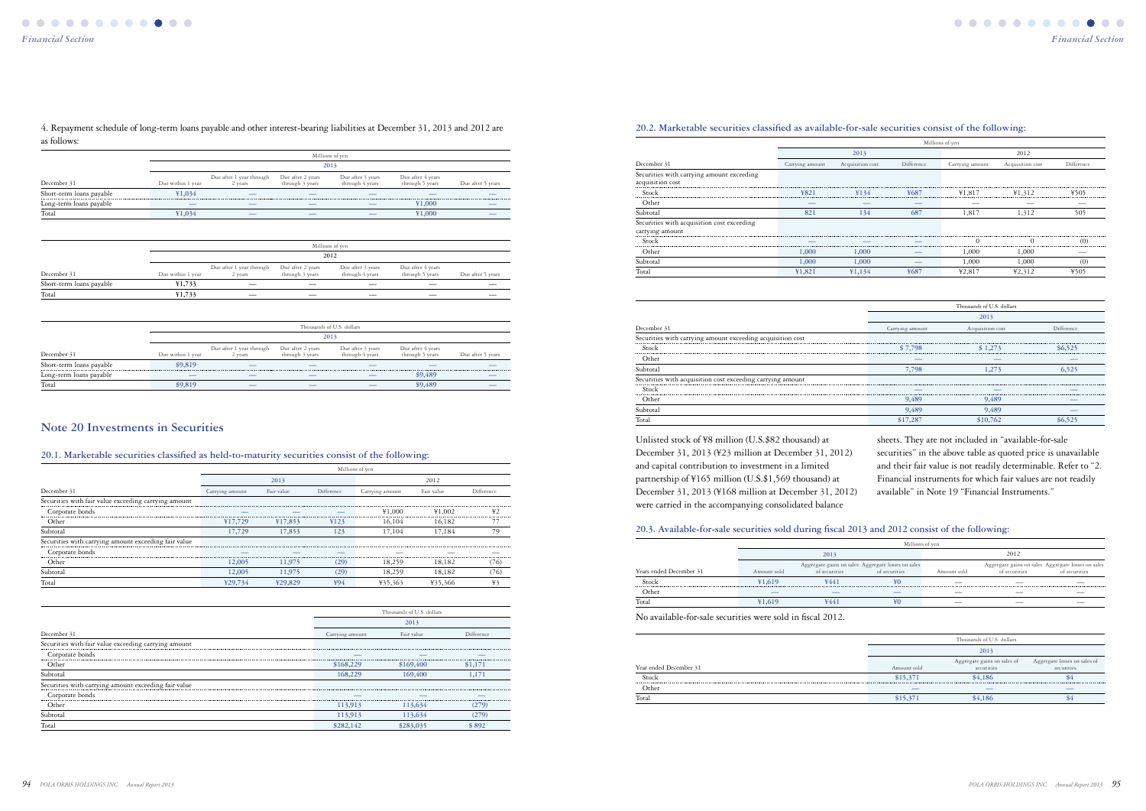4. Repayment schedule of long-term loans payable and other interest-bearing liabilities at December 31, 2013 and 2012 are as follows:

|                          |                   |                                     |                                      | Millions of ven                      |                                      |                   |  |  |
|--------------------------|-------------------|-------------------------------------|--------------------------------------|--------------------------------------|--------------------------------------|-------------------|--|--|
|                          | 2013              |                                     |                                      |                                      |                                      |                   |  |  |
| December 31              | Due within 1 year | Due after 1 year through<br>2 years | Due after 2 years<br>through 3 years | Due after 3 years<br>through 4 years | Due after 4 years<br>through 5 years | Due after 5 years |  |  |
| Short-term loans payable | ¥1.034            |                                     |                                      |                                      |                                      |                   |  |  |
| Long-term loans payable  |                   |                                     |                                      |                                      | ¥1.000                               |                   |  |  |
| Total                    | ¥1.034            |                                     |                                      |                                      | ¥1,000                               |                   |  |  |

|                          |                   |                                     |                                      | Millions of ven                      |                                      |                   |  |  |
|--------------------------|-------------------|-------------------------------------|--------------------------------------|--------------------------------------|--------------------------------------|-------------------|--|--|
|                          |                   | 2012                                |                                      |                                      |                                      |                   |  |  |
| December 31              | Due within 1 year | Due after 1 year through<br>2 years | Due after 2 years<br>through 3 years | Due after 3 years<br>through 4 years | Due after 4 years<br>through 5 years | Due after 5 years |  |  |
| Short-term loans payable | ¥1,733            |                                     |                                      |                                      |                                      |                   |  |  |
| Total                    | ¥1,733            |                                     |                                      |                                      |                                      |                   |  |  |

|                          |                   |                                     |                                      | Thousands of U.S. dollars            |                                      |                   |  |  |
|--------------------------|-------------------|-------------------------------------|--------------------------------------|--------------------------------------|--------------------------------------|-------------------|--|--|
|                          |                   | 2013                                |                                      |                                      |                                      |                   |  |  |
| December 31              | Due within 1 year | Due after 1 year through<br>2 years | Due after 2 years<br>through 3 years | Due after 3 years<br>through 4 years | Due after 4 years<br>through 5 years | Due after 5 years |  |  |
| Short-term loans payable | \$9.819           |                                     |                                      |                                      |                                      |                   |  |  |
| Long-term loans payable  |                   |                                     |                                      |                                      | \$9,489                              |                   |  |  |
| Total                    | \$9,819           |                                     |                                      |                                      | \$9,489                              |                   |  |  |

# **Note 20 Investments in Securities**

### **20.1. Marketable securities classified as held-to-maturity securities consist of the following:**

|                                                      |                 |            | Millions of yen |                 |            |            |  |
|------------------------------------------------------|-----------------|------------|-----------------|-----------------|------------|------------|--|
|                                                      |                 | 2013       |                 |                 | 2012       |            |  |
| December 31                                          | Carrying amount | Fair value | Difference      | Carrying amount | Fair value | Difference |  |
| Securities with fair value exceeding carrying amount |                 |            |                 |                 |            |            |  |
| Corporate bonds                                      |                 |            |                 | ¥1,000          | ¥1.002     | ¥?         |  |
| Other                                                | ¥17,729         | ¥17,853    | ¥123            | 16.104          | 16,182     |            |  |
| Subtotal                                             | 17,729          | 17,853     | 123             | 17.104          | 17,184     | 79         |  |
| Securities with carrying amount exceeding fair value |                 |            |                 |                 |            |            |  |
| Corporate bonds                                      |                 |            |                 |                 |            |            |  |
| Other                                                | 12,005          | 11,975     | (29)            | 18.259          | 18,182     | (76)       |  |
| Subtotal                                             | 12,005          | 11,975     | (29)            | 18.259          | 18,182     | (76)       |  |
| Total                                                | ¥29,734         | ¥29,829    | ¥94             | ¥35.363         | ¥35.366    | ¥3         |  |

|                                                      | Thousands of U.S. dollars |            |            |  |
|------------------------------------------------------|---------------------------|------------|------------|--|
|                                                      | 2013                      |            |            |  |
| December 31                                          | Carrying amount           | Fair value | Difference |  |
| Securities with fair value exceeding carrying amount |                           |            |            |  |
| Corporate bonds                                      |                           |            |            |  |
| Other                                                | \$168,229                 | \$169,400  | \$1,171    |  |
| Subtotal                                             | 168.229                   | 169,400    |            |  |
| Securities with carrying amount exceeding fair value |                           |            |            |  |
| Corporate bonds                                      |                           |            |            |  |
| Other                                                | 113,913                   | 113,634    | 279)       |  |
| Subtotal                                             | 113,913                   | 113,634    | (279)      |  |
| Total                                                | \$282,142                 | \$283.035  | \$ 892     |  |

### 20.2. Marketable securities classified as available-for-sa



| Millions of yen |                  |            |                 |                  |            |  |  |
|-----------------|------------------|------------|-----------------|------------------|------------|--|--|
|                 | 2013             |            |                 | 2012             |            |  |  |
| Carrying amount | Acquisition cost | Difference | Carrying amount | Acquisition cost | Difference |  |  |
|                 |                  |            |                 |                  |            |  |  |
|                 |                  |            |                 |                  |            |  |  |
| ¥821            | ¥134             | ¥687       | ¥1.817          | ¥1.312           | ¥505       |  |  |
|                 |                  |            |                 |                  |            |  |  |
| 821             | 134              | 687        | 1,817           | 1,312            | 505        |  |  |
|                 |                  |            |                 |                  |            |  |  |
|                 |                  |            |                 |                  |            |  |  |
|                 |                  |            |                 |                  |            |  |  |
| 1.000           | 1.000            |            | 1.000           | 1.000            |            |  |  |
| 1.000           | 1.000            |            | 1.000           | 1.000            | 0)         |  |  |
| ¥1,821          | ¥1,134           | ¥687       | ¥2,817          | ¥2,312           | ¥505       |  |  |
|                 |                  |            |                 |                  |            |  |  |

# **20.3. Available-for-sale securities sold during fiscal 2013 and 2012 consist of the following:**

|                         | Millions of ven |                                                                     |               |             |            |                                                                     |  |
|-------------------------|-----------------|---------------------------------------------------------------------|---------------|-------------|------------|---------------------------------------------------------------------|--|
|                         |                 | 2013                                                                |               | 2012        |            |                                                                     |  |
| Years ended December 31 | Amount sold     | Aggregate gains on sales Aggregate losses on sales<br>of securities | of securities | Amount sold | securities | Aggregate gains on sales Aggregate losses on sales<br>of securities |  |
| Stock                   | ¥1.619          | ¥44                                                                 | ¥O            |             |            |                                                                     |  |
| Other                   |                 |                                                                     |               |             |            |                                                                     |  |
| Total                   | ¥1.619.         |                                                                     | ¥O            |             |            |                                                                     |  |

No available-for-sale securities were sold in fiscal 2012.

|                        |             | Thousands of U.S. dollars                 |                                            |
|------------------------|-------------|-------------------------------------------|--------------------------------------------|
|                        |             | 2013                                      |                                            |
| Year ended December 31 | Amount sold | Aggregate gains on sales of<br>securities | Aggregate losses on sales of<br>securities |
| Stock                  | \$15,371    | <b>\$4.186</b>                            |                                            |
| Other                  |             | $\sim$                                    | ___                                        |
| Total                  | \$15,371    | -186                                      |                                            |

Unlisted stock of ¥8 million (U.S.\$82 thousand) at December 31, 2013 (¥23 million at December 31, 2012) and capital contribution to investment in a limited partnership of ¥165 million (U.S.\$1,569 thousand) at December 31, 2013 (¥168 million at December 31, 2012) were carried in the accompanying consolidated balance

sheets. They are not included in "available-for-sale securities" in the above table as quoted price is unavailable and their fair value is not readily determinable. Refer to "2. Financial instruments for which fair values are not readily available" in Note 19 "Financial Instruments."

|                                                            |                 | Thousands of U.S. dollars |            |  |  |  |
|------------------------------------------------------------|-----------------|---------------------------|------------|--|--|--|
|                                                            | 2013            |                           |            |  |  |  |
| December 31                                                | Carrying amount | Acquisition cost          | Difference |  |  |  |
| Securities with carrying amount exceeding acquisition cost |                 |                           |            |  |  |  |
| Stock                                                      | 798             |                           |            |  |  |  |
| Other                                                      |                 |                           |            |  |  |  |
| Subtotal                                                   | 7.798           |                           | 5.525      |  |  |  |
| Securities with acquisition cost exceeding carrying amount |                 |                           |            |  |  |  |
| Stock                                                      |                 |                           |            |  |  |  |
| Other                                                      | 9.489           | 9.489                     |            |  |  |  |
| Subtotal                                                   | 9.489           | 9,489                     |            |  |  |  |
| Total                                                      |                 |                           |            |  |  |  |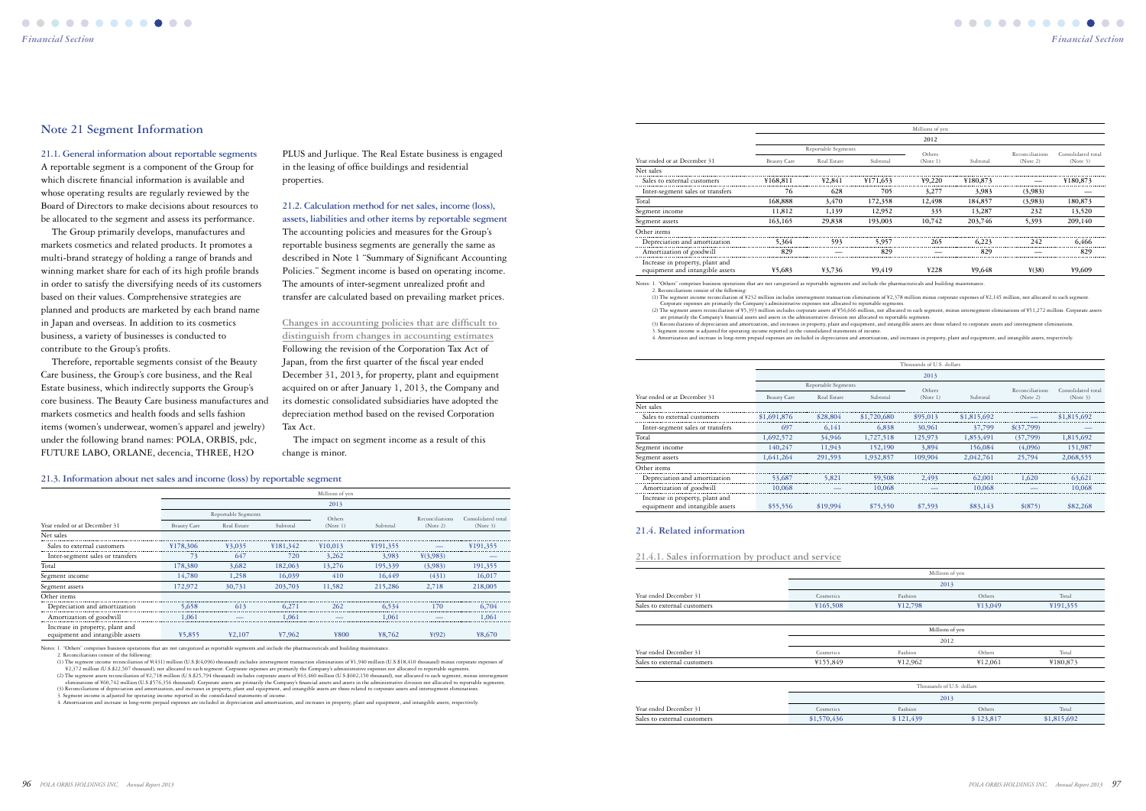**21.1. General information about reportable segments** A reportable segment is a component of the Group for which discrete financial information is available and whose operating results are regularly reviewed by the Board of Directors to make decisions about resources to be allocated to the segment and assess its performance.

The Group primarily develops, manufactures and markets cosmetics and related products. It promotes a multi-brand strategy of holding a range of brands and winning market share for each of its high profile brands in order to satisfy the diversifying needs of its customers based on their values. Comprehensive strategies are planned and products are marketed by each brand name in Japan and overseas. In addition to its cosmetics business, a variety of businesses is conducted to contribute to the Group's profits.

Therefore, reportable segments consist of the Beauty Care business, the Group's core business, and the Real Estate business, which indirectly supports the Group's core business. The Beauty Care business manufactures and markets cosmetics and health foods and sells fashion items (women's underwear, women's apparel and jewelry) under the following brand names: POLA, ORBIS, pdc, FUTURE LABO, ORLANE, decencia, THREE, H2O

PLUS and Jurlique. The Real Estate business is engaged in the leasing of office buildings and residential properties.

**21.2. Calculation method for net sales, income (loss), assets, liabilities and other items by reportable segment** The accounting policies and measures for the Group's reportable business segments are generally the same as described in Note 1 "Summary of Significant Accounting Policies." Segment income is based on operating income. The amounts of inter-segment unrealized profit and transfer are calculated based on prevailing market prices.

(1) The segment income reconciliation of ¥(431) million (U.S.\$(4,096) thousand) includes intersegment transaction eliminations of ¥1,940 million (U.S.\$18,410 thousand) minus corporate expenses of ¥2,372 million (U.S.\$22,507 thousand), not allocated to each segment. Corporate expenses are primarily the Company's administrative expenses not allocated to reportable segments.<br>(2) The segment assets reconciliation of ¥2

eliminations of ¥60,742 million (U.S.\$576,356 thousand). Corporate assets are primarily the Company's financial assets and assets in the administrative division not allocated to reportable segments.<br>(3) Reconciliations of

3. Segment income is adjusted for operating income reported in the consolidated statements of income.<br>4. Amortization and increase in long-term prepaid expenses are included in depreciation and amortization, and increases

**Changes in accounting policies that are difficult to distinguish from changes in accounting estimates** Following the revision of the Corporation Tax Act of Japan, from the first quarter of the fiscal year ended December 31, 2013, for property, plant and equipment acquired on or after January 1, 2013, the Company and its domestic consolidated subsidiaries have adopted the depreciation method based on the revised Corporation Tax Act.

The impact on segment income as a result of this change is minor.

### **21.3. Information about net sales and income (loss) by reportable segment**

|                                  |                    |                     |          | Millions of yen |          |                    |                    |
|----------------------------------|--------------------|---------------------|----------|-----------------|----------|--------------------|--------------------|
|                                  |                    |                     |          | 2013            |          |                    |                    |
|                                  |                    | Reportable Segments |          | Others          |          | Reconciliations    | Consolidated total |
| Year ended or at December 31     | <b>Beauty Care</b> | Real Estate         | Subtotal | (Note 1)        | Subtotal | (Note 2)           | (Note 3)           |
| Net sales                        |                    |                     |          |                 |          |                    |                    |
| Sales to external customers      | ¥178,306           | ¥3.035              | ¥181,342 | ¥10.013         | ¥191,355 |                    | ¥191.355           |
| Inter-segment sales or transfers | 73                 | 647                 | 720      | 3.262           | 3,983    | Y(3,983)           |                    |
| Total                            | 178,380            | 3,682               | 182,063  | 13,276          | 195,339  | (3.983)            | 191,355            |
| Segment income                   | 14,780             | 1,258               | 16,039   | 410             | 16.449   | (431)              | 16,017             |
| Segment assets                   | 172,972            | 30,731              | 203,703  | 11,582          | 215,286  | 2,718              | 218,005            |
| Other items                      |                    |                     |          |                 |          |                    |                    |
| Depreciation and amortization    | 5.658              | 613                 |          | 262             | 6.534    |                    |                    |
| Amortization of goodwill         | 1.061              |                     | 1.061    |                 | 1.061    |                    | .061               |
| Increase in property, plant and  |                    |                     |          |                 |          |                    |                    |
| equipment and intangible assets  | ¥5,855             | ¥2,107              | ¥7,962   | ¥800            | ¥8,762   | $\frac{1}{2}$ (92) | ¥8.670             |

Notes: 1. "Others" comprises business operations that are not categorized as reportable segments and include the pharmaceuticals and building main 2. Reconciliations consist of the following:

Notes: 1. "Others" comprises business operations that are not categorized as reportable segments and include the pharmaceuticals and building maintenance.

2. Reconciliations consist of the following:

# **Note 21 Segment Information**

|                                                                    |                    |                     |          | Millions of yen |          |                 |                    |
|--------------------------------------------------------------------|--------------------|---------------------|----------|-----------------|----------|-----------------|--------------------|
|                                                                    |                    |                     |          | 2012            |          |                 |                    |
|                                                                    |                    | Reportable Segments |          | Others          |          | Reconciliations | Consolidated total |
| Year ended or at December 31                                       | <b>Beauty Care</b> | Real Estate         | Subtotal | (Note 1)        | Subtotal | (Note 2)        | (Note 3)           |
| Net sales                                                          |                    |                     |          |                 |          |                 |                    |
| Sales to external customers                                        | ¥168.811           | ¥2.841              | ¥171.653 | ¥9.220          | ¥180.873 |                 | ¥180.873           |
| Inter-segment sales or transfers                                   | 76                 | 628                 | 705      | 3.277           | 3,983    | (3.983)         |                    |
| Total                                                              | 168,888            | 3,470               | 172,358  | 12,498          | 184,857  | (3.983)         | 180,873            |
| Segment income                                                     | 11,812             | 1,139               | 12,952   | 335             | 13,287   | 232             | 13,520             |
| Segment assets                                                     | 163,165            | 29,838              | 193,003  | 10,742          | 203,746  | 5,393           | 209,140            |
| Other items                                                        |                    |                     |          |                 |          |                 |                    |
| Depreciation and amortization                                      | 5.364              | 592                 | 5.957    | 265             | 6.223    | 242             | 6.466              |
| Amortization of goodwill                                           | 829                |                     | 829      |                 | 829      |                 | 829                |
| Increase in property, plant and<br>equipment and intangible assets | ¥5.683             | ¥3,736              | ¥9,419   | ¥228            | ¥9.648   | Y(38)           | ¥9,609             |

(1) The segment income reconciliation of ¥232 million includes intersegment transaction eliminations of ¥2,378 million minus corporate expenses of ¥2,145 million, not allocated to each segment.

Corporate expenses are primarily the Company's administrative expenses not allocated to reportable segments.<br>(2) The segment assets reconcillation of ¥5,393 million includes corporate assets of ¥506,666 million. Sorporate (3) Reconciliations of depreciation and amortization, and increases in property, plant and equipment, and intangible assets are those related to corporate assets and intersegment eliminations. 3. Segment income is adjusted for operating income reported in the consolidated statements of income.<br>4. Amortization and increase in long-term prepaid expenses are included in depreciation and amortization, and increases

|                                                                    |                    |                     |             | Thousands of U.S. dollars |             |                 |                    |
|--------------------------------------------------------------------|--------------------|---------------------|-------------|---------------------------|-------------|-----------------|--------------------|
|                                                                    |                    |                     |             | 2013                      |             |                 |                    |
|                                                                    |                    | Reportable Segments |             | Others                    |             | Reconciliations | Consolidated total |
| Year ended or at December 31                                       | <b>Beauty Care</b> | Real Estate         | Subtotal    | (Note 1)                  | Subtotal    | (Note 2)        | (Note 3)           |
| Net sales                                                          |                    |                     |             |                           |             |                 |                    |
| Sales to external customers                                        | \$1,691,876        | \$28,804            | \$1,720,680 | \$95,013                  | \$1,815,692 |                 | \$1,815,692        |
| Inter-segment sales or transfers                                   | 697                | 6.141               | 6,838       | 30,961                    | 37,799      | \$(37,799)      |                    |
| Total                                                              | 1,692,572          | 34,946              | 1,727,518   | 125,973                   | 1,853,491   | (37,799)        | 1,815,692          |
| Segment income                                                     | 140,247            | 11,943              | 152,190     | 3,894                     | 156,084     | (4.096)         | 151,987            |
| Segment assets                                                     | 1,641,264          | 291,593             | 1,932,857   | 109,904                   | 2,042,761   | 25,794          | 2,068,555          |
| Other items                                                        |                    |                     |             |                           |             |                 |                    |
| Depreciation and amortization                                      | 53,687             | 5.821               | 59,508      | 2.493                     | 62,001      | .620            | 63.621             |
| Amortization of goodwill                                           | 10.068             |                     | 10.068      |                           | 10.068      |                 | 10.068             |
| Increase in property, plant and<br>equipment and intangible assets | \$55,556           | \$19,994            | \$75,550    | \$7,593                   | \$83,143    | $$^{(875)}$     | \$82,268           |

### **21.4. Related information**

**21.4.1. Sales information by product and service**

|                             |             | Millions of yen           |           |             |
|-----------------------------|-------------|---------------------------|-----------|-------------|
|                             |             | 2013                      |           |             |
| Year ended December 31      | Cosmetics   | Fashion                   | Others    | Total       |
| Sales to external customers | ¥165,508    | ¥12,798                   | ¥13,049   | ¥191,355    |
|                             |             |                           |           |             |
|                             |             | Millions of yen           |           |             |
|                             |             | 2012                      |           |             |
| Year ended December 31      | Cosmetics   | Fashion                   | Others    | Total       |
| Sales to external customers | ¥155,849    | ¥12,962                   | ¥12,061   | ¥180,873    |
|                             |             | Thousands of U.S. dollars |           |             |
|                             |             | 2013                      |           |             |
| Year ended December 31      | Cosmetics   | Fashion                   | Others    | Total       |
| Sales to external customers | \$1,570,436 | \$121,439                 | \$123,817 | \$1,815,692 |

. . . . . . . . . . . .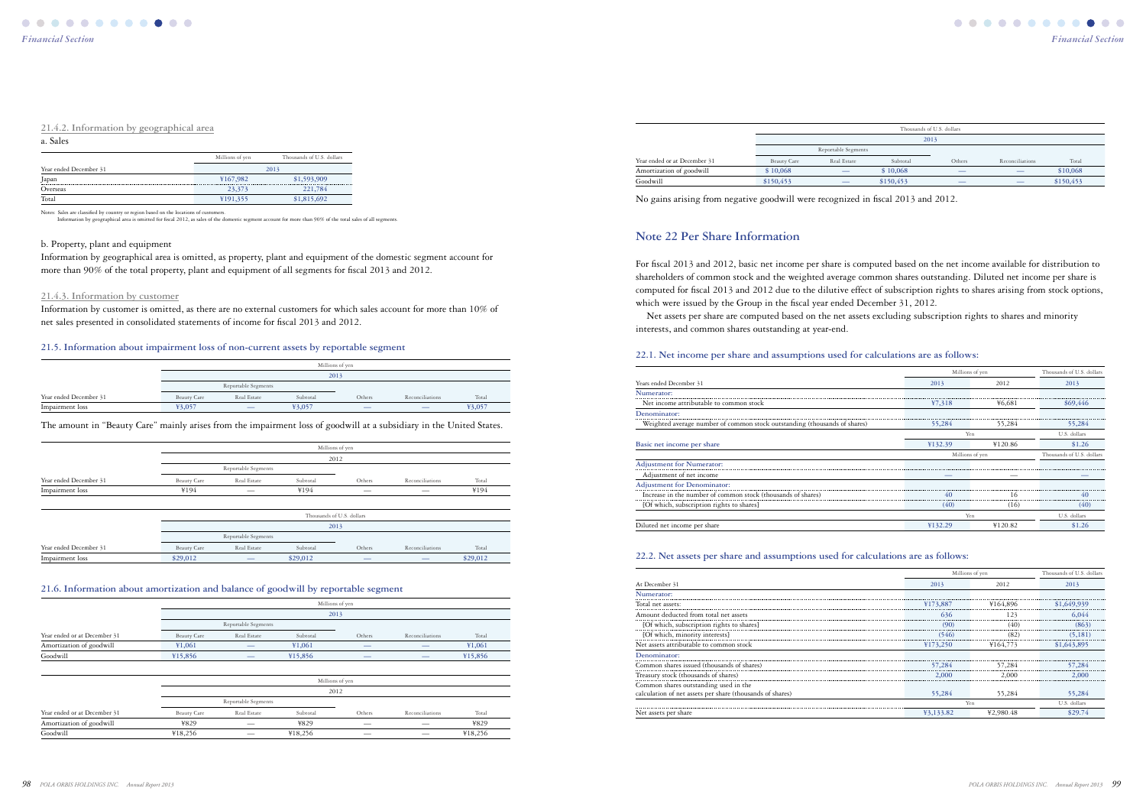### **21.4.2. Information by geographical area**

a. Sales

|                        | Millions of yen | Thousands of U.S. dollars |
|------------------------|-----------------|---------------------------|
| Year ended December 31 |                 | 2013                      |
| Japan                  | ¥167,982        | \$1,593,909               |
| Overseas               | 23,373          | 221,784                   |
| Total                  | ¥191,355        | \$1,815,692               |

Notes: Sales are classified by country or region based on the locations of customers.<br>Information by geographical area is omitted for fiscal 2012, as sales of the domestic segment account for more than 90% of the total sal

### b. Property, plant and equipment

Information by geographical area is omitted, as property, plant and equipment of the domestic segment account for more than 90% of the total property, plant and equipment of all segments for fiscal 2013 and 2012.

### **21.4.3. Information by customer**

Information by customer is omitted, as there are no external customers for which sales account for more than 10% of net sales presented in consolidated statements of income for fiscal 2013 and 2012.

# **21.5. Information about impairment loss of non-current assets by reportable segment**

|                        |                    |                          |          | Millions of yen          |                 |        |  |
|------------------------|--------------------|--------------------------|----------|--------------------------|-----------------|--------|--|
|                        |                    | 2013                     |          |                          |                 |        |  |
|                        |                    | Reportable Segments      |          |                          |                 |        |  |
| Year ended December 31 | <b>Beauty Care</b> | Real Estate              | Subtotal | Others                   | Reconciliations | Total  |  |
| Impairment loss        | ¥3,057             | $\overline{\phantom{a}}$ | ¥3,057   | $\overline{\phantom{a}}$ |                 | ¥3,057 |  |

The amount in "Beauty Care" mainly arises from the impairment loss of goodwill at a subsidiary in the United States.

|                        |                    |                     |          | Millions of yen           |                 |       |
|------------------------|--------------------|---------------------|----------|---------------------------|-----------------|-------|
|                        |                    |                     | 2012     |                           |                 |       |
|                        |                    | Reportable Segments |          |                           |                 |       |
| Year ended December 31 | <b>Beauty Care</b> | Real Estate         | Subtotal | Others                    | Reconciliations | Total |
| Impairment loss        | ¥194               |                     | ¥194     | _                         |                 | ¥194  |
|                        |                    |                     |          |                           |                 |       |
|                        |                    |                     |          | Thousands of U.S. dollars |                 |       |
|                        |                    |                     | 2013     |                           |                 |       |
|                        |                    | Reportable Segments |          |                           |                 |       |

| Year ended December 31 | <b>Beauty Care</b> | Real Estate | Subtotal | Others | Reconciliations | Total    |  |
|------------------------|--------------------|-------------|----------|--------|-----------------|----------|--|
| Impairment loss        | \$29,012           | $\sim$      | \$29,012 |        |                 | \$29,012 |  |
|                        |                    |             |          |        |                 |          |  |

### **21.6. Information about amortization and balance of goodwill by reportable segment**

|                              |                    |                     |          | Millions of yen |                 |         |
|------------------------------|--------------------|---------------------|----------|-----------------|-----------------|---------|
|                              |                    |                     |          | 2013            |                 |         |
|                              |                    | Reportable Segments |          |                 |                 |         |
| Year ended or at December 31 | <b>Beauty Care</b> | Real Estate         | Subtotal | Others          | Reconciliations | Total   |
| Amortization of goodwill     | ¥1,061             |                     | ¥1,061   |                 |                 | ¥1,061  |
| Goodwill                     | ¥15,856            |                     | ¥15,856  |                 |                 | ¥15,856 |

|                              |                    |                          |          | Millions of yen          |                          |         |
|------------------------------|--------------------|--------------------------|----------|--------------------------|--------------------------|---------|
|                              |                    |                          |          | 2012                     |                          |         |
|                              |                    |                          |          |                          |                          |         |
| Year ended or at December 31 | <b>Beauty Care</b> | Real Estate              | Subtotal | Others                   | Reconciliations          | Total   |
| Amortization of goodwill     | ¥829               | $\overline{\phantom{a}}$ | ¥829     |                          | $\overline{\phantom{a}}$ | ¥829    |
| Goodwill                     | ¥18.256            | $\overline{\phantom{a}}$ | ¥18,256  | $\overline{\phantom{a}}$ | $\overline{\phantom{a}}$ | ¥18,256 |



|                              | Thousands of U.S. dollars |                     |           |        |                 |           |
|------------------------------|---------------------------|---------------------|-----------|--------|-----------------|-----------|
|                              |                           | 2013                |           |        |                 |           |
|                              |                           | Reportable Segments |           |        |                 |           |
| Year ended or at December 31 | <b>Beauty Care</b>        | Real Estate         | Subtotal  | Others | Reconciliations | Total     |
| Amortization of goodwill     | \$10,068                  |                     | \$10,068  | _      |                 | \$10,068  |
| Goodwill                     | \$150,453                 |                     | \$150,453 |        |                 | \$150,453 |

No gains arising from negative goodwill were recognized in fiscal 2013 and 2012.

# **Note 22 Per Share Information**

For fiscal 2013 and 2012, basic net income per share is computed based on the net income available for distribution to shareholders of common stock and the weighted average common shares outstanding. Diluted net income per share is computed for fiscal 2013 and 2012 due to the dilutive effect of subscription rights to shares arising from stock options, which were issued by the Group in the fiscal year ended December 31, 2012.

Net assets per share are computed based on the net assets excluding subscription rights to shares and minority interests, and common shares outstanding at year-end.

# **22.1. Net income per share and assumptions used for calculations are as follows:**

|                                                                           | Millions of yen |         | Thousands of U.S. dollars |
|---------------------------------------------------------------------------|-----------------|---------|---------------------------|
| Years ended December 31                                                   | 2013            | 2012    | 2013                      |
| Numerator:                                                                |                 |         |                           |
| Net income attributable to common stock                                   | ¥7,318          | ¥6.681  | \$69,446                  |
| Denominator:                                                              |                 |         |                           |
| Weighted average number of common stock outstanding (thousands of shares) | 55,284          | 55,284  | 55,284                    |
|                                                                           | Yen             |         | U.S. dollars              |
| Basic net income per share                                                | ¥132.39         | ¥120.86 | \$1.26                    |
|                                                                           | Millions of yen |         | Thousands of U.S. dollars |
| <b>Adjustment for Numerator:</b>                                          |                 |         |                           |
| Adjustment of net income                                                  |                 |         |                           |
| <b>Adjustment for Denominator:</b>                                        |                 |         |                           |
| Increase in the number of common stock (thousands of shares)              |                 | 16      | 40                        |
| [Of which, subscription rights to shares]                                 | (40)            | (16)    | (40)                      |
|                                                                           |                 | Yen     | U.S. dollars              |
| Diluted net income per share                                              | ¥132.29         | ¥120.82 | \$1.26                    |

|                                                                          | Millions of yen |         | Thousands of U.S. dollars |
|--------------------------------------------------------------------------|-----------------|---------|---------------------------|
| ended December 31                                                        | 2013            | 2012    | 2013                      |
| nerator:                                                                 |                 |         |                           |
| et income attributable to common stock                                   | ¥7,318          | ¥6.681  | \$69,446                  |
| ominator:                                                                |                 |         |                           |
| eighted average number of common stock outstanding (thousands of shares) | 55,284          | 55,284  | 55,284                    |
|                                                                          | Yen             |         | U.S. dollars              |
| c net income per share                                                   | ¥132.39         | ¥120.86 | \$1.26                    |
|                                                                          | Millions of yen |         | Thousands of U.S. dollars |
| <b>ustment</b> for Numerator:                                            |                 |         |                           |
| djustment of net income                                                  |                 |         |                           |
| <b>ustment</b> for Denominator:                                          |                 |         |                           |
| crease in the number of common stock (thousands of shares)               |                 | 16      | 40                        |
| of which, subscription rights to shares]                                 | (40)            | (16)    | (40)                      |
|                                                                          | Yen             |         | U.S. dollars              |
| ted net income per share                                                 | ¥132.29         | ¥120.82 | \$1.26                    |

# **22.2. Net assets per share and assumptions used for calculations are as follows:**

|                                                           | Millions of yen |           | Thousands of U.S. dollars |
|-----------------------------------------------------------|-----------------|-----------|---------------------------|
| At December 31                                            | 2013            | 2012      | 2013                      |
| Numerator:                                                |                 |           |                           |
| Total net assets:                                         | ¥173.887        | ¥164.896  | \$1,649,939               |
| Amount deducted from total net assets                     | 636             | 123       | 6.044                     |
| [Of which, subscription rights to shares]                 | (90)            | (40)      |                           |
| [Of which, minority interests]                            | (546)           | (82       | (5.181)                   |
| Net assets attributable to common stock                   | ¥173,250        | ¥164,773  | \$1,643,895               |
| Denominator:                                              |                 |           |                           |
| Common shares issued (thousands of shares)                | 57,284          | 57,284    | 57,284                    |
| Treasury stock (thousands of shares)                      | 2,000           | 2.000     | 2.000                     |
| Common shares outstanding used in the                     |                 |           |                           |
| calculation of net assets per share (thousands of shares) | 55,284          | 55,284    | 55,284                    |
|                                                           |                 | Yen       | U.S. dollars              |
| Net assets per share                                      | ¥3,133.82       | ¥2.980.48 | \$29.74                   |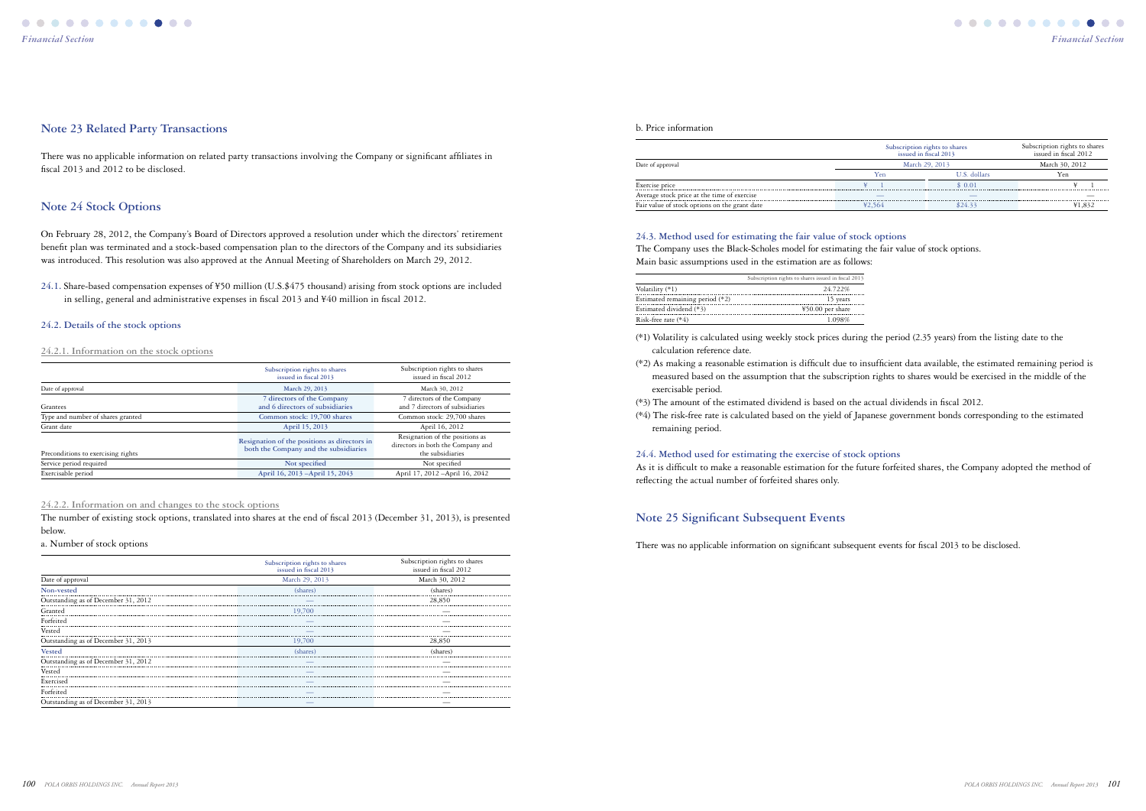# **Note 23 Related Party Transactions**

There was no applicable information on related party transactions involving the Company or significant affiliates in fiscal 2013 and 2012 to be disclosed.

# **Note 24 Stock Options**

On February 28, 2012, the Company's Board of Directors approved a resolution under which the directors' retirement benefit plan was terminated and a stock-based compensation plan to the directors of the Company and its subsidiaries was introduced. This resolution was also approved at the Annual Meeting of Shareholders on March 29, 2012.

**24.1.** Share-based compensation expenses of ¥50 million (U.S.\$475 thousand) arising from stock options are included in selling, general and administrative expenses in fiscal 2013 and ¥40 million in fiscal 2012.

# **24.2. Details of the stock options**

### **24.2.1. Information on the stock options**

|                                    | Subscription rights to shares<br>issued in fiscal 2013                                | Subscription rights to shares<br>issued in fiscal 2012                                   |
|------------------------------------|---------------------------------------------------------------------------------------|------------------------------------------------------------------------------------------|
| Date of approval                   | March 29, 2013                                                                        | March 30, 2012                                                                           |
| Grantees                           | 7 directors of the Company<br>and 6 directors of subsidiaries                         | 7 directors of the Company<br>and 7 directors of subsidiaries                            |
| Type and number of shares granted  | Common stock: 19,700 shares                                                           | Common stock: 29,700 shares                                                              |
| Grant date                         | April 15, 2013                                                                        | April 16, 2012                                                                           |
| Preconditions to exercising rights | Resignation of the positions as directors in<br>both the Company and the subsidiaries | Resignation of the positions as<br>directors in both the Company and<br>the subsidiaries |
| Service period required            | Not specified                                                                         | Not specified                                                                            |
| Exercisable period                 | April 16, 2013 - April 15, 2043                                                       | April 17, 2012 - April 16, 2042                                                          |

### **24.2.2. Information on and changes to the stock options**

The number of existing stock options, translated into shares at the end of fiscal 2013 (December 31, 2013), is presented below.

### a. Number of stock options

|                                     | Subscription rights to shares<br>issued in fiscal 2013 | Subscription rights to shares<br>issued in fiscal 2012 |
|-------------------------------------|--------------------------------------------------------|--------------------------------------------------------|
| Date of approval                    | March 29, 2013                                         | March 30, 2012                                         |
| Non-vested                          | (shares)                                               | (shares)                                               |
| Outstanding as of December 31, 2012 |                                                        | 28.850                                                 |
| Granted                             | 19.700                                                 |                                                        |
| Forfeited                           |                                                        |                                                        |
| Vested                              |                                                        |                                                        |
| Outstanding as of December 31, 2013 | 19,700                                                 | 28,850                                                 |
| Vested                              | (shares)                                               | shares                                                 |
| Outstanding as of December 31, 2012 |                                                        |                                                        |
| Vested                              |                                                        |                                                        |
| Exercised                           |                                                        |                                                        |
| Forfeited                           |                                                        |                                                        |
| Outstanding as of December 31, 2013 |                                                        |                                                        |



### b. Price information

|                                               |                | Subscription rights to shares<br>issued in fiscal 2013 | Subscription rights to shares<br>issued in fiscal 2012 |  |
|-----------------------------------------------|----------------|--------------------------------------------------------|--------------------------------------------------------|--|
| Date of approval                              | March 29, 2013 |                                                        | March 30, 2012                                         |  |
|                                               | Yer            | U.S. dollars                                           | Yen                                                    |  |
| Exercise price                                |                | \$ 0.01                                                |                                                        |  |
| Average stock price at the time of exercise   | $\frac{1}{2}$  | _                                                      |                                                        |  |
| Fair value of stock options on the grant date |                |                                                        |                                                        |  |

### **24.3. Method used for estimating the fair value of stock options**

The Company uses the Black-Scholes model for estimating the fair value of stock options. Main basic assumptions used in the estimation are as follows:

|                                 | Subscription rights to shares issued in fiscal 2013 |
|---------------------------------|-----------------------------------------------------|
| Volatility (*1)                 | 24.722%                                             |
| Estimated remaining period (*2) | 15 years                                            |
| Estimated dividend (*3)         | $450.00$ per share                                  |
| Risk-free rate $(*4)$           | 1.098%                                              |

(\*1) Volatility is calculated using weekly stock prices during the period (2.35 years) from the listing date to the

(\*2) As making a reasonable estimation is difficult due to insufficient data available, the estimated remaining period is measured based on the assumption that the subscription rights to shares would be exercised in the middle of the

- calculation reference date.
- exercisable period.
- (\*3) The amount of the estimated dividend is based on the actual dividends in fiscal 2012. (\*4) The risk-free rate is calculated based on the yield of Japanese government bonds corresponding to the estimated remaining period.

**24.4. Method used for estimating the exercise of stock options** As it is difficult to make a reasonable estimation for the future forfeited shares, the Company adopted the method of reflecting the actual number of forfeited shares only.

# **Note 25 Significant Subsequent Events**

There was no applicable information on significant subsequent events for fiscal 2013 to be disclosed.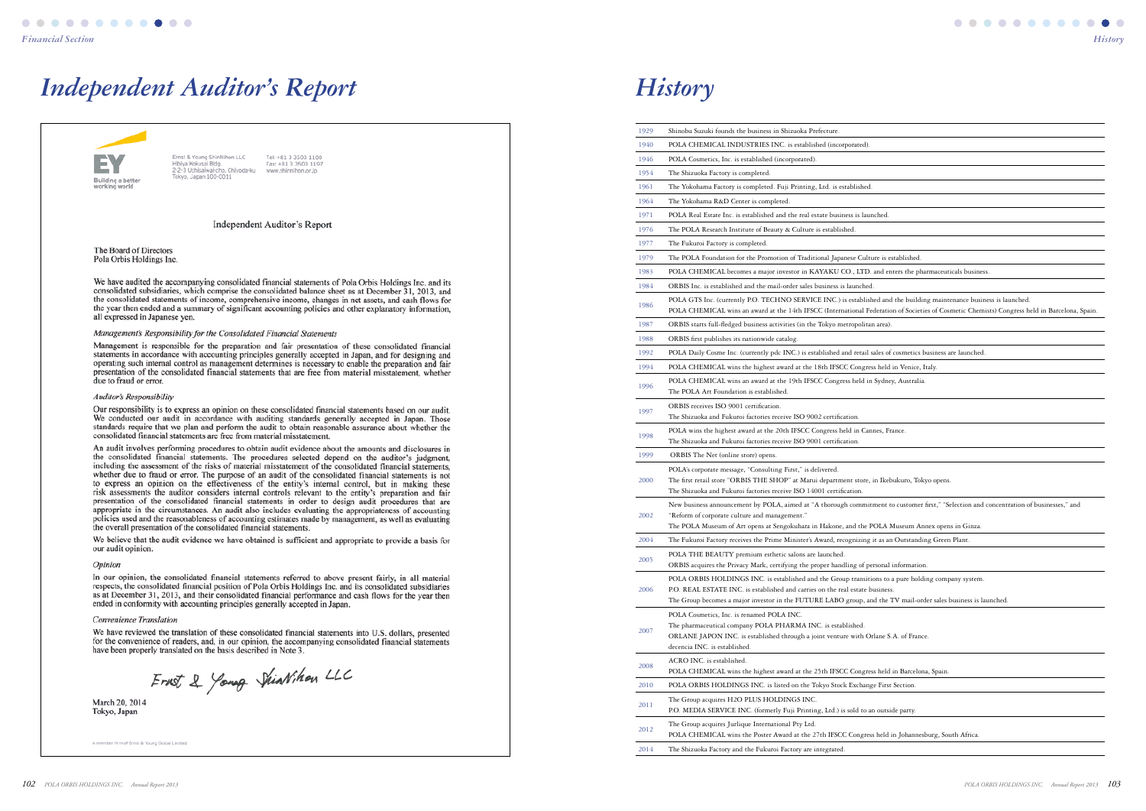# *Independent Auditor's Report*



Ernst & Young ShinNihon LLC Tel: +81 3 3503 1100 Hibiya Kokusai Bldg. Fax: +81 3 3503 1197 rabiya novusal biby.<br>2-2-3 Uchisalwal-cho, Chivoda-ku . a. o o'unsanvaruno, un<br>okvo. Japan 100-0011

www.shinnihon.or.jp

### **Independent Auditor's Report**



We have audited the accompanying consolidated financial statements of Pola Orbis Holdings Inc. and its consolidated subsidiaries, which comprise the consolidated balance sheet as at December 31, 2013, and the consolidated statements of income, comprehensive income, changes in net assets, and cash flows for the year then ended and a summary of significant accounting policies and other explanatory information, all expressed in Japanese ven.

### Management's Responsibility for the Consolidated Financial Statements

Management is responsible for the preparation and fair presentation of these consolidated financial statements in accordance with accounting principles generally accepted in Japan, and for designing and operating such internal control as management determines is necessary to enable the preparation and fair presentation of the consolidated financial statements that are free from material misstatement, whether due to fraud or error.

### **Auditor's Responsibility**

Our responsibility is to express an opinion on these consolidated financial statements based on our audit. We conducted our audit in accordance with auditing standards generally accepted in Japan. Those standards require that we plan and perform the audit to obtain reasonable assurance about whether the consolidated financial statements are free from material misstatement.

An audit involves performing procedures to obtain audit evidence about the amounts and disclosures in the consolidated financial statements. The procedures selected depend on the auditor's judgment, including the assessment of the risks of material misstatement of the consolidated financial statements, whether due to fraud or error. The purpose of an audit of the consolidated financial statements is not to express an opinion on the effectiveness of the entity's internal control, but in making these risk assessments the auditor considers internal controls relevant to the entity's preparation and fair presentation of the consolidated financial statements in order to design audit procedures that are appropriate in the circumstances. An audit also includes evaluating the appropriateness of accounting policies used and the reasonableness of accounting estimates made by management, as well as evaluating the overall presentation of the consolidated financial statements.

We believe that the audit evidence we have obtained is sufficient and appropriate to provide a basis for our audit opinion.

### Opinion

In our opinion, the consolidated financial statements referred to above present fairly, in all material respects, the consolidated financial position of Pola Orbis Holdings Inc. and its consolidated subsidiaries as at December 31, 2013, and their consolidated financial performance and cash flows for the year then ended in conformity with accounting principles generally accepted in Japan.

### **Convenience Translation**

We have reviewed the translation of these consolidated financial statements into U.S. dollars, presented for the convenience of readers, and, in our opinion, the accompanying consolidated financial statements have been properly translated on the basis described in Note 3.

Ernst 2 Young ShinNihon LLC

March 20, 2014 Tokyo, Japan

A member firm of Ernst & Young Global Limited



# *History*

| Shinobu Suzuki founds the business in Shizuoka Prefecture.                                                                                                                                                                                                            |
|-----------------------------------------------------------------------------------------------------------------------------------------------------------------------------------------------------------------------------------------------------------------------|
| POLA CHEMICAL INDUSTRIES INC. is established (incorporated).                                                                                                                                                                                                          |
| POLA Cosmetics, Inc. is established (incorporated).                                                                                                                                                                                                                   |
| The Shizuoka Factory is completed.                                                                                                                                                                                                                                    |
| The Yokohama Factory is completed. Fuji Printing, Ltd. is established.                                                                                                                                                                                                |
| The Yokohama R&D Center is completed.                                                                                                                                                                                                                                 |
| POLA Real Estate Inc. is established and the real estate business is launched.                                                                                                                                                                                        |
| The POLA Research Institute of Beauty & Culture is established.                                                                                                                                                                                                       |
| The Fukuroi Factory is completed.                                                                                                                                                                                                                                     |
| The POLA Foundation for the Promotion of Traditional Japanese Culture is established.                                                                                                                                                                                 |
| POLA CHEMICAL becomes a major investor in KAYAKU CO., LTD. and enters the pharmaceuticals business.                                                                                                                                                                   |
| ORBIS Inc. is established and the mail-order sales business is launched.                                                                                                                                                                                              |
| POLA GTS Inc. (currently P.O. TECHNO SERVICE INC.) is established and the building maintenance business is launched.<br>POLA CHEMICAL wins an award at the 14th IFSCC (International Federation of Societies of Cosmetic Chemists) Congress held in Barcelona, Spain. |
| ORBIS starts full-fledged business activities (in the Tokyo metropolitan area).                                                                                                                                                                                       |
| ORBIS first publishes its nationwide catalog.                                                                                                                                                                                                                         |
| POLA Daily Cosme Inc. (currently pdc INC.) is established and retail sales of cosmetics business are launched.                                                                                                                                                        |
| POLA CHEMICAL wins the highest award at the 18th IFSCC Congress held in Venice, Italy.                                                                                                                                                                                |
| POLA CHEMICAL wins an award at the 19th IFSCC Congress held in Sydney, Australia.<br>The POLA Art Foundation is established.                                                                                                                                          |
| ORBIS receives ISO 9001 certification.<br>The Shizuoka and Fukuroi factories receive ISO 9002 certification.                                                                                                                                                          |
| POLA wins the highest award at the 20th IFSCC Congress held in Cannes, France.<br>The Shizuoka and Fukuroi factories receive ISO 9001 certification.                                                                                                                  |
| ORBIS The Net (online store) opens.                                                                                                                                                                                                                                   |
| POLA's corporate message, "Consulting First," is delivered.<br>The first retail store "ORBIS THE SHOP" at Marui department store, in Ikebukuro, Tokyo opens.<br>The Shizuoka and Fukuroi factories receive ISO 14001 certification.                                   |
| New business announcement by POLA, aimed at "A thorough commitment to customer first," "Selection and concentration of businesses," and                                                                                                                               |

### ne POLA Museum Annex opens in Ginza.

### Press held in Barcelona, Spain.

| 1929 | Shinobu Suzuki founds the business in Shizuoka Prefecture.                                                                                                                                                                                                                                             |
|------|--------------------------------------------------------------------------------------------------------------------------------------------------------------------------------------------------------------------------------------------------------------------------------------------------------|
| 1940 | POLA CHEMICAL INDUSTRIES INC. is established (incorporated).                                                                                                                                                                                                                                           |
| 1946 | POLA Cosmetics, Inc. is established (incorporated).                                                                                                                                                                                                                                                    |
| 1954 | The Shizuoka Factory is completed.                                                                                                                                                                                                                                                                     |
| 1961 | The Yokohama Factory is completed. Fuji Printing, Ltd. is established.                                                                                                                                                                                                                                 |
| 1964 | The Yokohama R&D Center is completed.                                                                                                                                                                                                                                                                  |
| 1971 | POLA Real Estate Inc. is established and the real estate business is launched.                                                                                                                                                                                                                         |
| 1976 | The POLA Research Institute of Beauty & Culture is established.                                                                                                                                                                                                                                        |
| 1977 | The Fukuroi Factory is completed.                                                                                                                                                                                                                                                                      |
| 1979 | The POLA Foundation for the Promotion of Traditional Japanese Culture is established.                                                                                                                                                                                                                  |
| 1983 | POLA CHEMICAL becomes a major investor in KAYAKU CO., LTD. and enters the pharmaceuticals business.                                                                                                                                                                                                    |
| 1984 | ORBIS Inc. is established and the mail-order sales business is launched.                                                                                                                                                                                                                               |
| 1986 | POLA GTS Inc. (currently P.O. TECHNO SERVICE INC.) is established and the building maintenance business is launched.<br>POLA CHEMICAL wins an award at the 14th IFSCC (International Federation of Societies of Cosmetic Chemists) Congress h                                                          |
| 1987 | ORBIS starts full-fledged business activities (in the Tokyo metropolitan area).                                                                                                                                                                                                                        |
| 1988 | ORBIS first publishes its nationwide catalog.                                                                                                                                                                                                                                                          |
| 1992 | POLA Daily Cosme Inc. (currently pdc INC.) is established and retail sales of cosmetics business are launched.                                                                                                                                                                                         |
| 1994 | POLA CHEMICAL wins the highest award at the 18th IFSCC Congress held in Venice, Italy.                                                                                                                                                                                                                 |
| 1996 | POLA CHEMICAL wins an award at the 19th IFSCC Congress held in Sydney, Australia.<br>The POLA Art Foundation is established.                                                                                                                                                                           |
| 1997 | ORBIS receives ISO 9001 certification.<br>The Shizuoka and Fukuroi factories receive ISO 9002 certification.                                                                                                                                                                                           |
| 1998 | POLA wins the highest award at the 20th IFSCC Congress held in Cannes, France.<br>The Shizuoka and Fukuroi factories receive ISO 9001 certification.                                                                                                                                                   |
| 1999 | ORBIS The Net (online store) opens.                                                                                                                                                                                                                                                                    |
| 2000 | POLA's corporate message, "Consulting First," is delivered.<br>The first retail store "ORBIS THE SHOP" at Marui department store, in Ikebukuro, Tokyo opens.<br>The Shizuoka and Fukuroi factories receive ISO 14001 certification.                                                                    |
| 2002 | New business announcement by POLA, aimed at "A thorough commitment to customer first," "Selection and concentration o<br>"Reform of corporate culture and management."<br>The POLA Museum of Art opens at Sengokuhara in Hakone, and the POLA Museum Annex opens in Ginza.                             |
| 2004 | The Fukuroi Factory receives the Prime Minister's Award, recognizing it as an Outstanding Green Plant.                                                                                                                                                                                                 |
| 2005 | POLA THE BEAUTY premium esthetic salons are launched.<br>ORBIS acquires the Privacy Mark, certifying the proper handling of personal information.                                                                                                                                                      |
| 2006 | POLA ORBIS HOLDINGS INC. is established and the Group transitions to a pure holding company system.<br>P.O. REAL ESTATE INC. is established and carries on the real estate business.<br>The Group becomes a major investor in the FUTURE LABO group, and the TV mail-order sales business is launched. |
| 2007 | POLA Cosmetics, Inc. is renamed POLA INC.<br>The pharmaceutical company POLA PHARMA INC. is established.<br>ORLANE JAPON INC. is established through a joint venture with Orlane S.A. of France.<br>decencia INC. is established.                                                                      |
| 2008 | ACRO INC. is established.<br>POLA CHEMICAL wins the highest award at the 25th IFSCC Congress held in Barcelona, Spain.                                                                                                                                                                                 |
| 2010 | POLA ORBIS HOLDINGS INC. is listed on the Tokyo Stock Exchange First Section.                                                                                                                                                                                                                          |
| 2011 | The Group acquires H2O PLUS HOLDINGS INC.<br>P.O. MEDIA SERVICE INC. (formerly Fuji Printing, Ltd.) is sold to an outside party.                                                                                                                                                                       |
| 2012 | The Group acquires Jurlique International Pty Ltd.<br>POLA CHEMICAL wins the Poster Award at the 27th IFSCC Congress held in Johannesburg, South Africa.                                                                                                                                               |
| 2014 | The Shizuoka Factory and the Fukuroi Factory are integrated.                                                                                                                                                                                                                                           |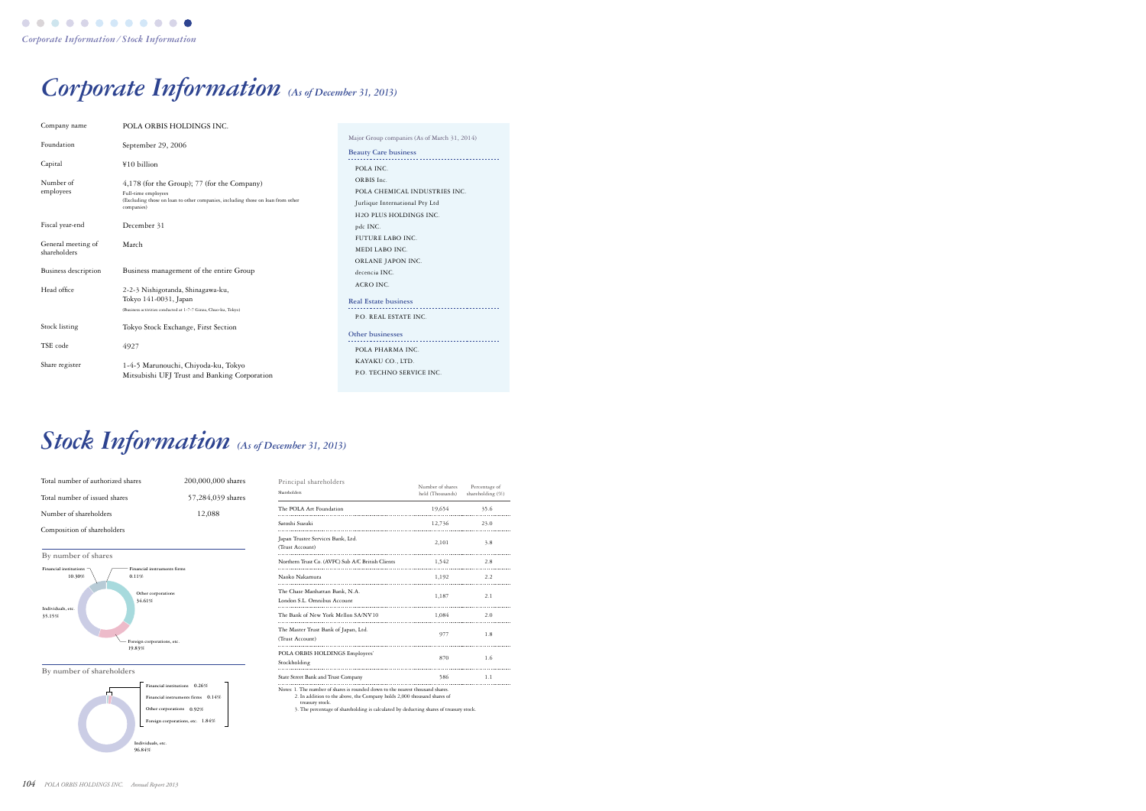Principal shareholders

| Shareholders                                                                                                                                                                                                                                                           | Number of shares<br>held (Thousands) | Percentage of<br>shareholding (%) |
|------------------------------------------------------------------------------------------------------------------------------------------------------------------------------------------------------------------------------------------------------------------------|--------------------------------------|-----------------------------------|
| The POLA Art Foundation                                                                                                                                                                                                                                                | 19,654                               | 35.6                              |
| Satoshi Suzuki                                                                                                                                                                                                                                                         | 12,736                               | 23.0                              |
| Japan Trustee Services Bank, Ltd.<br>(Trust Account)                                                                                                                                                                                                                   | 2,101                                | 3.8                               |
| Northern Trust Co. (AVFC) Sub A/C British Clients                                                                                                                                                                                                                      | 1,542                                | 2.8                               |
| Naoko Nakamura                                                                                                                                                                                                                                                         | 1,192                                | 2.2                               |
| The Chase Manhattan Bank, N.A.<br>London S.L. Omnibus Account                                                                                                                                                                                                          | 1,187                                | 2.1                               |
| The Bank of New York Mellon SA/NV10                                                                                                                                                                                                                                    | 1,084                                | 2.0                               |
| The Master Trust Bank of Japan, Ltd.<br>(Trust Account)                                                                                                                                                                                                                | 977                                  | 1.8                               |
| POLA ORBIS HOLDINGS Employees'<br>Stockholding                                                                                                                                                                                                                         | 870                                  | 1.6                               |
| State Street Bank and Trust Company                                                                                                                                                                                                                                    | 586                                  | 1.1                               |
| Notes: 1. The number of shares is rounded down to the nearest thousand shares.<br>2. In addition to the above, the Company holds 2,000 thousand shares of<br>treasury stock.<br>3. The percentage of shareholding is calculated by deducting shares of treasury stock. |                                      |                                   |

| Total number of authorized shares                                                                                                                              | 200,000,000 shares                         |
|----------------------------------------------------------------------------------------------------------------------------------------------------------------|--------------------------------------------|
| Total number of issued shares                                                                                                                                  | 57,284,039 shares                          |
| Number of shareholders                                                                                                                                         | 12,088                                     |
| Composition of shareholders                                                                                                                                    |                                            |
| By number of shares<br>Financial instruments firms<br>Financial institutions<br>10.30%<br>0.11%<br>Other corporations<br>34.61%<br>Individuals, etc.<br>35.15% |                                            |
| Foreign corporations, etc.<br>19.83%                                                                                                                           |                                            |
| By number of shareholders                                                                                                                                      |                                            |
| Financial institutions<br>Other corporations 0.92%<br>Foreign corporations, etc. 1.84%                                                                         | 0.26%<br>Financial instruments firms 0.14% |

**Individuals, etc. 96.84%**

| Company name                       | POLA ORBIS HOLDINGS INC.                                                                                                                                            |                                                                                                         |
|------------------------------------|---------------------------------------------------------------------------------------------------------------------------------------------------------------------|---------------------------------------------------------------------------------------------------------|
| Foundation                         | September 29, 2006                                                                                                                                                  | Major Group companies (As of March 31, 2014)<br><b>Beauty Care business</b>                             |
| Capital                            | ¥10 billion                                                                                                                                                         | POLA INC.                                                                                               |
| Number of<br>employees             | 4,178 (for the Group); 77 (for the Company)<br>Full-time employees<br>(Excluding those on loan to other companies, including those on loan from other<br>companies) | ORBIS Inc.<br>POLA CHEMICAL INDUSTRIES INC.<br>Jurlique International Pty Ltd<br>H2O PLUS HOLDINGS INC. |
| Fiscal year-end                    | December 31                                                                                                                                                         | pdc INC.                                                                                                |
| General meeting of<br>shareholders | March                                                                                                                                                               | <b>FUTURE LABO INC.</b><br>MEDI LABO INC.<br>ORLANE JAPON INC.                                          |
| Business description               | Business management of the entire Group                                                                                                                             | decencia INC.                                                                                           |
| Head office                        | 2-2-3 Nishigotanda, Shinagawa-ku,<br>Tokyo 141-0031, Japan<br>(Business activities conducted at 1-7-7 Ginza, Chuo-ku, Tokyo)                                        | ACRO INC.<br><b>Real Estate business</b><br>P.O. REAL ESTATE INC.                                       |
| Stock listing                      | Tokyo Stock Exchange, First Section                                                                                                                                 | Other businesses                                                                                        |
| TSE code                           | 4927                                                                                                                                                                | POLA PHARMA INC.                                                                                        |
| Share register                     | 1-4-5 Marunouchi, Chiyoda-ku, Tokyo<br>Mitsubishi UFJ Trust and Banking Corporation                                                                                 | KAYAKU CO., LTD.<br>P.O. TECHNO SERVICE INC.                                                            |

# *Stock Information (As of December 31, 2013)*

*Corporate Information ⁄ Stock Information*

# Corporate Information (As of December 31, 2013)